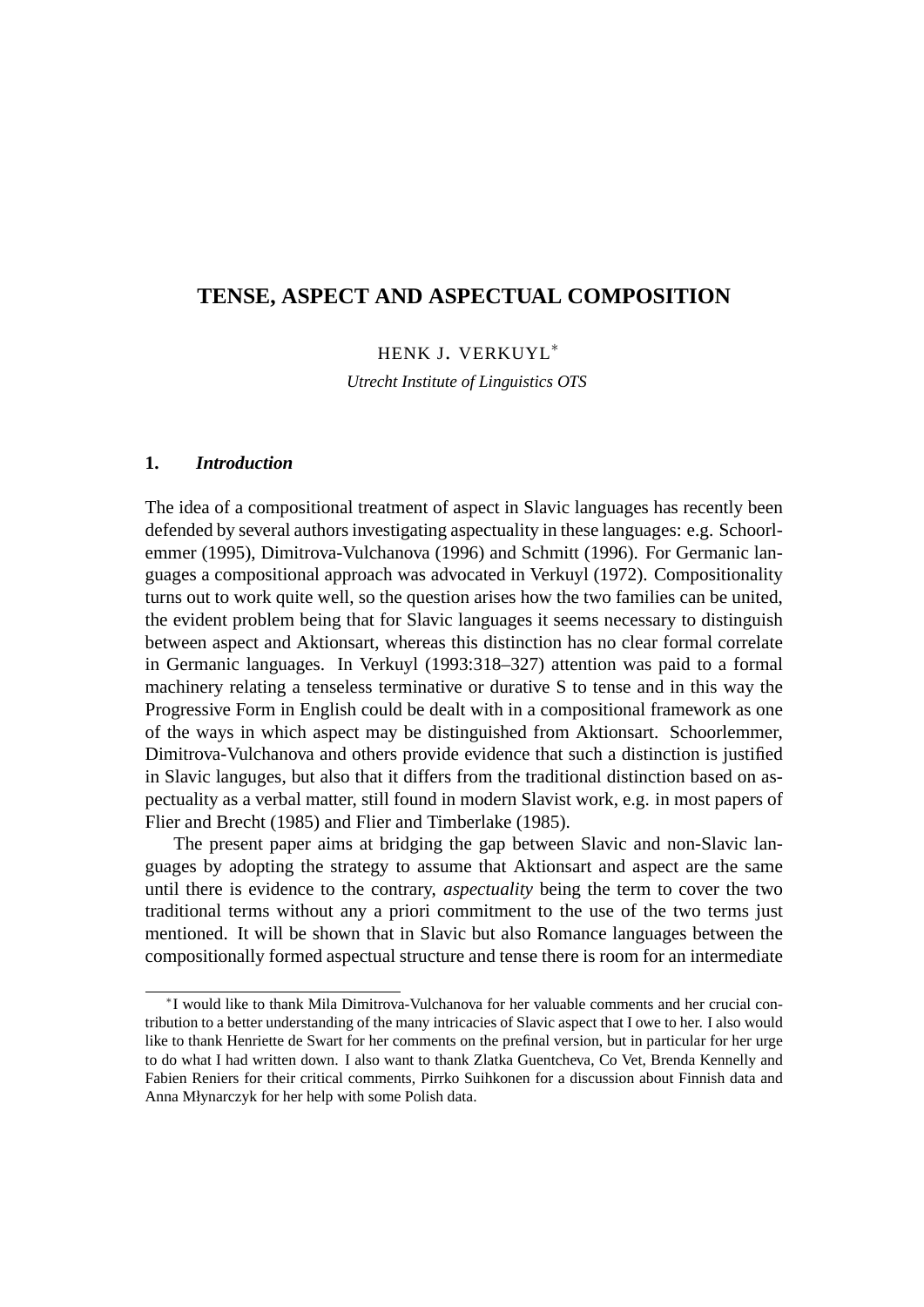# **TENSE, ASPECT AND ASPECTUAL COMPOSITION**

# HENK J. VERKUYL<sup>∗</sup>

*Utrecht Institute of Linguistics OTS*

#### **1.** *Introduction*

The idea of a compositional treatment of aspect in Slavic languages has recently been defended by several authors investigating aspectuality in these languages: e.g. Schoorlemmer (1995), Dimitrova-Vulchanova (1996) and Schmitt (1996). For Germanic languages a compositional approach was advocated in Verkuyl (1972). Compositionality turns out to work quite well, so the question arises how the two families can be united, the evident problem being that for Slavic languages it seems necessary to distinguish between aspect and Aktionsart, whereas this distinction has no clear formal correlate in Germanic languages. In Verkuyl (1993:318–327) attention was paid to a formal machinery relating a tenseless terminative or durative S to tense and in this way the Progressive Form in English could be dealt with in a compositional framework as one of the ways in which aspect may be distinguished from Aktionsart. Schoorlemmer, Dimitrova-Vulchanova and others provide evidence that such a distinction is justified in Slavic languges, but also that it differs from the traditional distinction based on aspectuality as a verbal matter, still found in modern Slavist work, e.g. in most papers of Flier and Brecht (1985) and Flier and Timberlake (1985).

The present paper aims at bridging the gap between Slavic and non-Slavic languages by adopting the strategy to assume that Aktionsart and aspect are the same until there is evidence to the contrary, *aspectuality* being the term to cover the two traditional terms without any a priori commitment to the use of the two terms just mentioned. It will be shown that in Slavic but also Romance languages between the compositionally formed aspectual structure and tense there is room for an intermediate

<sup>∗</sup> I would like to thank Mila Dimitrova-Vulchanova for her valuable comments and her crucial contribution to a better understanding of the many intricacies of Slavic aspect that I owe to her. I also would like to thank Henriette de Swart for her comments on the prefinal version, but in particular for her urge to do what I had written down. I also want to thank Zlatka Guentcheva, Co Vet, Brenda Kennelly and Fabien Reniers for their critical comments, Pirrko Suihkonen for a discussion about Finnish data and Anna Młynarczyk for her help with some Polish data.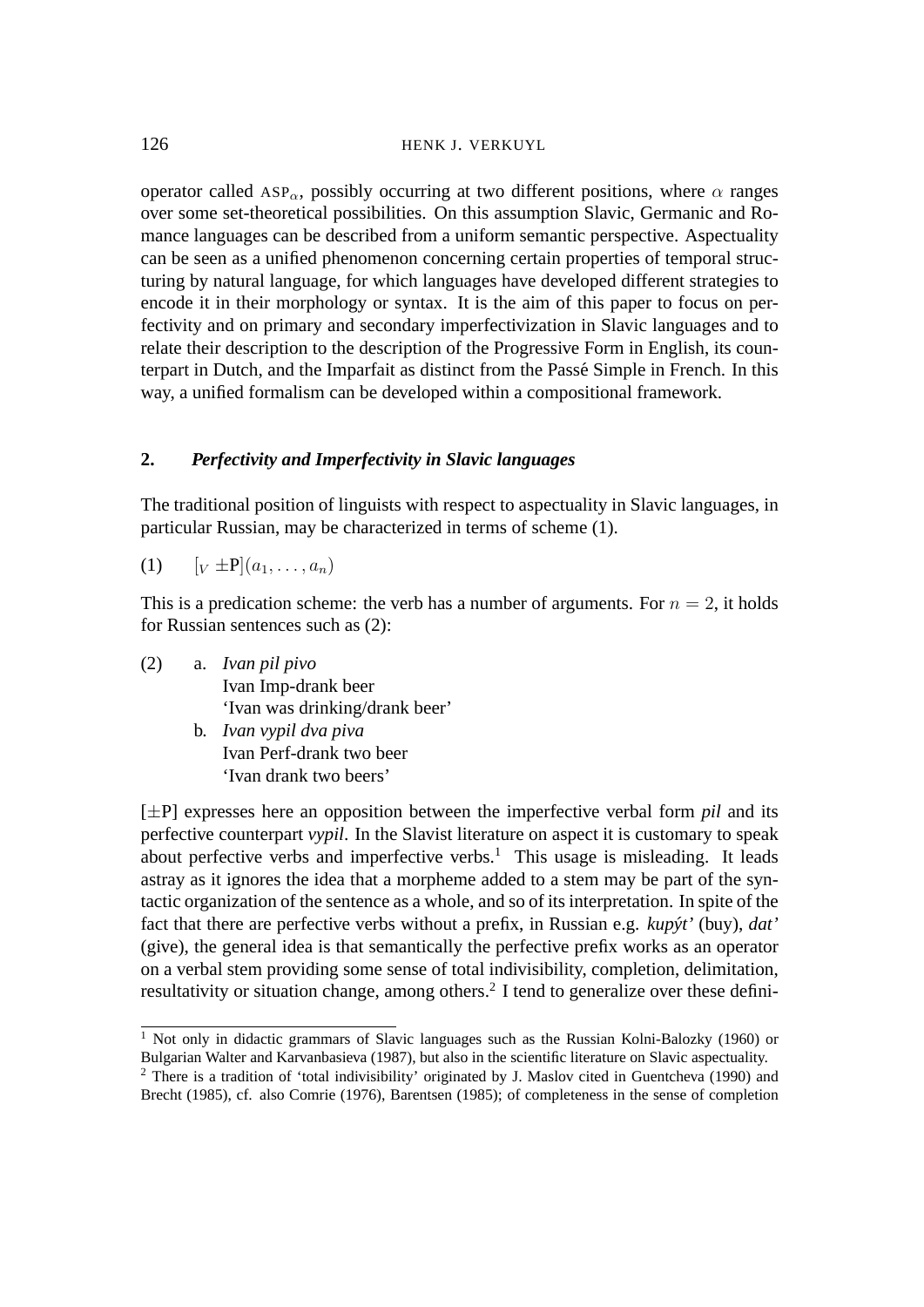operator called  $ASP_{\alpha}$ , possibly occurring at two different positions, where  $\alpha$  ranges over some set-theoretical possibilities. On this assumption Slavic, Germanic and Romance languages can be described from a uniform semantic perspective. Aspectuality can be seen as a unified phenomenon concerning certain properties of temporal structuring by natural language, for which languages have developed different strategies to encode it in their morphology or syntax. It is the aim of this paper to focus on perfectivity and on primary and secondary imperfectivization in Slavic languages and to relate their description to the description of the Progressive Form in English, its counterpart in Dutch, and the Imparfait as distinct from the Passe Simple in French. In this ´ way, a unified formalism can be developed within a compositional framework.

#### **2.** *Perfectivity and Imperfectivity in Slavic languages*

The traditional position of linguists with respect to aspectuality in Slavic languages, in particular Russian, may be characterized in terms of scheme (1).

(1)  $[v \pm P](a_1, \ldots, a_n)$ 

This is a predication scheme: the verb has a number of arguments. For  $n = 2$ , it holds for Russian sentences such as (2):

a. *Ivan pil pivo* Ivan Imp-drank beer 'Ivan was drinking/drank beer' b. *Ivan vypil dva piva* Ivan Perf-drank two beer 'Ivan drank two beers' (2)

[±P] expresses here an opposition between the imperfective verbal form *pil* and its perfective counterpart *vypil*. In the Slavist literature on aspect it is customary to speak about perfective verbs and imperfective verbs.<sup>1</sup> This usage is misleading. It leads astray as it ignores the idea that a morpheme added to a stem may be part of the syntactic organization of the sentence as a whole, and so of its interpretation. In spite of the fact that there are perfective verbs without a prefix, in Russian e.g. *kupyt' ´* (buy), *dat'* (give), the general idea is that semantically the perfective prefix works as an operator on a verbal stem providing some sense of total indivisibility, completion, delimitation, resultativity or situation change, among others.<sup>2</sup> I tend to generalize over these defini-

<sup>&</sup>lt;sup>1</sup> Not only in didactic grammars of Slavic languages such as the Russian Kolni-Balozky (1960) or Bulgarian Walter and Karvanbasieva (1987), but also in the scientific literature on Slavic aspectuality.

<sup>2</sup> There is a tradition of 'total indivisibility' originated by J. Maslov cited in Guentcheva (1990) and Brecht (1985), cf. also Comrie (1976), Barentsen (1985); of completeness in the sense of completion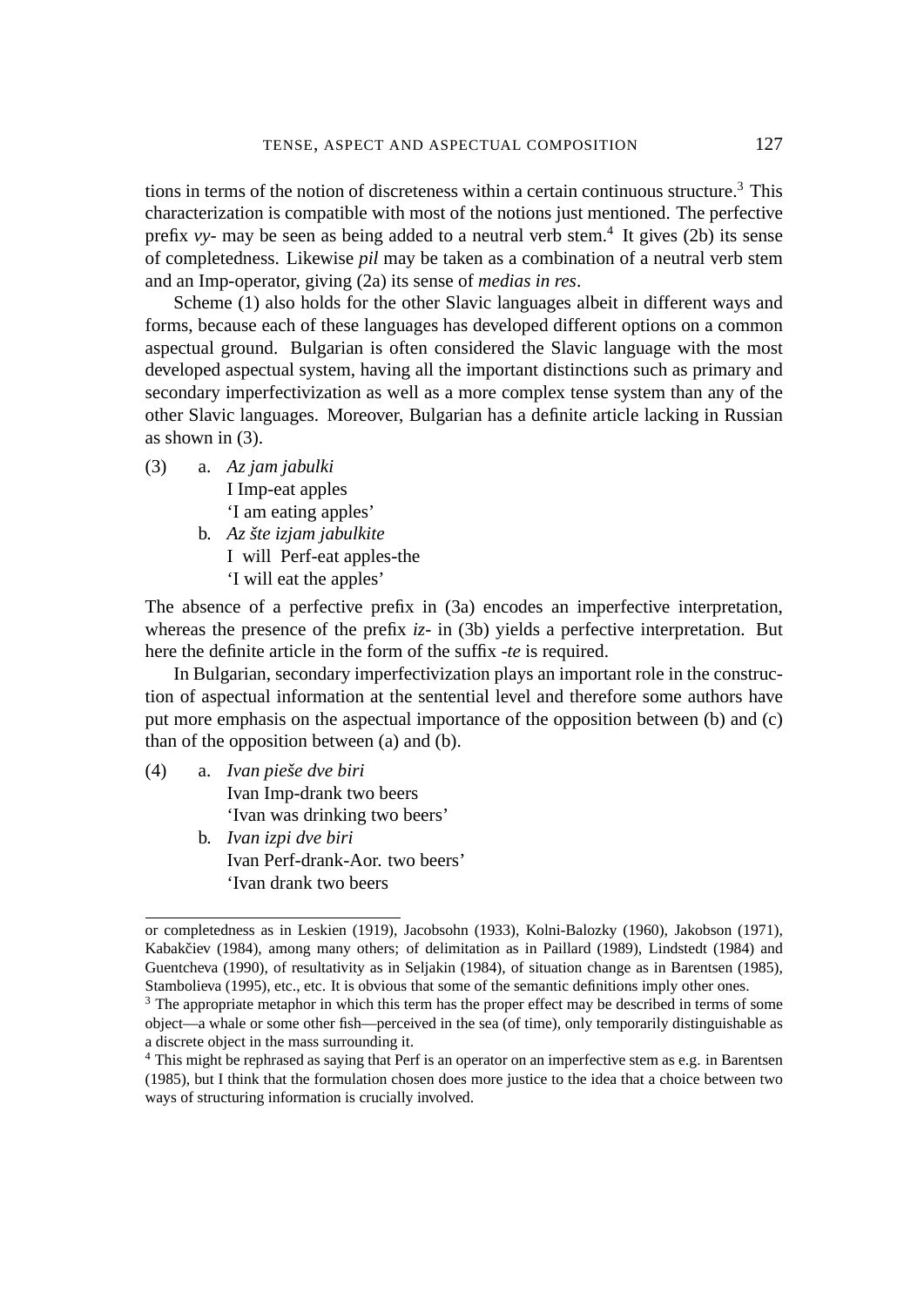tions in terms of the notion of discreteness within a certain continuous structure.<sup>3</sup> This characterization is compatible with most of the notions just mentioned. The perfective prefix *vy*- may be seen as being added to a neutral verb stem.<sup>4</sup> It gives (2b) its sense of completedness. Likewise *pil* may be taken as a combination of a neutral verb stem and an Imp-operator, giving (2a) its sense of *medias in res*.

Scheme (1) also holds for the other Slavic languages albeit in different ways and forms, because each of these languages has developed different options on a common aspectual ground. Bulgarian is often considered the Slavic language with the most developed aspectual system, having all the important distinctions such as primary and secondary imperfectivization as well as a more complex tense system than any of the other Slavic languages. Moreover, Bulgarian has a definite article lacking in Russian as shown in (3).

- a. *Az jam jabulki* I Imp-eat apples 'I am eating apples' b. *Az ste izjam jabulkite ˇ* (3)
	- I will Perf-eat apples-the 'I will eat the apples'

The absence of a perfective prefix in (3a) encodes an imperfective interpretation, whereas the presence of the prefix *iz-* in (3b) yields a perfective interpretation. But here the definite article in the form of the suffix *-te* is required.

In Bulgarian, secondary imperfectivization plays an important role in the construction of aspectual information at the sentential level and therefore some authors have put more emphasis on the aspectual importance of the opposition between (b) and (c) than of the opposition between (a) and (b).

a. *Ivan piese dve biri ˇ* Ivan Imp-drank two beers 'Ivan was drinking two beers' b. *Ivan izpi dve biri* (4)

Ivan Perf-drank-Aor. two beers' 'Ivan drank two beers

or completedness as in Leskien (1919), Jacobsohn (1933), Kolni-Balozky (1960), Jakobson (1971), Kabakčiev (1984), among many others; of delimitation as in Paillard (1989), Lindstedt (1984) and Guentcheva (1990), of resultativity as in Seljakin (1984), of situation change as in Barentsen (1985), Stambolieva (1995), etc., etc. It is obvious that some of the semantic definitions imply other ones.

<sup>&</sup>lt;sup>3</sup> The appropriate metaphor in which this term has the proper effect may be described in terms of some object—a whale or some other fish—perceived in the sea (of time), only temporarily distinguishable as a discrete object in the mass surrounding it.

<sup>&</sup>lt;sup>4</sup> This might be rephrased as saying that Perf is an operator on an imperfective stem as e.g. in Barentsen (1985), but I think that the formulation chosen does more justice to the idea that a choice between two ways of structuring information is crucially involved.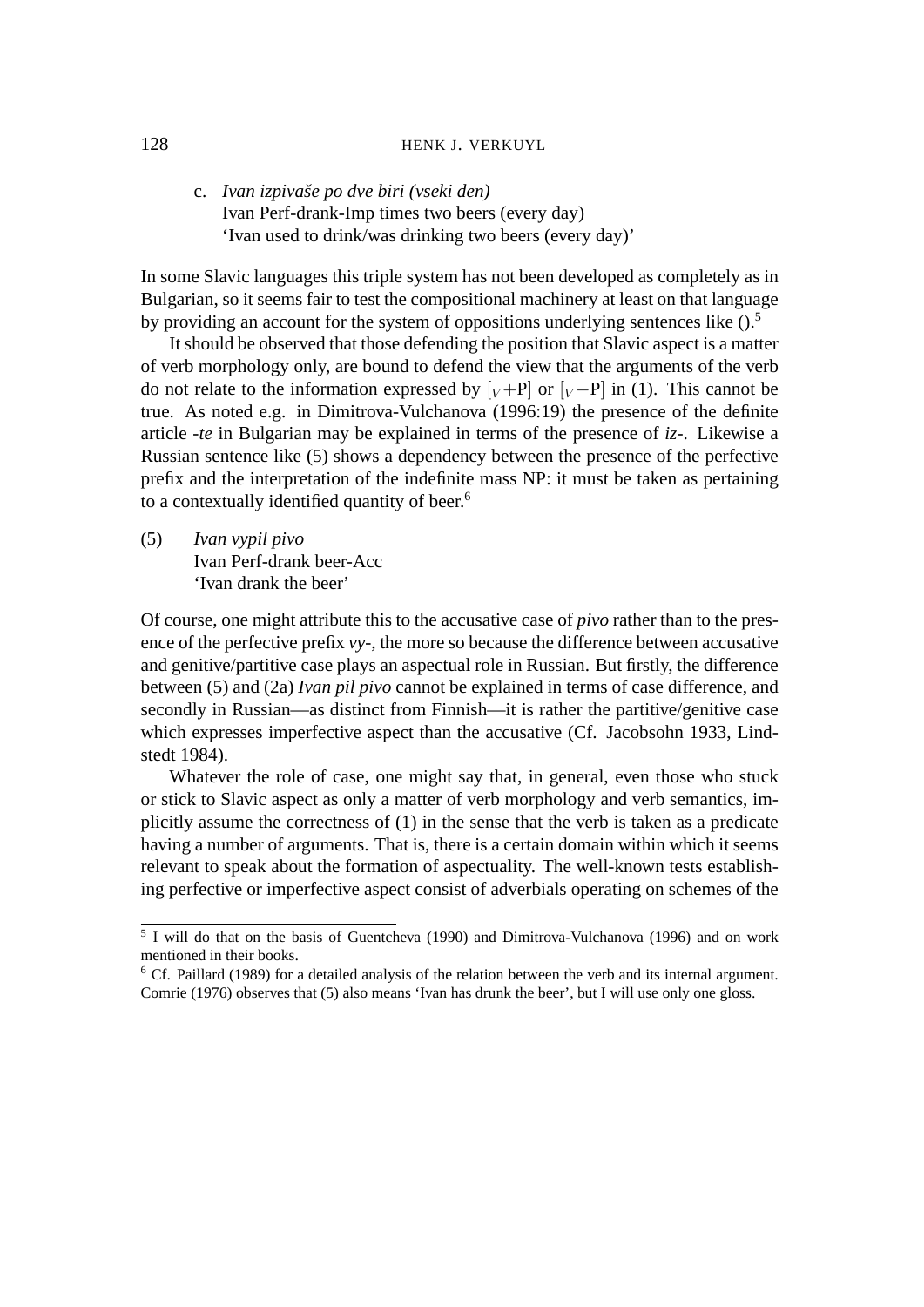c. *Ivan izpivase po dve biri (vseki den) ˇ* Ivan Perf-drank-Imp times two beers (every day) 'Ivan used to drink/was drinking two beers (every day)'

In some Slavic languages this triple system has not been developed as completely as in Bulgarian, so it seems fair to test the compositional machinery at least on that language by providing an account for the system of oppositions underlying sentences like ().<sup>5</sup>

It should be observed that those defending the position that Slavic aspect is a matter of verb morphology only, are bound to defend the view that the arguments of the verb do not relate to the information expressed by  $[\nu+P]$  or  $[\nu-P]$  in (1). This cannot be true. As noted e.g. in Dimitrova-Vulchanova (1996:19) the presence of the definite article *-te* in Bulgarian may be explained in terms of the presence of *iz-*. Likewise a Russian sentence like (5) shows a dependency between the presence of the perfective prefix and the interpretation of the indefinite mass NP: it must be taken as pertaining to a contextually identified quantity of beer.<sup>6</sup>

*Ivan vypil pivo* Ivan Perf-drank beer-Acc 'Ivan drank the beer' (5)

Of course, one might attribute this to the accusative case of *pivo* rather than to the presence of the perfective prefix *vy-*, the more so because the difference between accusative and genitive/partitive case plays an aspectual role in Russian. But firstly, the difference between (5) and (2a) *Ivan pil pivo* cannot be explained in terms of case difference, and secondly in Russian—as distinct from Finnish—it is rather the partitive/genitive case which expresses imperfective aspect than the accusative (Cf. Jacobsohn 1933, Lindstedt 1984).

Whatever the role of case, one might say that, in general, even those who stuck or stick to Slavic aspect as only a matter of verb morphology and verb semantics, implicitly assume the correctness of (1) in the sense that the verb is taken as a predicate having a number of arguments. That is, there is a certain domain within which it seems relevant to speak about the formation of aspectuality. The well-known tests establishing perfective or imperfective aspect consist of adverbials operating on schemes of the

<sup>&</sup>lt;sup>5</sup> I will do that on the basis of Guentcheva (1990) and Dimitrova-Vulchanova (1996) and on work mentioned in their books.

 $6$  Cf. Paillard (1989) for a detailed analysis of the relation between the verb and its internal argument. Comrie (1976) observes that (5) also means 'Ivan has drunk the beer', but I will use only one gloss.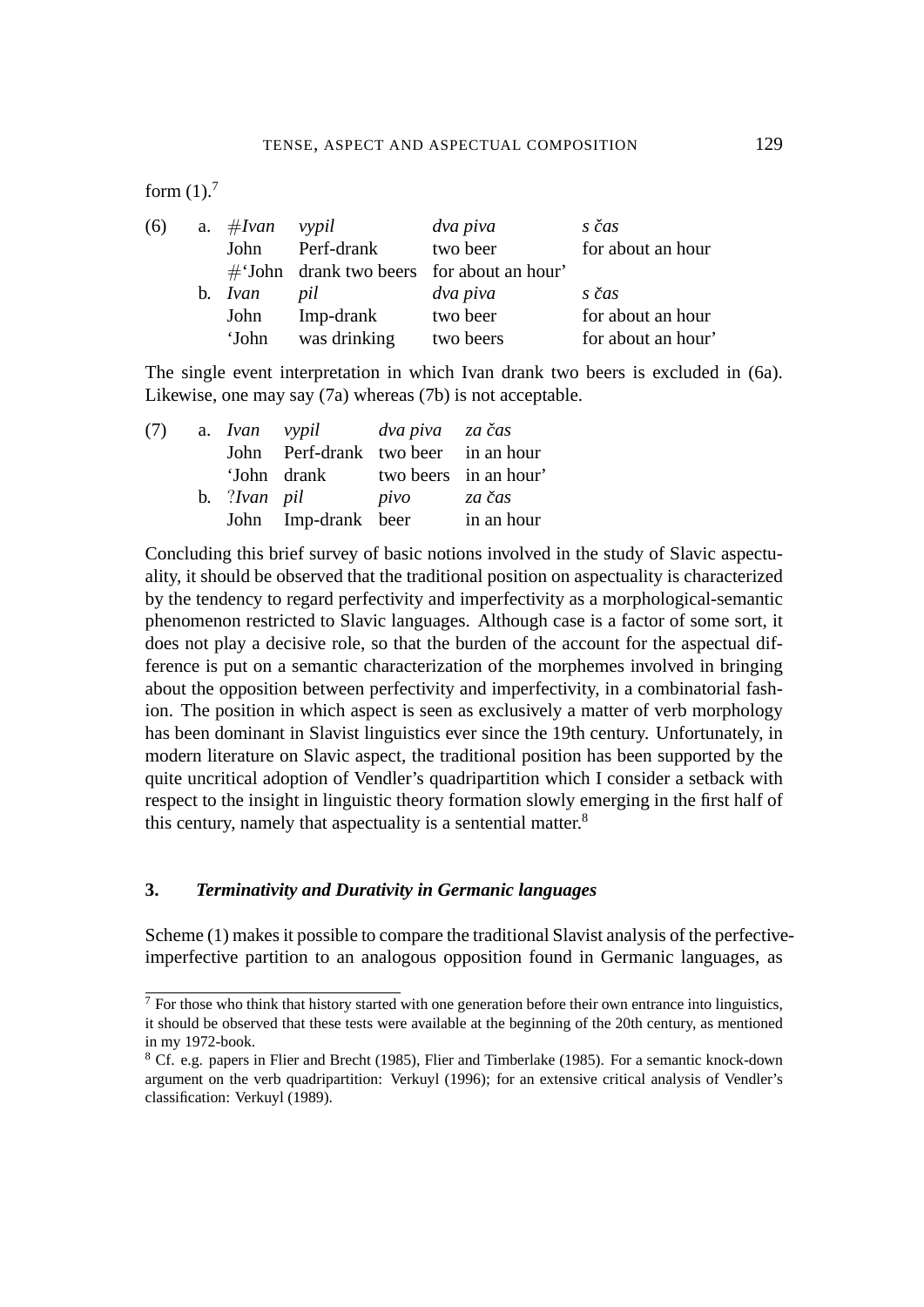form  $(1).<sup>7</sup>$ 

| (6) | a. $\# Ivan$ vypil |              | dva piva                                      | s čas              |
|-----|--------------------|--------------|-----------------------------------------------|--------------------|
|     | John               | Perf-drank   | two beer                                      | for about an hour  |
|     |                    |              | $\#$ 'John drank two beers for about an hour' |                    |
|     | b. <i>Ivan</i>     | pil          | dva piva                                      | s čas              |
|     | John               | Imp-drank    | two beer                                      | for about an hour  |
|     | 'John              | was drinking | two beers                                     | for about an hour' |

The single event interpretation in which Ivan drank two beers is excluded in (6a). Likewise, one may say (7a) whereas (7b) is not acceptable.

| (7) |  | a. Ivan vypil dva piva za čas       |      |            |
|-----|--|-------------------------------------|------|------------|
|     |  | John Perf-drank two beer in an hour |      |            |
|     |  | 'John drank two beers in an hour'   |      |            |
|     |  | b. ? <i>Ivan pil</i>                | pivo | za čas     |
|     |  | John Imp-drank beer                 |      | in an hour |

Concluding this brief survey of basic notions involved in the study of Slavic aspectuality, it should be observed that the traditional position on aspectuality is characterized by the tendency to regard perfectivity and imperfectivity as a morphological-semantic phenomenon restricted to Slavic languages. Although case is a factor of some sort, it does not play a decisive role, so that the burden of the account for the aspectual difference is put on a semantic characterization of the morphemes involved in bringing about the opposition between perfectivity and imperfectivity, in a combinatorial fashion. The position in which aspect is seen as exclusively a matter of verb morphology has been dominant in Slavist linguistics ever since the 19th century. Unfortunately, in modern literature on Slavic aspect, the traditional position has been supported by the quite uncritical adoption of Vendler's quadripartition which I consider a setback with respect to the insight in linguistic theory formation slowly emerging in the first half of this century, namely that aspectuality is a sentential matter.<sup>8</sup>

#### **3.** *Terminativity and Durativity in Germanic languages*

Scheme (1) makes it possible to compare the traditional Slavist analysis of the perfectiveimperfective partition to an analogous opposition found in Germanic languages, as

<sup>7</sup> For those who think that history started with one generation before their own entrance into linguistics, it should be observed that these tests were available at the beginning of the 20th century, as mentioned in my 1972-book.

<sup>&</sup>lt;sup>8</sup> Cf. e.g. papers in Flier and Brecht (1985), Flier and Timberlake (1985). For a semantic knock-down argument on the verb quadripartition: Verkuyl (1996); for an extensive critical analysis of Vendler's classification: Verkuyl (1989).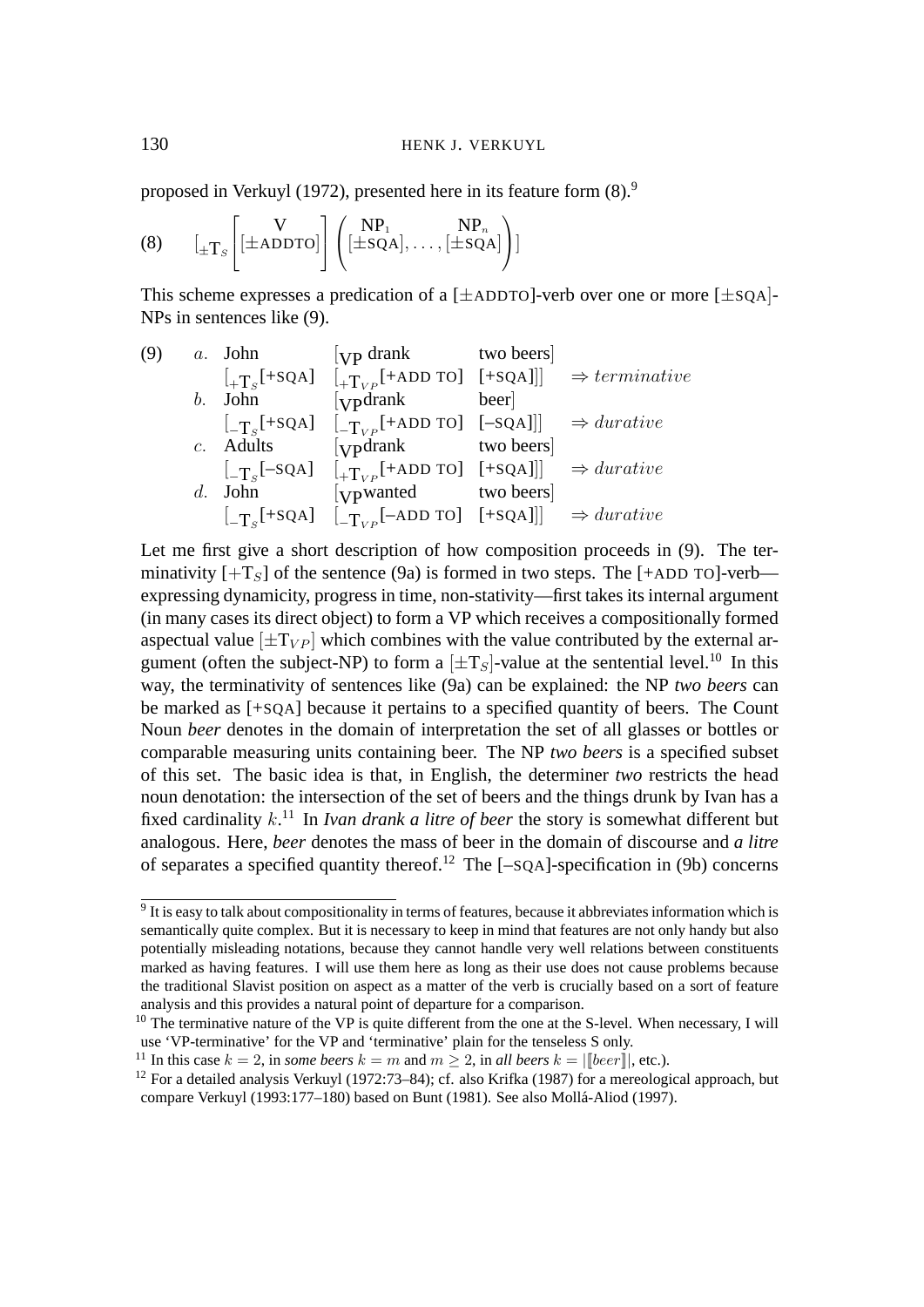proposed in Verkuyl (1972), presented here in its feature form (8).<sup>9</sup>

$$
(8) \qquad [\pm T_{S} \left[ \left[ \pm \text{ADDTO} \right] \right] \left( \left[ \pm \text{SQA} \right], \ldots, \left[ \pm \text{SQA} \right] \right)]
$$

This scheme expresses a predication of a [ $\pm$ ADDTO]-verb over one or more [ $\pm$ SQA]-NPs in sentences like (9).

(9) *a.* John 
$$
[\text{vp} \text{drank} \text{two } \text{bers}]
$$
\n $[{}_{+}T_{s}[+{}_{S}QA] \quad [{}_{+}T_{VP}[+{}_{A}DD~TO] \quad [+{}_{S}QA]]] \Rightarrow terminative$ \n*b.* John  $[\text{vp} \text{drank} \text{ beer}]$ \n $[-{}_{-}F_{s}[+{}_{S}QA] \quad [-{}_{-}T_{VP}[+{}_{A}DD~TO] \quad [-{}_{S}QA]]] \Rightarrow durative$ \n*c.* adults  $[\text{vp} \text{drank} \text{ two } \text{bers}]$ \n $[-{}_{-}F_{s}[-{}_{S}QA] \quad [{}_{+}T_{VP}[+{}_{A}DD~TO] \quad [+{}_{S}QA]]] \Rightarrow durative$ \n*d.* John  $[\text{vp} \text{wanted} \text{ two } \text{bers}]$ \n $[-{}_{-}F_{s}[+{}_{S}QA] \quad [-{}_{-}T_{VP}[-{}_{A}DD~TO] \quad [+{}_{S}QA]]] \Rightarrow durative$ 

Let me first give a short description of how composition proceeds in (9). The terminativity  $[+T<sub>S</sub>]$  of the sentence (9a) is formed in two steps. The [+ADD TO]-verb expressing dynamicity, progress in time, non-stativity—first takes its internal argument (in many cases its direct object) to form a VP which receives a compositionally formed aspectual value  $[\pm T_{VP}]$  which combines with the value contributed by the external argument (often the subject-NP) to form a  $[\pm T_s]$ -value at the sentential level.<sup>10</sup> In this way, the terminativity of sentences like (9a) can be explained: the NP *two beers* can be marked as [+SQA] because it pertains to a specified quantity of beers. The Count Noun *beer* denotes in the domain of interpretation the set of all glasses or bottles or comparable measuring units containing beer. The NP *two beers* is a specified subset of this set. The basic idea is that, in English, the determiner *two* restricts the head noun denotation: the intersection of the set of beers and the things drunk by Ivan has a fixed cardinality k.<sup>11</sup> In *Ivan drank a litre of beer* the story is somewhat different but analogous. Here, *beer* denotes the mass of beer in the domain of discourse and *a litre* of separates a specified quantity thereof.<sup>12</sup> The  $[-\text{SQA}]$ -specification in (9b) concerns

<sup>&</sup>lt;sup>9</sup> It is easy to talk about compositionality in terms of features, because it abbreviates information which is semantically quite complex. But it is necessary to keep in mind that features are not only handy but also potentially misleading notations, because they cannot handle very well relations between constituents marked as having features. I will use them here as long as their use does not cause problems because the traditional Slavist position on aspect as a matter of the verb is crucially based on a sort of feature analysis and this provides a natural point of departure for a comparison.

 $10$  The terminative nature of the VP is quite different from the one at the S-level. When necessary, I will use 'VP-terminative' for the VP and 'terminative' plain for the tenseless S only.

<sup>&</sup>lt;sup>11</sup> In this case  $k = 2$ , in *some beers*  $k = m$  and  $m \ge 2$ , in *all beers*  $k = ||[beer||, etc.).$ 

 $12$  For a detailed analysis Verkuyl (1972:73–84); cf. also Krifka (1987) for a mereological approach, but compare Verkuyl (1993:177–180) based on Bunt (1981). See also Molla-Aliod (1997). ´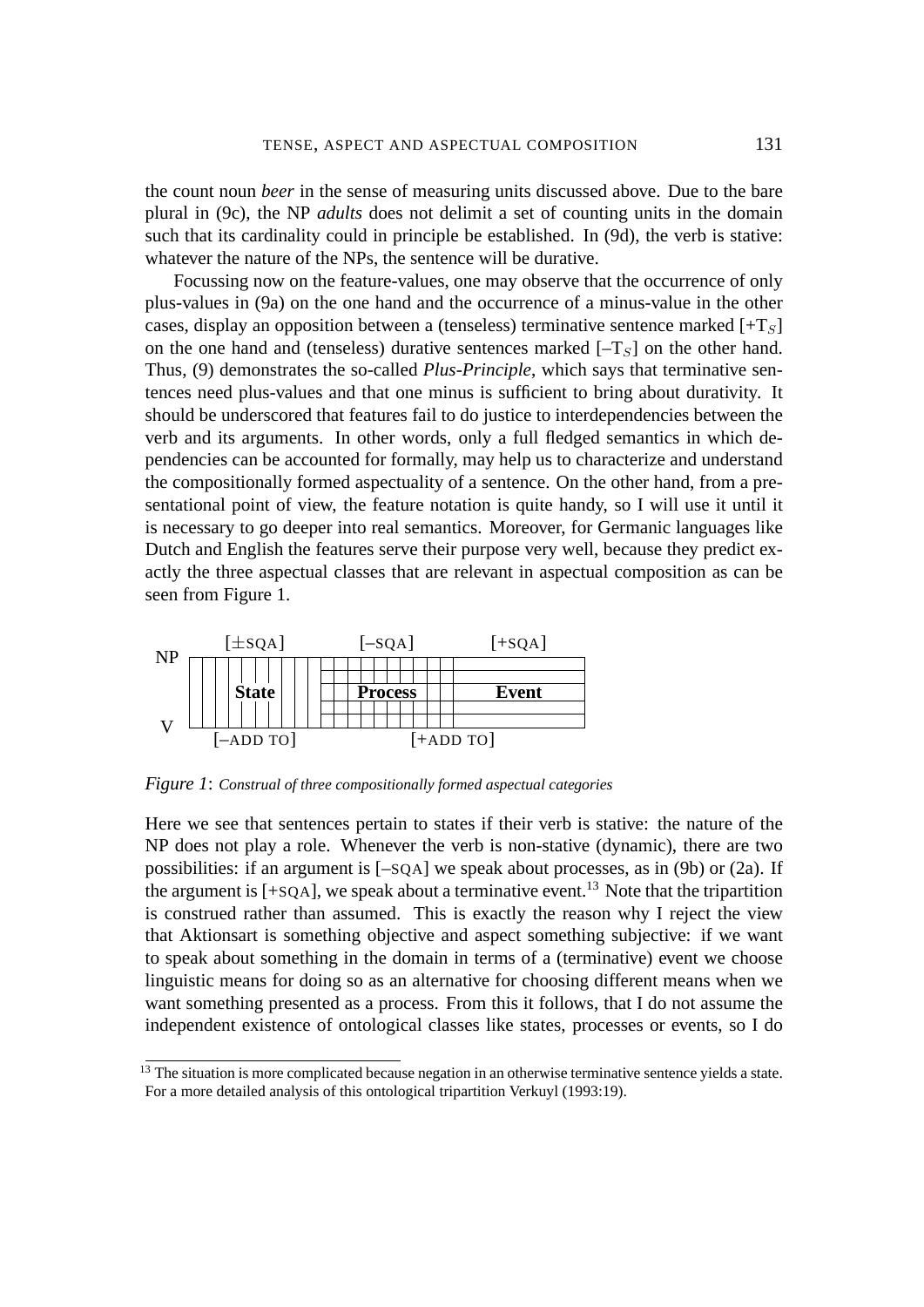the count noun *beer* in the sense of measuring units discussed above. Due to the bare plural in (9c), the NP *adults* does not delimit a set of counting units in the domain such that its cardinality could in principle be established. In (9d), the verb is stative: whatever the nature of the NPs, the sentence will be durative.

Focussing now on the feature-values, one may observe that the occurrence of only plus-values in (9a) on the one hand and the occurrence of a minus-value in the other cases, display an opposition between a (tenseless) terminative sentence marked  $[+T<sub>S</sub>]$ on the one hand and (tenseless) durative sentences marked  $[-T<sub>S</sub>]$  on the other hand. Thus, (9) demonstrates the so-called *Plus-Principle*, which says that terminative sentences need plus-values and that one minus is sufficient to bring about durativity. It should be underscored that features fail to do justice to interdependencies between the verb and its arguments. In other words, only a full fledged semantics in which dependencies can be accounted for formally, may help us to characterize and understand the compositionally formed aspectuality of a sentence. On the other hand, from a presentational point of view, the feature notation is quite handy, so I will use it until it is necessary to go deeper into real semantics. Moreover, for Germanic languages like Dutch and English the features serve their purpose very well, because they predict exactly the three aspectual classes that are relevant in aspectual composition as can be seen from Figure 1.



*Figure 1*: *Construal of three compositionally formed aspectual categories*

Here we see that sentences pertain to states if their verb is stative: the nature of the NP does not play a role. Whenever the verb is non-stative (dynamic), there are two possibilities: if an argument is [–SQA] we speak about processes, as in (9b) or (2a). If the argument is  $[+SQA]$ , we speak about a terminative event.<sup>13</sup> Note that the tripartition is construed rather than assumed. This is exactly the reason why I reject the view that Aktionsart is something objective and aspect something subjective: if we want to speak about something in the domain in terms of a (terminative) event we choose linguistic means for doing so as an alternative for choosing different means when we want something presented as a process. From this it follows, that I do not assume the independent existence of ontological classes like states, processes or events, so I do

 $13$  The situation is more complicated because negation in an otherwise terminative sentence yields a state. For a more detailed analysis of this ontological tripartition Verkuyl (1993:19).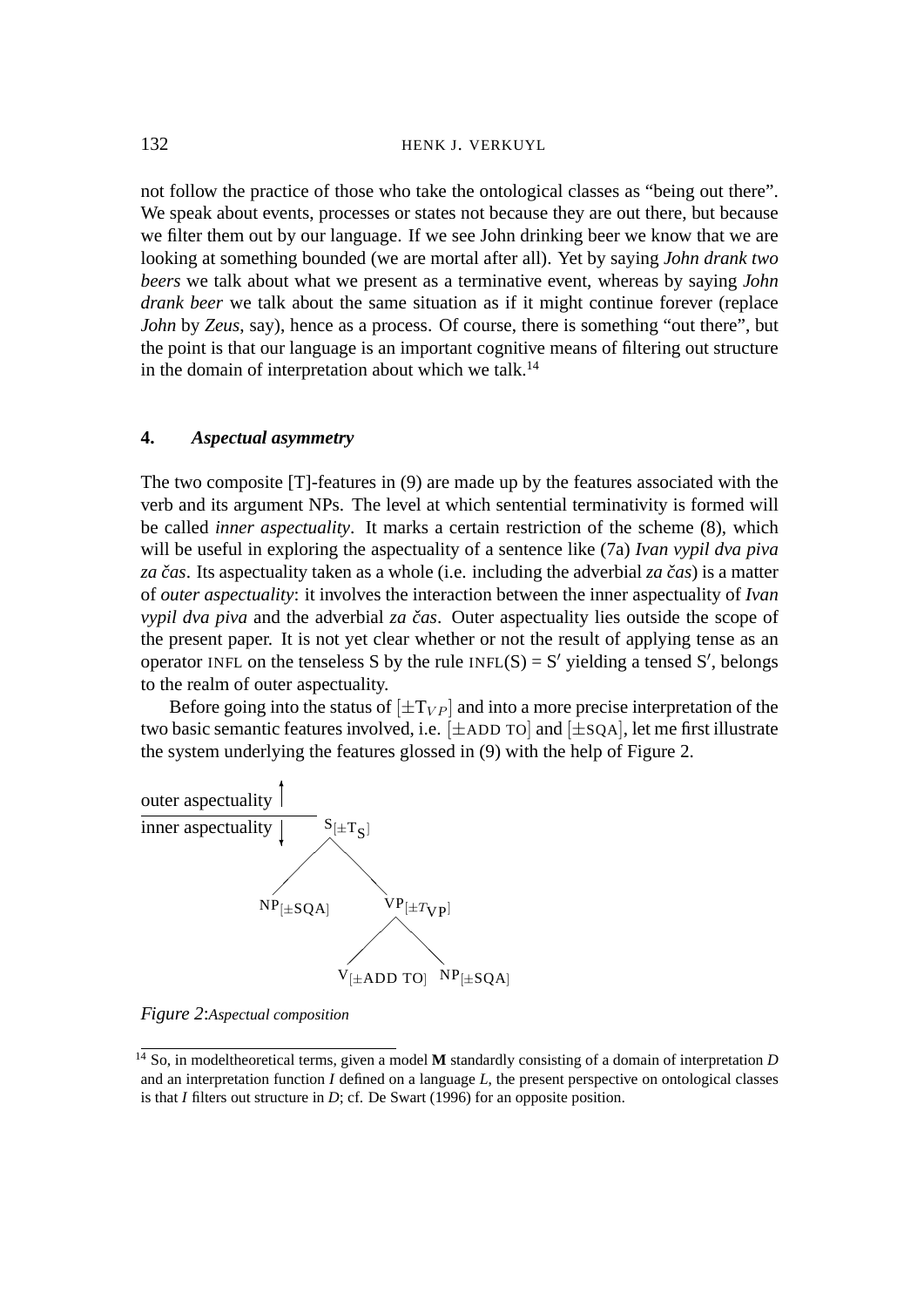not follow the practice of those who take the ontological classes as "being out there". We speak about events, processes or states not because they are out there, but because we filter them out by our language. If we see John drinking beer we know that we are looking at something bounded (we are mortal after all). Yet by saying *John drank two beers* we talk about what we present as a terminative event, whereas by saying *John drank beer* we talk about the same situation as if it might continue forever (replace *John* by *Zeus*, say), hence as a process. Of course, there is something "out there", but the point is that our language is an important cognitive means of filtering out structure in the domain of interpretation about which we talk.<sup>14</sup>

# **4.** *Aspectual asymmetry*

The two composite [T]-features in (9) are made up by the features associated with the verb and its argument NPs. The level at which sentential terminativity is formed will be called *inner aspectuality*. It marks a certain restriction of the scheme (8), which will be useful in exploring the aspectuality of a sentence like (7a) *Ivan vypil dva piva za cas ˇ* . Its aspectuality taken as a whole (i.e. including the adverbial *za cas ˇ* ) is a matter of *outer aspectuality*: it involves the interaction between the inner aspectuality of *Ivan vypil dva piva* and the adverbial *za cas ˇ* . Outer aspectuality lies outside the scope of the present paper. It is not yet clear whether or not the result of applying tense as an operator INFL on the tenseless S by the rule  $INFL(S) = S'$  yielding a tensed S', belongs to the realm of outer aspectuality.

Before going into the status of  $[\pm T_{VP}]$  and into a more precise interpretation of the two basic semantic features involved, i.e.  $[\pm ADD\ TO]$  and  $[\pm SQA]$ , let me first illustrate the system underlying the features glossed in (9) with the help of Figure 2.



*Figure 2*:*Aspectual composition*

<sup>14</sup> So, in modeltheoretical terms, given a model **M** standardly consisting of a domain of interpretation *D* and an interpretation function *I* defined on a language *L*, the present perspective on ontological classes is that *I* filters out structure in *D*; cf. De Swart (1996) for an opposite position.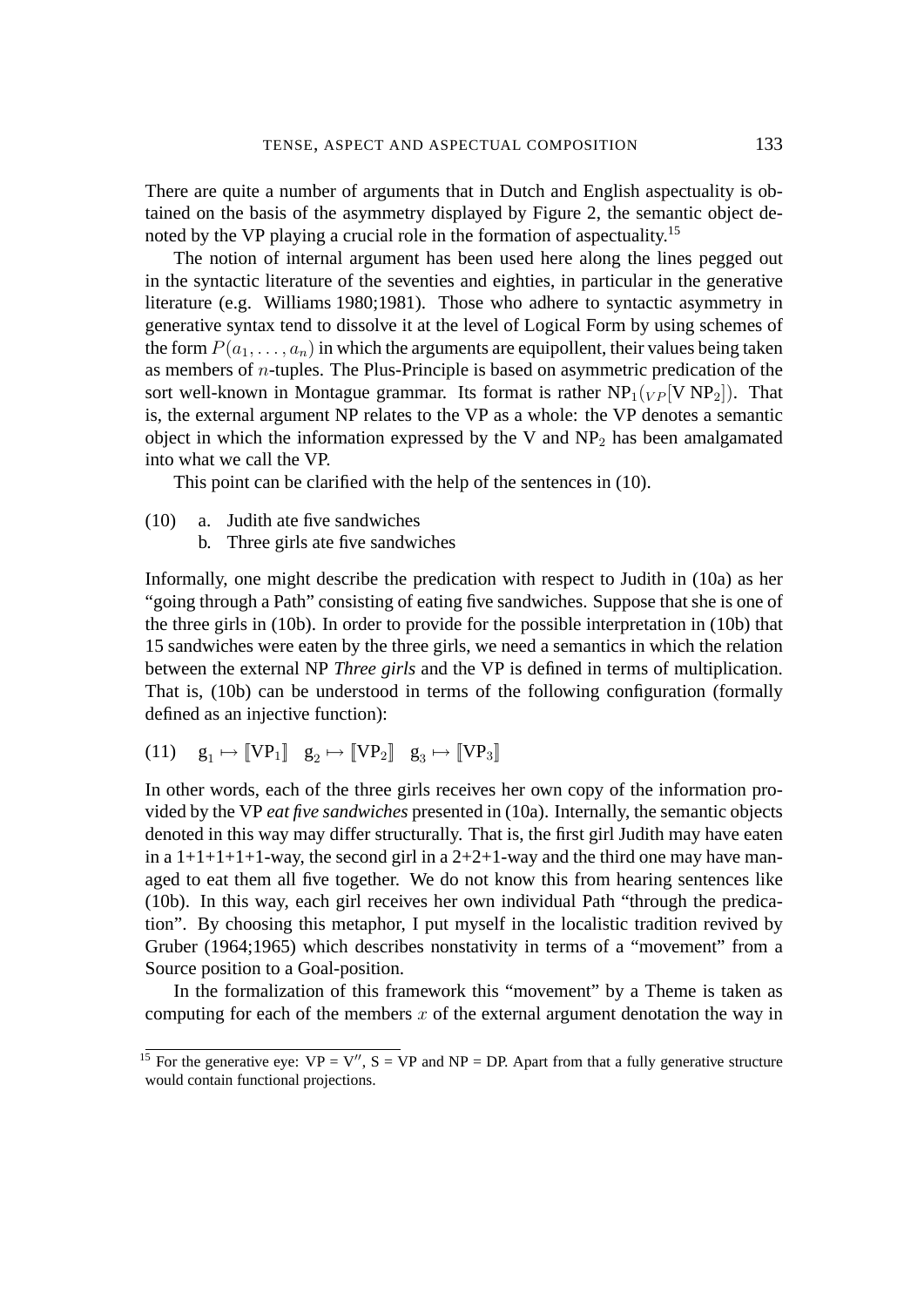There are quite a number of arguments that in Dutch and English aspectuality is obtained on the basis of the asymmetry displayed by Figure 2, the semantic object denoted by the VP playing a crucial role in the formation of aspectuality.<sup>15</sup>

The notion of internal argument has been used here along the lines pegged out in the syntactic literature of the seventies and eighties, in particular in the generative literature (e.g. Williams 1980;1981). Those who adhere to syntactic asymmetry in generative syntax tend to dissolve it at the level of Logical Form by using schemes of the form  $P(a_1, \ldots, a_n)$  in which the arguments are equipollent, their values being taken as members of n-tuples. The Plus-Principle is based on asymmetric predication of the sort well-known in Montague grammar. Its format is rather  $NP_1(\gamma_P [V NP_2])$ . That is, the external argument NP relates to the VP as a whole: the VP denotes a semantic object in which the information expressed by the V and  $NP<sub>2</sub>$  has been amalgamated into what we call the VP.

This point can be clarified with the help of the sentences in (10).

- a. Judith ate five sandwiches  $(10)$ 
	- b. Three girls ate five sandwiches

Informally, one might describe the predication with respect to Judith in (10a) as her "going through a Path" consisting of eating five sandwiches. Suppose that she is one of the three girls in (10b). In order to provide for the possible interpretation in (10b) that 15 sandwiches were eaten by the three girls, we need a semantics in which the relation between the external NP *Three girls* and the VP is defined in terms of multiplication. That is, (10b) can be understood in terms of the following configuration (formally defined as an injective function):

$$
(11) \quad g_1 \mapsto \llbracket \text{VP}_1 \rrbracket \quad g_2 \mapsto \llbracket \text{VP}_2 \rrbracket \quad g_3 \mapsto \llbracket \text{VP}_3 \rrbracket
$$

In other words, each of the three girls receives her own copy of the information provided by the VP *eat five sandwiches* presented in (10a). Internally, the semantic objects denoted in this way may differ structurally. That is, the first girl Judith may have eaten in a  $1+1+1+1+1$ -way, the second girl in a  $2+2+1$ -way and the third one may have managed to eat them all five together. We do not know this from hearing sentences like (10b). In this way, each girl receives her own individual Path "through the predication". By choosing this metaphor, I put myself in the localistic tradition revived by Gruber (1964;1965) which describes nonstativity in terms of a "movement" from a Source position to a Goal-position.

In the formalization of this framework this "movement" by a Theme is taken as computing for each of the members  $x$  of the external argument denotation the way in

<sup>&</sup>lt;sup>15</sup> For the generative eye:  $VP = V''$ ,  $S = VP$  and  $NP = DP$ . Apart from that a fully generative structure would contain functional projections.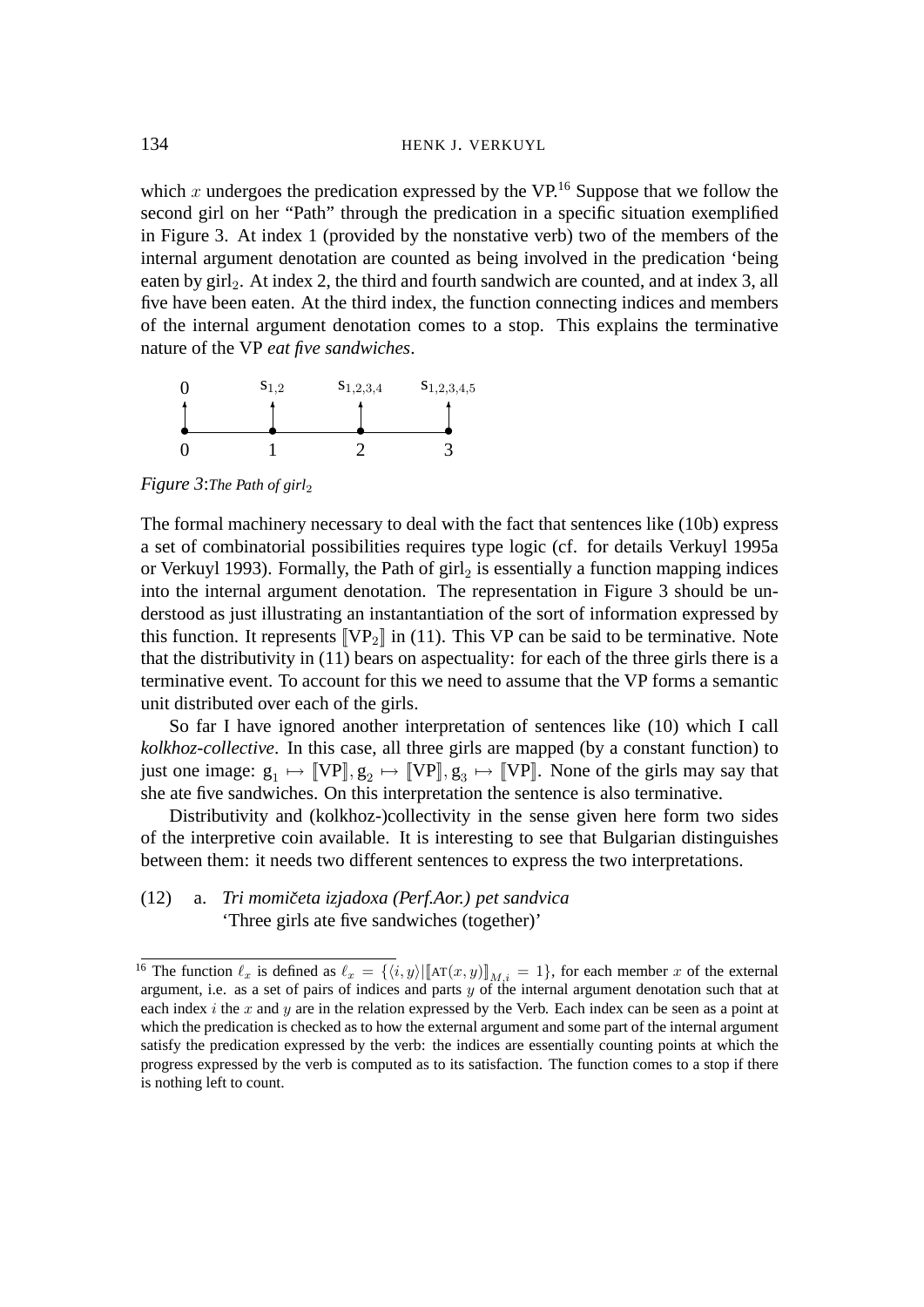which x undergoes the predication expressed by the VP.<sup>16</sup> Suppose that we follow the second girl on her "Path" through the predication in a specific situation exemplified in Figure 3. At index 1 (provided by the nonstative verb) two of the members of the internal argument denotation are counted as being involved in the predication 'being eaten by girl<sub>2</sub>. At index 2, the third and fourth sandwich are counted, and at index 3, all five have been eaten. At the third index, the function connecting indices and members of the internal argument denotation comes to a stop. This explains the terminative nature of the VP *eat five sandwiches*.



*Figure 3: The Path of girl*<sub>2</sub>

The formal machinery necessary to deal with the fact that sentences like (10b) express a set of combinatorial possibilities requires type logic (cf. for details Verkuyl 1995a or Verkuyl 1993). Formally, the Path of girl<sub>2</sub> is essentially a function mapping indices into the internal argument denotation. The representation in Figure 3 should be understood as just illustrating an instantantiation of the sort of information expressed by this function. It represents  $[\![VP_2]\!]$  in (11). This VP can be said to be terminative. Note that the distributivity in (11) bears on aspectuality: for each of the three girls there is a terminative event. To account for this we need to assume that the VP forms a semantic unit distributed over each of the girls.

So far I have ignored another interpretation of sentences like (10) which I call *kolkhoz-collective*. In this case, all three girls are mapped (by a constant function) to just one image:  $g_1 \mapsto [IVP], g_2 \mapsto [IVP], g_3 \mapsto [IVP]$ . None of the girls may say that she ate five sandwiches. On this interpretation the sentence is also terminative.

Distributivity and (kolkhoz-)collectivity in the sense given here form two sides of the interpretive coin available. It is interesting to see that Bulgarian distinguishes between them: it needs two different sentences to express the two interpretations.

a. *Tri momičeta izjadoxa (Perf.Aor.) pet sandvica* 'Three girls ate five sandwiches (together)' (12)

<sup>&</sup>lt;sup>16</sup> The function  $\ell_x$  is defined as  $\ell_x = {\langle i, y \rangle} [\![\text{AT}(x, y)]\!]_{M,i} = 1$ , for each member x of the external argument, i.e. as a set of pairs of indices and parts y of the internal argument denotation such that at each index  $i$  the x and y are in the relation expressed by the Verb. Each index can be seen as a point at which the predication is checked as to how the external argument and some part of the internal argument satisfy the predication expressed by the verb: the indices are essentially counting points at which the progress expressed by the verb is computed as to its satisfaction. The function comes to a stop if there is nothing left to count.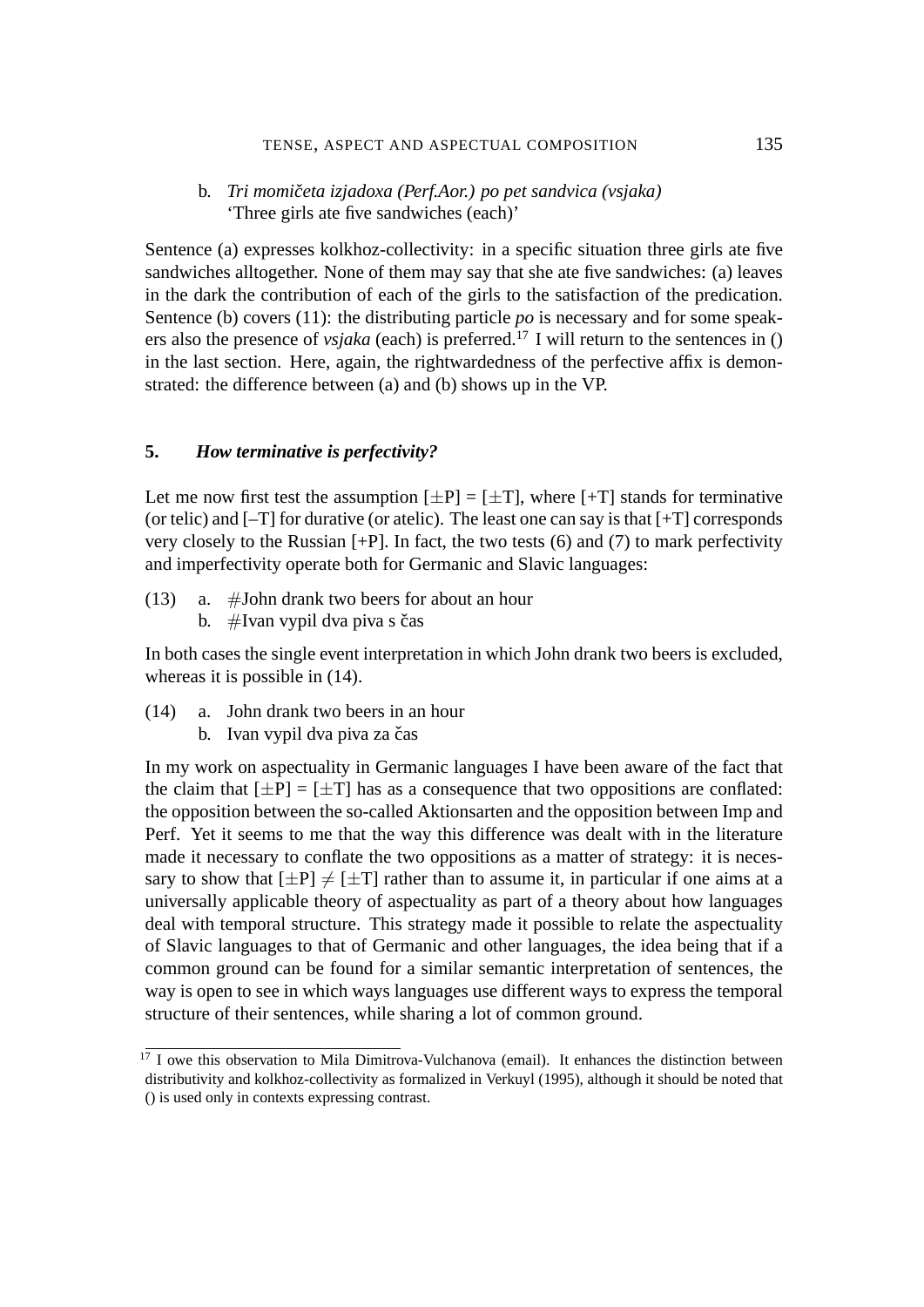b. *Tri momiceta izjadoxa (Perf.Aor.) po pet sandvica (vsjaka) ˇ* 'Three girls ate five sandwiches (each)'

Sentence (a) expresses kolkhoz-collectivity: in a specific situation three girls ate five sandwiches alltogether. None of them may say that she ate five sandwiches: (a) leaves in the dark the contribution of each of the girls to the satisfaction of the predication. Sentence (b) covers (11): the distributing particle *po* is necessary and for some speakers also the presence of *vsjaka* (each) is preferred.<sup>17</sup> I will return to the sentences in () in the last section. Here, again, the rightwardedness of the perfective affix is demonstrated: the difference between (a) and (b) shows up in the VP.

# **5.** *How terminative is perfectivity?*

Let me now first test the assumption  $[\pm P] = [\pm T]$ , where  $[\pm T]$  stands for terminative (or telic) and [–T] for durative (or atelic). The least one can say is that [+T] corresponds very closely to the Russian  $[+P]$ . In fact, the two tests (6) and (7) to mark perfectivity and imperfectivity operate both for Germanic and Slavic languages:

a. #John drank two beers for about an hour b.  $\#$ Ivan vypil dva piva s čas (13)

In both cases the single event interpretation in which John drank two beers is excluded, whereas it is possible in (14).

- a. John drank two beers in an hour  $(14)$ 
	- b. Ivan vypil dva piva za čas

In my work on aspectuality in Germanic languages I have been aware of the fact that the claim that  $[\pm P] = [\pm T]$  has as a consequence that two oppositions are conflated: the opposition between the so-called Aktionsarten and the opposition between Imp and Perf. Yet it seems to me that the way this difference was dealt with in the literature made it necessary to conflate the two oppositions as a matter of strategy: it is necessary to show that  $[\pm P] \neq [\pm T]$  rather than to assume it, in particular if one aims at a universally applicable theory of aspectuality as part of a theory about how languages deal with temporal structure. This strategy made it possible to relate the aspectuality of Slavic languages to that of Germanic and other languages, the idea being that if a common ground can be found for a similar semantic interpretation of sentences, the way is open to see in which ways languages use different ways to express the temporal structure of their sentences, while sharing a lot of common ground.

 $17$  I owe this observation to Mila Dimitrova-Vulchanova (email). It enhances the distinction between distributivity and kolkhoz-collectivity as formalized in Verkuyl (1995), although it should be noted that () is used only in contexts expressing contrast.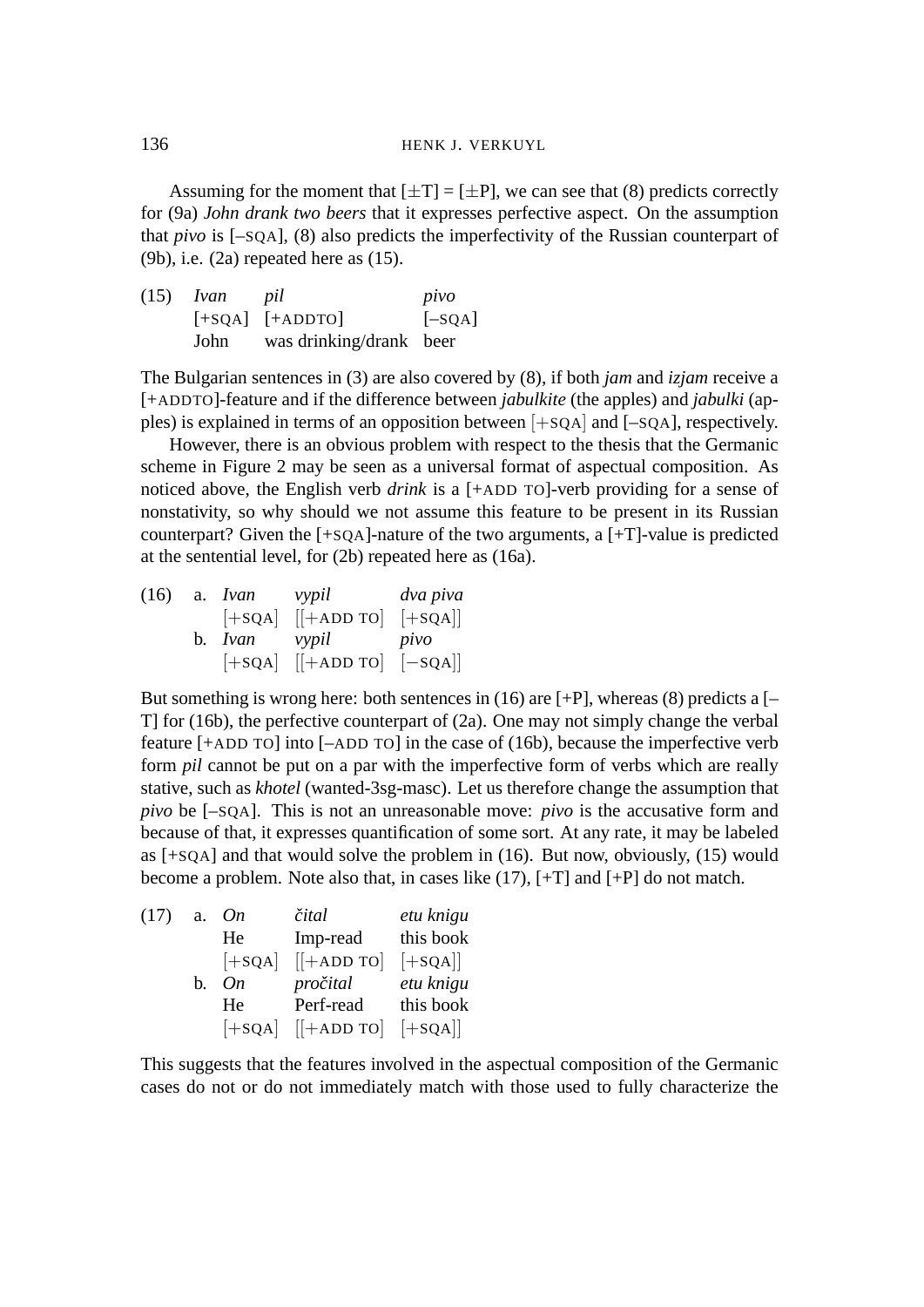Assuming for the moment that  $[\pm T] = [\pm P]$ , we can see that (8) predicts correctly for (9a) *John drank two beers* that it expresses perfective aspect. On the assumption that *pivo* is [–SQA], (8) also predicts the imperfectivity of the Russian counterpart of  $(9b)$ , i.e.  $(2a)$  repeated here as  $(15)$ .

| $(15)$ <i>Ivan pil</i> |                              | pivo            |
|------------------------|------------------------------|-----------------|
|                        | $[+SOA]$ $[+ADDTO]$          | $[-\text{SQA}]$ |
|                        | John was drinking/drank beer |                 |

The Bulgarian sentences in (3) are also covered by (8), if both *jam* and *izjam* receive a [+ADDTO]-feature and if the difference between *jabulkite* (the apples) and *jabulki* (apples) is explained in terms of an opposition between [+SQA] and [–SQA], respectively.

However, there is an obvious problem with respect to the thesis that the Germanic scheme in Figure 2 may be seen as a universal format of aspectual composition. As noticed above, the English verb *drink* is a [+ADD TO]-verb providing for a sense of nonstativity, so why should we not assume this feature to be present in its Russian counterpart? Given the  $[+SOA]$ -nature of the two arguments, a  $[+T]$ -value is predicted at the sentential level, for (2b) repeated here as (16a).

|  | $(16)$ a. <i>Ivan vypil</i> |                                 | dva piva |
|--|-----------------------------|---------------------------------|----------|
|  |                             | $[+SQA]$ $[[+ADD TO]$ $[+SQA]]$ |          |
|  |                             | b. <i>Ivan vypil</i>            | pivo     |
|  |                             | $[+SQA]$ $[[+ADD TO]$ $[-SQA]]$ |          |

But something is wrong here: both sentences in (16) are  $[+P]$ , whereas (8) predicts a  $[-]$ T] for (16b), the perfective counterpart of (2a). One may not simply change the verbal feature [+ADD TO] into [–ADD TO] in the case of (16b), because the imperfective verb form *pil* cannot be put on a par with the imperfective form of verbs which are really stative, such as *khotel* (wanted-3sg-masc). Let us therefore change the assumption that *pivo* be [–SQA]. This is not an unreasonable move: *pivo* is the accusative form and because of that, it expresses quantification of some sort. At any rate, it may be labeled as [+SQA] and that would solve the problem in (16). But now, obviously, (15) would become a problem. Note also that, in cases like (17), [+T] and [+P] do not match.

| (17) | a. $On$  | čital                         | etu knigu |
|------|----------|-------------------------------|-----------|
|      | He       | Imp-read                      | this book |
|      | $[+SQA]$ | $[+ADD TO]$ $[+SQA]$          |           |
|      | b. $On$  | pročital                      | etu knigu |
|      | He       | Perf-read                     | this book |
|      |          | $[+SQA]$ $[+ADD TO]$ $[+SQA]$ |           |

This suggests that the features involved in the aspectual composition of the Germanic cases do not or do not immediately match with those used to fully characterize the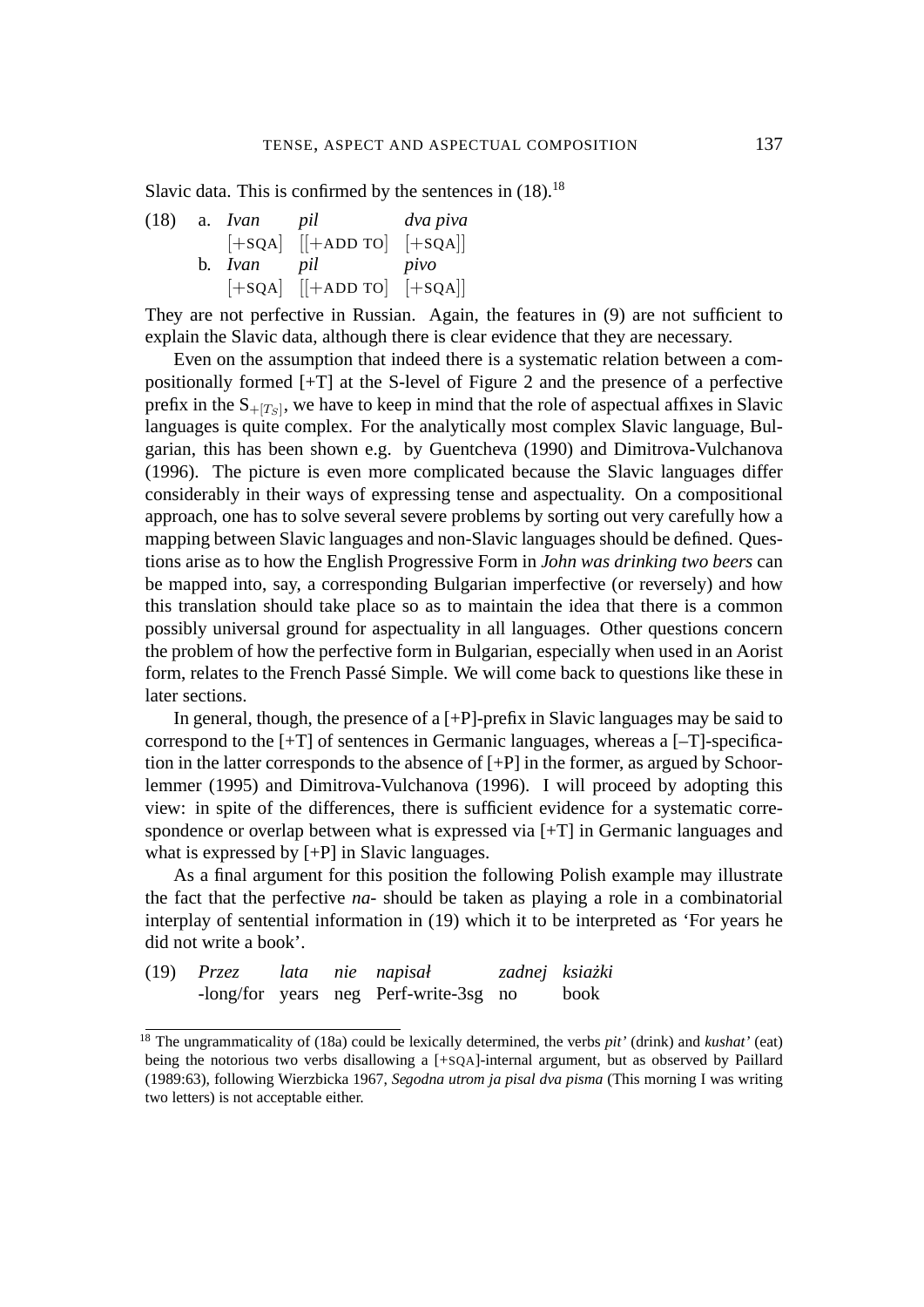Slavic data. This is confirmed by the sentences in  $(18)$ .<sup>18</sup>

a. *Ivan pil dva piva*  $[+SOA]$   $[+ADD TO]$   $[+SOA]$ b. *Ivan pil pivo*  $[+SQA]$   $[+ADD TO]$   $[+SQA]$ (18)

They are not perfective in Russian. Again, the features in (9) are not sufficient to explain the Slavic data, although there is clear evidence that they are necessary.

Even on the assumption that indeed there is a systematic relation between a compositionally formed [+T] at the S-level of Figure 2 and the presence of a perfective prefix in the  $S_{+[T_S]}$ , we have to keep in mind that the role of aspectual affixes in Slavic languages is quite complex. For the analytically most complex Slavic language, Bulgarian, this has been shown e.g. by Guentcheva (1990) and Dimitrova-Vulchanova (1996). The picture is even more complicated because the Slavic languages differ considerably in their ways of expressing tense and aspectuality. On a compositional approach, one has to solve several severe problems by sorting out very carefully how a mapping between Slavic languages and non-Slavic languages should be defined. Questions arise as to how the English Progressive Form in *John was drinking two beers* can be mapped into, say, a corresponding Bulgarian imperfective (or reversely) and how this translation should take place so as to maintain the idea that there is a common possibly universal ground for aspectuality in all languages. Other questions concern the problem of how the perfective form in Bulgarian, especially when used in an Aorist form, relates to the French Passe Simple. We will come back to questions like these in ´ later sections.

In general, though, the presence of a  $[+P]$ -prefix in Slavic languages may be said to correspond to the [+T] of sentences in Germanic languages, whereas a [–T]-specification in the latter corresponds to the absence of [+P] in the former, as argued by Schoorlemmer (1995) and Dimitrova-Vulchanova (1996). I will proceed by adopting this view: in spite of the differences, there is sufficient evidence for a systematic correspondence or overlap between what is expressed via [+T] in Germanic languages and what is expressed by [+P] in Slavic languages.

As a final argument for this position the following Polish example may illustrate the fact that the perfective *na*- should be taken as playing a role in a combinatorial interplay of sentential information in (19) which it to be interpreted as 'For years he did not write a book'.

| $(19)$ Przez |  | lata nie napisał                      | zadnej ksiażki |
|--------------|--|---------------------------------------|----------------|
|              |  | -long/for years neg Perf-write-3sg no | book           |

<sup>18</sup> The ungrammaticality of (18a) could be lexically determined, the verbs *pit'* (drink) and *kushat'* (eat) being the notorious two verbs disallowing a [+SQA]-internal argument, but as observed by Paillard (1989:63), following Wierzbicka 1967, *Segodna utrom ja pisal dva pisma* (This morning I was writing two letters) is not acceptable either.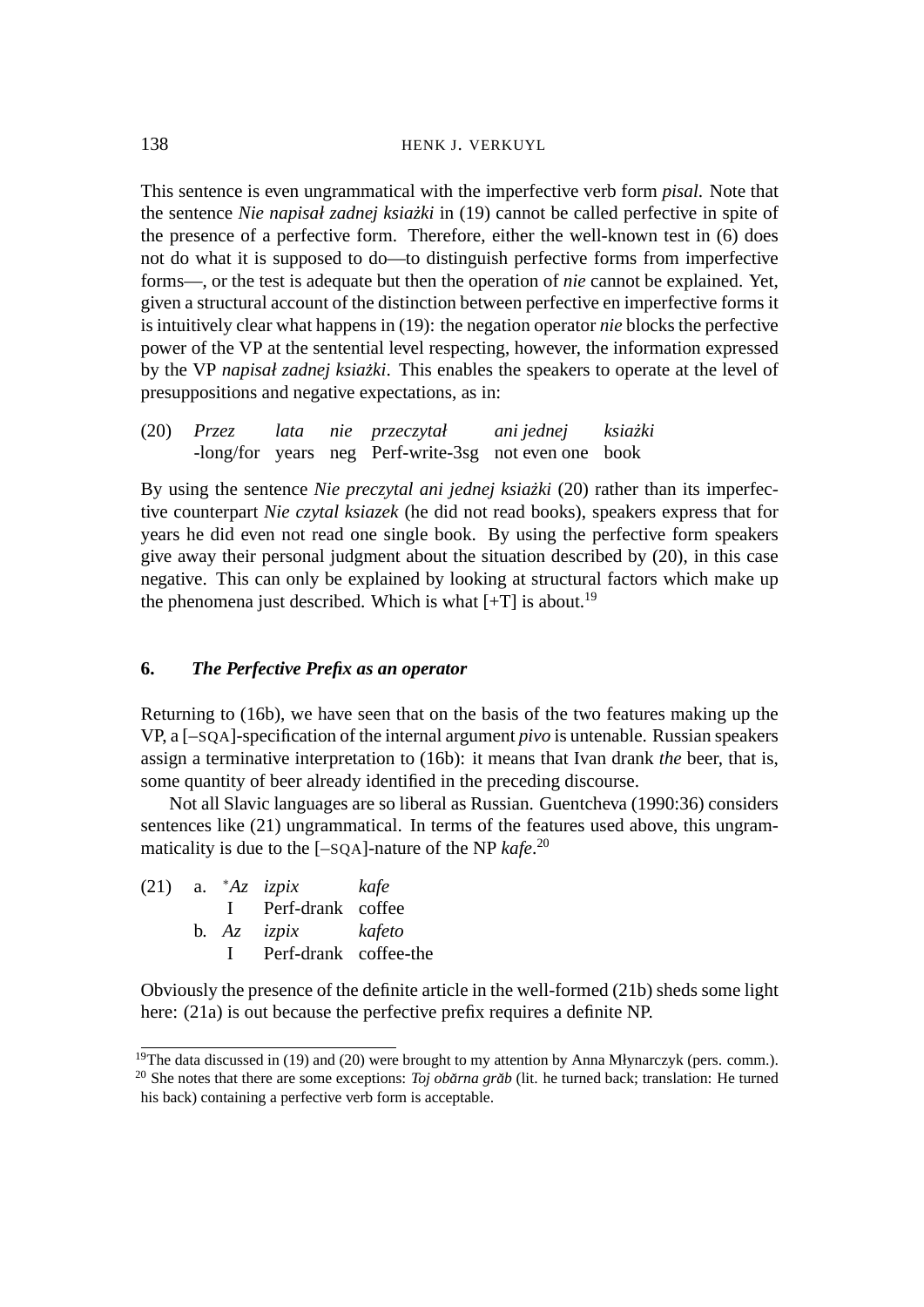This sentence is even ungrammatical with the imperfective verb form *pisal*. Note that the sentence *Nie napisał zadnej ksiazki ˙* in (19) cannot be called perfective in spite of the presence of a perfective form. Therefore, either the well-known test in (6) does not do what it is supposed to do—to distinguish perfective forms from imperfective forms—, or the test is adequate but then the operation of *nie* cannot be explained. Yet, given a structural account of the distinction between perfective en imperfective forms it is intuitively clear what happens in (19): the negation operator *nie* blocks the perfective power of the VP at the sentential level respecting, however, the information expressed by the VP *napisał zadnej ksiazki ˙* . This enables the speakers to operate at the level of presuppositions and negative expectations, as in:

*Przez lata nie przeczytał ani jednej ksiazki ˙* -long/for years neg Perf-write-3sg not even one book  $(20)$ 

By using the sentence *Nie preczytal ani jednej ksiazki ˙* (20) rather than its imperfective counterpart *Nie czytal ksiazek* (he did not read books), speakers express that for years he did even not read one single book. By using the perfective form speakers give away their personal judgment about the situation described by (20), in this case negative. This can only be explained by looking at structural factors which make up the phenomena just described. Which is what  $[+T]$  is about.<sup>19</sup>

# **6.** *The Perfective Prefix as an operator*

Returning to (16b), we have seen that on the basis of the two features making up the VP, a [–SQA]-specification of the internal argument *pivo* is untenable. Russian speakers assign a terminative interpretation to (16b): it means that Ivan drank *the* beer, that is, some quantity of beer already identified in the preceding discourse.

Not all Slavic languages are so liberal as Russian. Guentcheva (1990:36) considers sentences like (21) ungrammatical. In terms of the features used above, this ungrammaticality is due to the [–SQA]-nature of the NP *kafe*. 20

|  | (21) a. $*Az$ <i>izpix</i> | kafe |
|--|----------------------------|------|
|  | I Perf-drank coffee        |      |
|  | b. Az izpix kafeto         |      |
|  | Perf-drank coffee-the      |      |

Obviously the presence of the definite article in the well-formed (21b) sheds some light here: (21a) is out because the perfective prefix requires a definite NP.

<sup>&</sup>lt;sup>19</sup>The data discussed in (19) and (20) were brought to my attention by Anna Młynarczyk (pers. comm.). <sup>20</sup> She notes that there are some exceptions: *Toj obărna grăb* (lit. he turned back; translation: He turned his back) containing a perfective verb form is acceptable.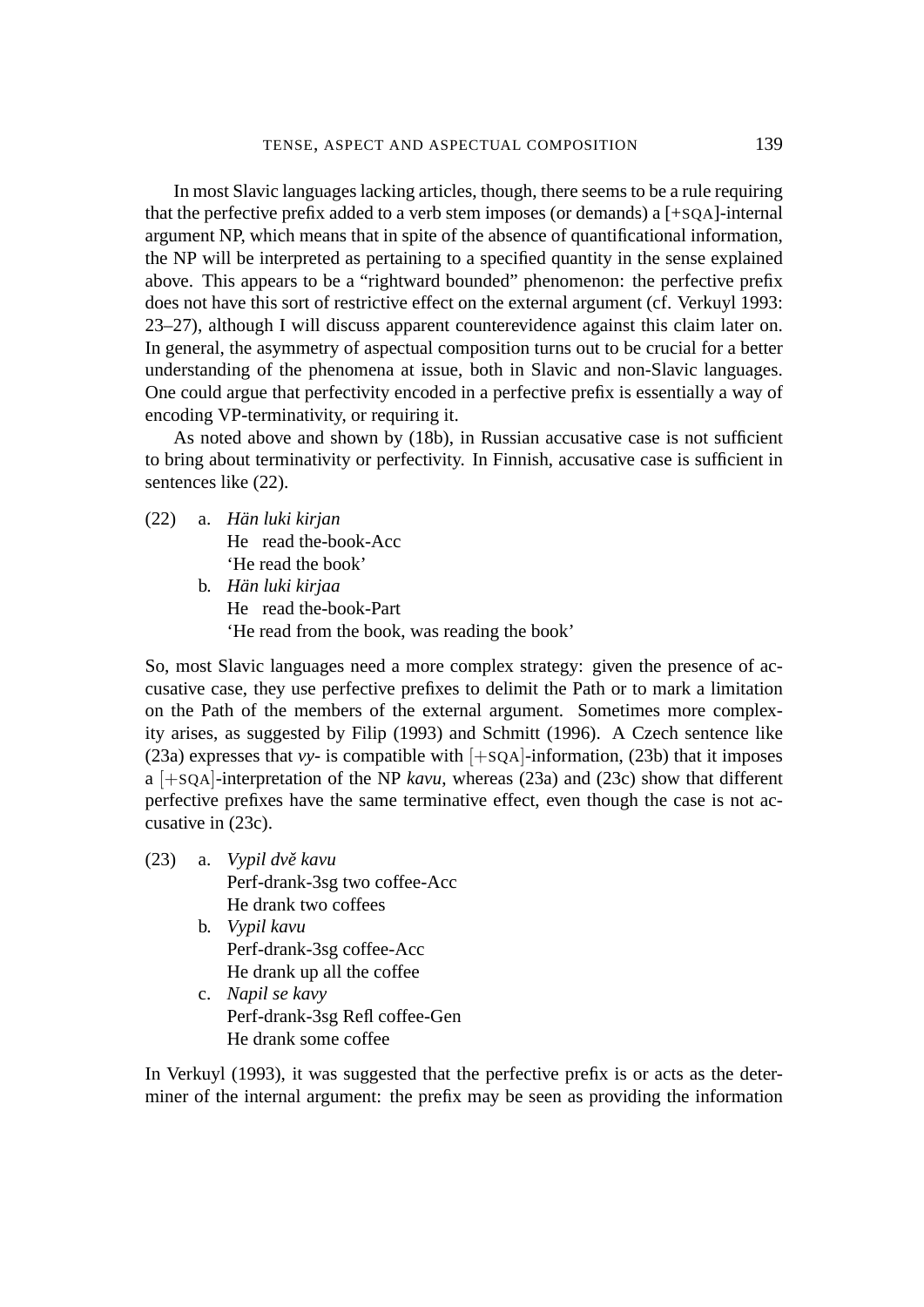In most Slavic languages lacking articles, though, there seems to be a rule requiring that the perfective prefix added to a verb stem imposes (or demands) a [+SQA]-internal argument NP, which means that in spite of the absence of quantificational information, the NP will be interpreted as pertaining to a specified quantity in the sense explained above. This appears to be a "rightward bounded" phenomenon: the perfective prefix does not have this sort of restrictive effect on the external argument (cf. Verkuyl 1993: 23–27), although I will discuss apparent counterevidence against this claim later on. In general, the asymmetry of aspectual composition turns out to be crucial for a better understanding of the phenomena at issue, both in Slavic and non-Slavic languages. One could argue that perfectivity encoded in a perfective prefix is essentially a way of encoding VP-terminativity, or requiring it.

As noted above and shown by (18b), in Russian accusative case is not sufficient to bring about terminativity or perfectivity. In Finnish, accusative case is sufficient in sentences like (22).

- a. *Han luki kirjan ¨* (22)
	- He read the-book-Acc
	- 'He read the book' b. *Han luki kirjaa ¨* He read the-book-Part
		- 'He read from the book, was reading the book'

So, most Slavic languages need a more complex strategy: given the presence of accusative case, they use perfective prefixes to delimit the Path or to mark a limitation on the Path of the members of the external argument. Sometimes more complexity arises, as suggested by Filip (1993) and Schmitt (1996). A Czech sentence like (23a) expresses that  $vy-$  is compatible with  $[+SOA]$ -information, (23b) that it imposes a [+SQA]-interpretation of the NP *kavu*, whereas (23a) and (23c) show that different perfective prefixes have the same terminative effect, even though the case is not accusative in (23c).

- (23) a. *Vypil dvě kavu* Perf-drank-3sg two coffee-Acc He drank two coffees
	- b. *Vypil kavu* Perf-drank-3sg coffee-Acc He drank up all the coffee
	- c. *Napil se kavy* Perf-drank-3sg Refl coffee-Gen He drank some coffee

In Verkuyl (1993), it was suggested that the perfective prefix is or acts as the determiner of the internal argument: the prefix may be seen as providing the information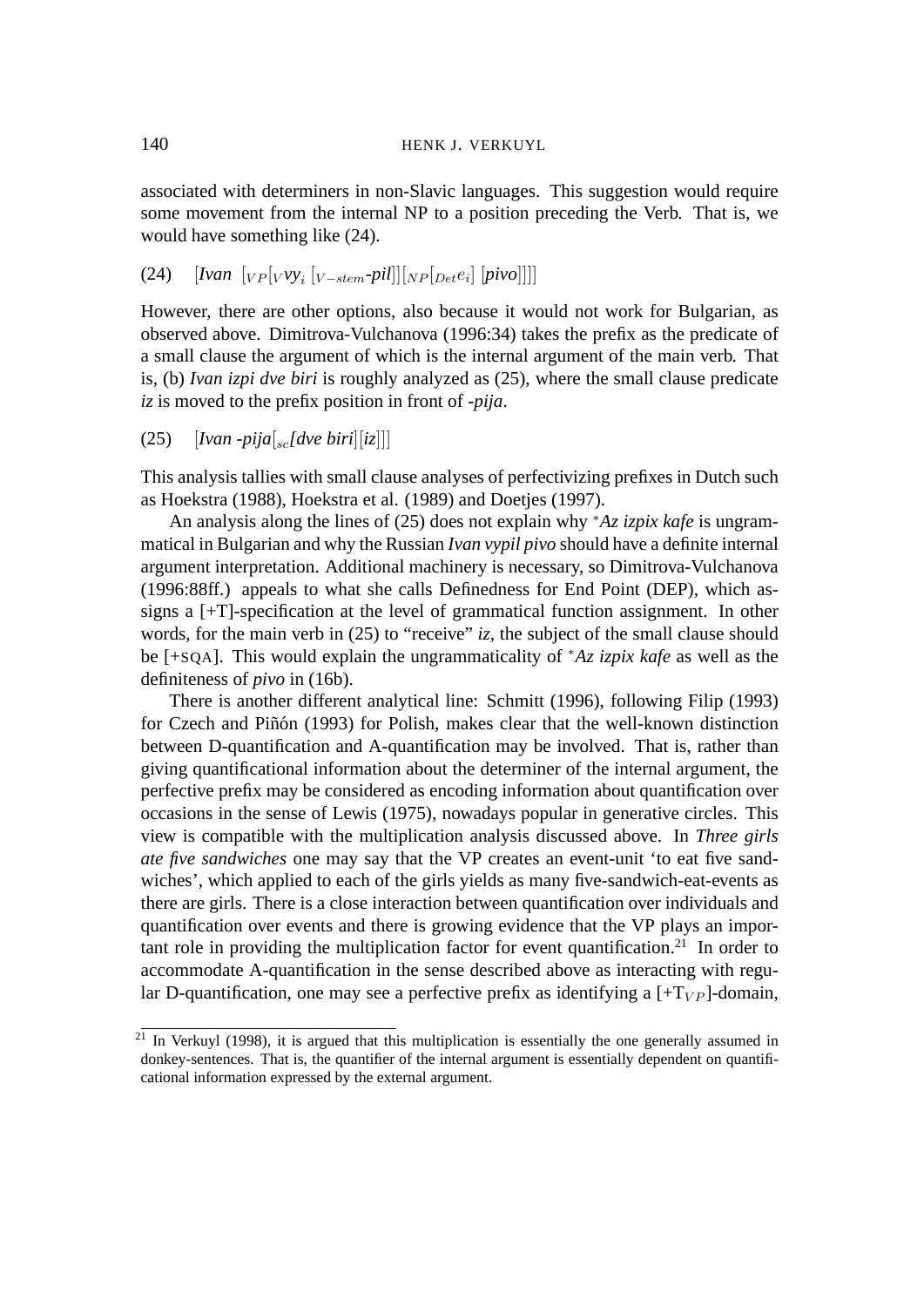associated with determiners in non-Slavic languages. This suggestion would require some movement from the internal NP to a position preceding the Verb. That is, we would have something like (24).

 $(24)$   $[Ivan \ [VP[vvy_i \ [v - stem\text{-}pil]] [NP[Det\text{-}ei] [pivo]]]]]$ 

However, there are other options, also because it would not work for Bulgarian, as observed above. Dimitrova-Vulchanova (1996:34) takes the prefix as the predicate of a small clause the argument of which is the internal argument of the main verb. That is, (b) *Ivan izpi dve biri* is roughly analyzed as (25), where the small clause predicate *iz* is moved to the prefix position in front of *-pija*.

 $(25)$  [*Ivan -pija*[ $_{sc}$ [*dve biri*][*iz*]]]

This analysis tallies with small clause analyses of perfectivizing prefixes in Dutch such as Hoekstra (1988), Hoekstra et al. (1989) and Doetjes (1997).

An analysis along the lines of (25) does not explain why <sup>∗</sup>*Az izpix kafe* is ungrammatical in Bulgarian and why the Russian *Ivan vypil pivo* should have a definite internal argument interpretation. Additional machinery is necessary, so Dimitrova-Vulchanova (1996:88ff.) appeals to what she calls Definedness for End Point (DEP), which assigns a [+T]-specification at the level of grammatical function assignment. In other words, for the main verb in (25) to "receive" *iz*, the subject of the small clause should be [+SQA]. This would explain the ungrammaticality of <sup>∗</sup>*Az izpix kafe* as well as the definiteness of *pivo* in (16b).

There is another different analytical line: Schmitt (1996), following Filip (1993) for Czech and Piñón (1993) for Polish, makes clear that the well-known distinction between D-quantification and A-quantification may be involved. That is, rather than giving quantificational information about the determiner of the internal argument, the perfective prefix may be considered as encoding information about quantification over occasions in the sense of Lewis (1975), nowadays popular in generative circles. This view is compatible with the multiplication analysis discussed above. In *Three girls ate five sandwiches* one may say that the VP creates an event-unit 'to eat five sandwiches', which applied to each of the girls yields as many five-sandwich-eat-events as there are girls. There is a close interaction between quantification over individuals and quantification over events and there is growing evidence that the VP plays an important role in providing the multiplication factor for event quantification.<sup>21</sup> In order to accommodate A-quantification in the sense described above as interacting with regular D-quantification, one may see a perfective prefix as identifying a  $[+T_{VP}]$ -domain,

 $21$  In Verkuyl (1998), it is argued that this multiplication is essentially the one generally assumed in donkey-sentences. That is, the quantifier of the internal argument is essentially dependent on quantificational information expressed by the external argument.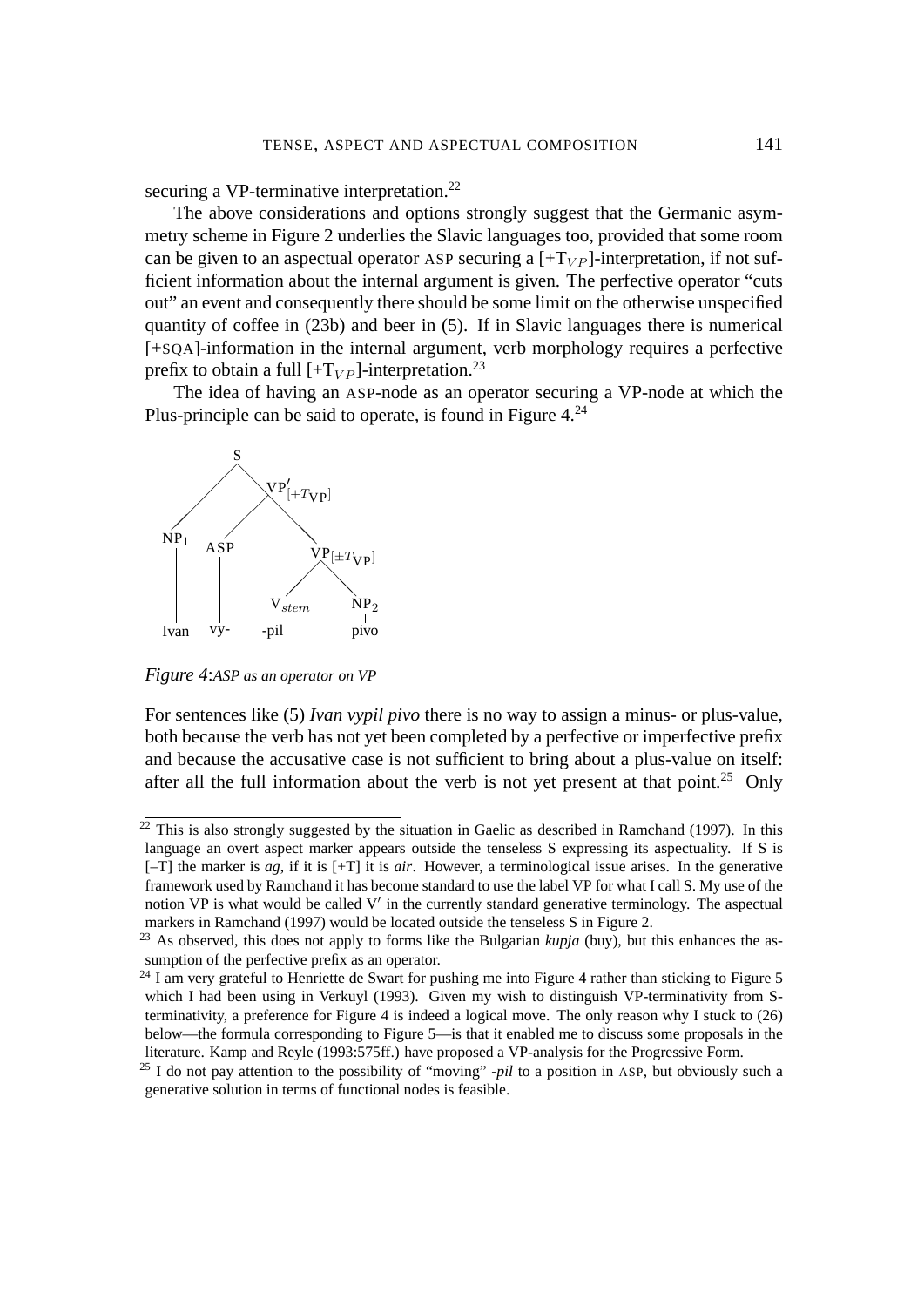securing a VP-terminative interpretation.<sup>22</sup>

The above considerations and options strongly suggest that the Germanic asymmetry scheme in Figure 2 underlies the Slavic languages too, provided that some room can be given to an aspectual operator ASP securing a  $[+T_{VP}]$ -interpretation, if not sufficient information about the internal argument is given. The perfective operator "cuts out" an event and consequently there should be some limit on the otherwise unspecified quantity of coffee in (23b) and beer in (5). If in Slavic languages there is numerical [+SQA]-information in the internal argument, verb morphology requires a perfective prefix to obtain a full  $[+T_{VP}]$ -interpretation.<sup>23</sup>

The idea of having an ASP-node as an operator securing a VP-node at which the Plus-principle can be said to operate, is found in Figure  $4.^{24}$ 



*Figure 4*:*ASP as an operator on VP*

For sentences like (5) *Ivan vypil pivo* there is no way to assign a minus- or plus-value, both because the verb has not yet been completed by a perfective or imperfective prefix and because the accusative case is not sufficient to bring about a plus-value on itself: after all the full information about the verb is not yet present at that point.<sup>25</sup> Only

 $22$  This is also strongly suggested by the situation in Gaelic as described in Ramchand (1997). In this language an overt aspect marker appears outside the tenseless S expressing its aspectuality. If S is  $[-T]$  the marker is *ag*, if it is  $[-T]$  it is *air*. However, a terminological issue arises. In the generative framework used by Ramchand it has become standard to use the label VP for what I call S. My use of the notion VP is what would be called V' in the currently standard generative terminology. The aspectual markers in Ramchand (1997) would be located outside the tenseless S in Figure 2.

<sup>23</sup> As observed, this does not apply to forms like the Bulgarian *kupja* (buy), but this enhances the assumption of the perfective prefix as an operator.

 $24$  I am very grateful to Henriette de Swart for pushing me into Figure 4 rather than sticking to Figure 5 which I had been using in Verkuyl (1993). Given my wish to distinguish VP-terminativity from Sterminativity, a preference for Figure 4 is indeed a logical move. The only reason why I stuck to (26) below—the formula corresponding to Figure 5—is that it enabled me to discuss some proposals in the literature. Kamp and Reyle (1993:575ff.) have proposed a VP-analysis for the Progressive Form.

<sup>25</sup> I do not pay attention to the possibility of "moving" *-pil* to a position in ASP, but obviously such a generative solution in terms of functional nodes is feasible.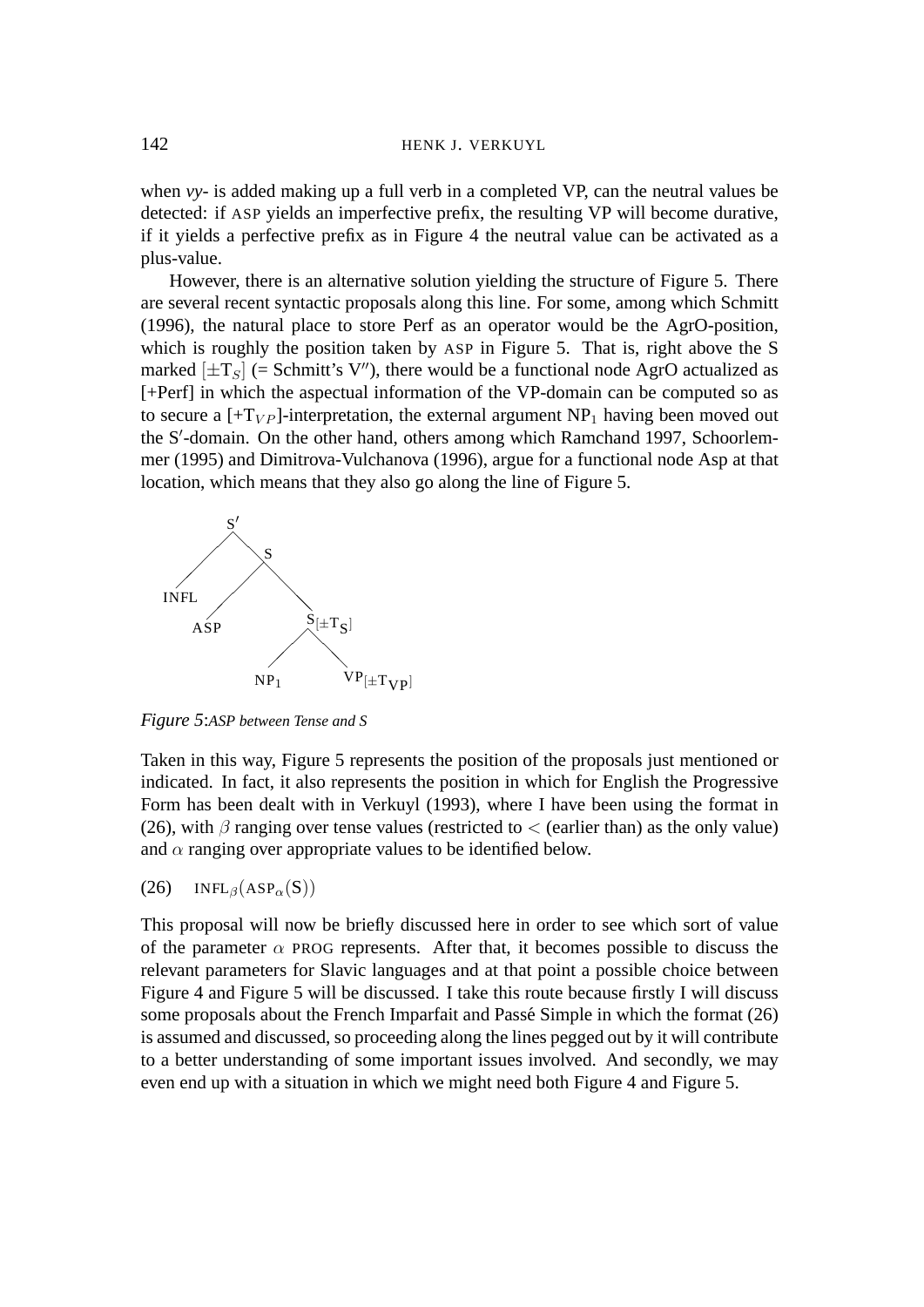when *vy-* is added making up a full verb in a completed VP, can the neutral values be detected: if ASP yields an imperfective prefix, the resulting VP will become durative, if it yields a perfective prefix as in Figure 4 the neutral value can be activated as a plus-value.

However, there is an alternative solution yielding the structure of Figure 5. There are several recent syntactic proposals along this line. For some, among which Schmitt (1996), the natural place to store Perf as an operator would be the AgrO-position, which is roughly the position taken by ASP in Figure 5. That is, right above the S marked  $[\pm T_s]$  (= Schmitt's V''), there would be a functional node AgrO actualized as [+Perf] in which the aspectual information of the VP-domain can be computed so as to secure a  $[+T_{VP}]$ -interpretation, the external argument  $NP_1$  having been moved out the S'-domain. On the other hand, others among which Ramchand 1997, Schoorlemmer (1995) and Dimitrova-Vulchanova (1996), argue for a functional node Asp at that location, which means that they also go along the line of Figure 5.



*Figure 5*:*ASP between Tense and S*

Taken in this way, Figure 5 represents the position of the proposals just mentioned or indicated. In fact, it also represents the position in which for English the Progressive Form has been dealt with in Verkuyl (1993), where I have been using the format in (26), with  $\beta$  ranging over tense values (restricted to  $\lt$  (earlier than) as the only value) and  $\alpha$  ranging over appropriate values to be identified below.

(26) INFL<sub>β</sub>(ASP<sub> $\alpha$ </sub>(S))

This proposal will now be briefly discussed here in order to see which sort of value of the parameter  $\alpha$  PROG represents. After that, it becomes possible to discuss the relevant parameters for Slavic languages and at that point a possible choice between Figure 4 and Figure 5 will be discussed. I take this route because firstly I will discuss some proposals about the French Imparfait and Passé Simple in which the format  $(26)$ is assumed and discussed, so proceeding along the lines pegged out by it will contribute to a better understanding of some important issues involved. And secondly, we may even end up with a situation in which we might need both Figure 4 and Figure 5.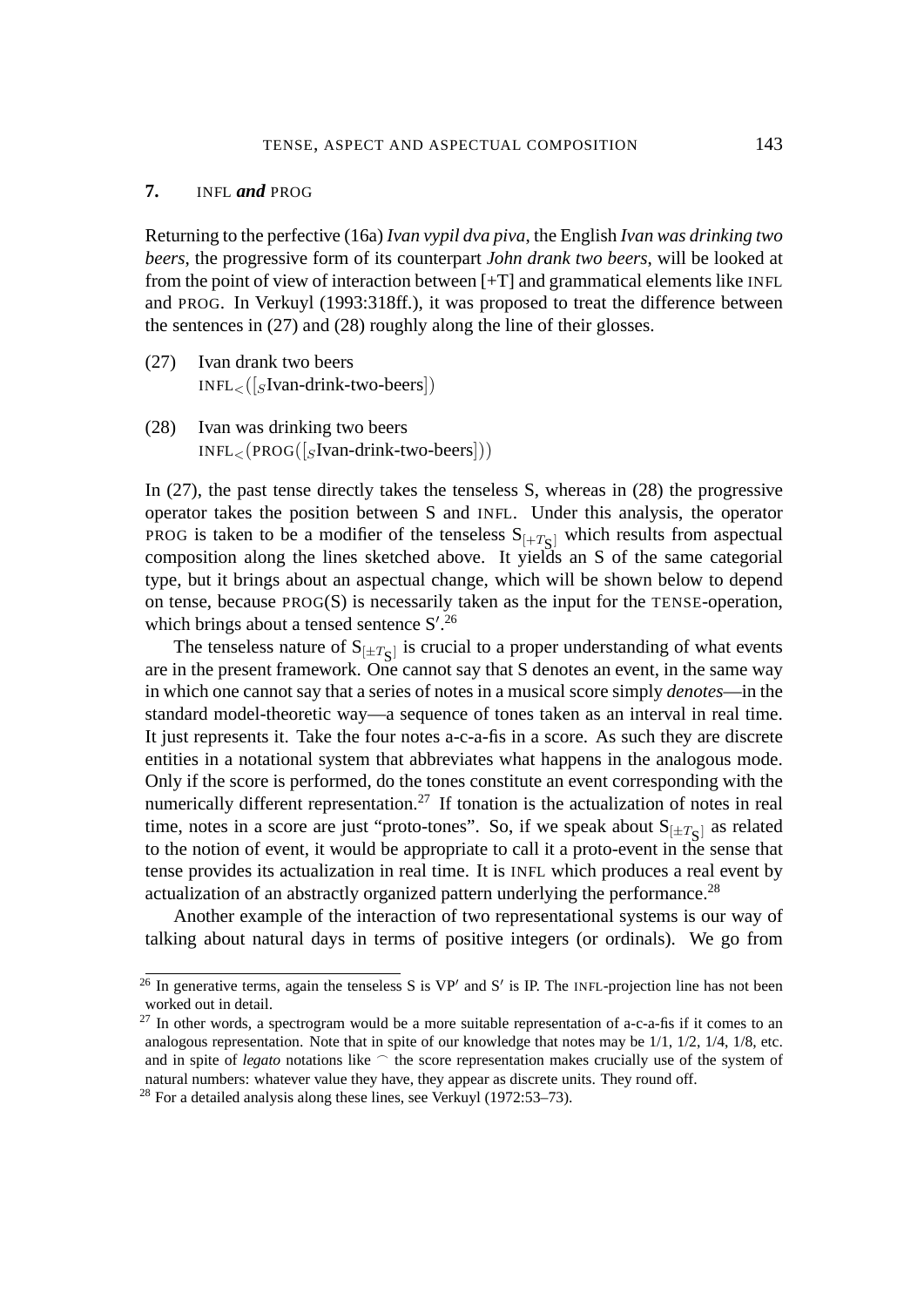### **7.** INFL *and* PROG

Returning to the perfective (16a) *Ivan vypil dva piva*, the English *Ivan was drinking two beers*, the progressive form of its counterpart *John drank two beers*, will be looked at from the point of view of interaction between [+T] and grammatical elements like INFL and PROG. In Verkuyl (1993:318ff.), it was proposed to treat the difference between the sentences in (27) and (28) roughly along the line of their glosses.

- Ivan drank two beers  $INFL<sub><</sub>(sIvan-drink-two-beers])$ (27)
- Ivan was drinking two beers  $INFL<sub>></sub>(PROG([sIvan-drink-two-beers]))$ (28)

In (27), the past tense directly takes the tenseless S, whereas in (28) the progressive operator takes the position between S and INFL. Under this analysis, the operator PROG is taken to be a modifier of the tenseless  $S_{[+T_S]}$  which results from aspectual composition along the lines sketched above. It yields an S of the same categorial type, but it brings about an aspectual change, which will be shown below to depend on tense, because PROG(S) is necessarily taken as the input for the TENSE-operation, which brings about a tensed sentence  $S'.^{26}$ 

The tenseless nature of  $S_{[\pm T_S]}$  is crucial to a proper understanding of what events are in the present framework. One cannot say that S denotes an event, in the same way in which one cannot say that a series of notes in a musical score simply *denotes*—in the standard model-theoretic way—a sequence of tones taken as an interval in real time. It just represents it. Take the four notes a-c-a-fis in a score. As such they are discrete entities in a notational system that abbreviates what happens in the analogous mode. Only if the score is performed, do the tones constitute an event corresponding with the numerically different representation.<sup>27</sup> If tonation is the actualization of notes in real time, notes in a score are just "proto-tones". So, if we speak about  $S_{[\pm T_S]}$  as related to the notion of event, it would be appropriate to call it a proto-event in the sense that tense provides its actualization in real time. It is INFL which produces a real event by actualization of an abstractly organized pattern underlying the performance.<sup>28</sup>

Another example of the interaction of two representational systems is our way of talking about natural days in terms of positive integers (or ordinals). We go from

<sup>&</sup>lt;sup>26</sup> In generative terms, again the tenseless S is  $VP'$  and S' is IP. The INFL-projection line has not been worked out in detail.

 $27$  In other words, a spectrogram would be a more suitable representation of a-c-a-fis if it comes to an analogous representation. Note that in spite of our knowledge that notes may be 1/1, 1/2, 1/4, 1/8, etc. and in spite of *legato* notations like  $\cap$  the score representation makes crucially use of the system of natural numbers: whatever value they have, they appear as discrete units. They round off.

 $28$  For a detailed analysis along these lines, see Verkuyl (1972:53–73).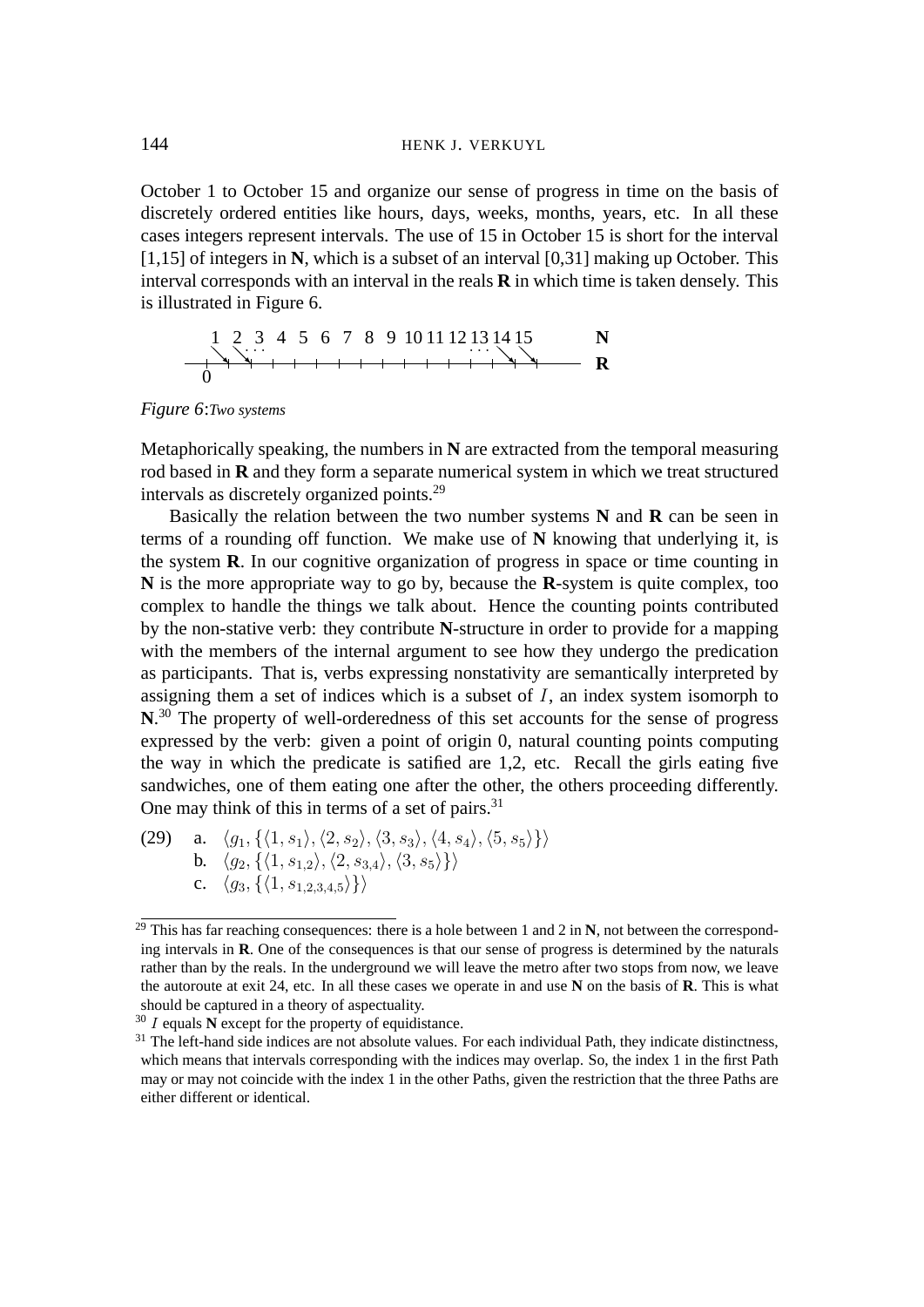October 1 to October 15 and organize our sense of progress in time on the basis of discretely ordered entities like hours, days, weeks, months, years, etc. In all these cases integers represent intervals. The use of 15 in October 15 is short for the interval [1,15] of integers in N, which is a subset of an interval [0,31] making up October. This interval corresponds with an interval in the reals **R** in which time is taken densely. This is illustrated in Figure 6.



*Figure 6*:*Two systems*

Metaphorically speaking, the numbers in **N** are extracted from the temporal measuring rod based in **R** and they form a separate numerical system in which we treat structured intervals as discretely organized points.<sup>29</sup>

Basically the relation between the two number systems **N** and **R** can be seen in terms of a rounding off function. We make use of **N** knowing that underlying it, is the system **R**. In our cognitive organization of progress in space or time counting in **N** is the more appropriate way to go by, because the **R**-system is quite complex, too complex to handle the things we talk about. Hence the counting points contributed by the non-stative verb: they contribute **N**-structure in order to provide for a mapping with the members of the internal argument to see how they undergo the predication as participants. That is, verbs expressing nonstativity are semantically interpreted by assigning them a set of indices which is a subset of  $I$ , an index system isomorph to N.<sup>30</sup> The property of well-orderedness of this set accounts for the sense of progress expressed by the verb: given a point of origin 0, natural counting points computing the way in which the predicate is satified are 1,2, etc. Recall the girls eating five sandwiches, one of them eating one after the other, the others proceeding differently. One may think of this in terms of a set of pairs. $31$ 

a.  $\langle g_1, \{ \langle 1, s_1 \rangle, \langle 2, s_2 \rangle, \langle 3, s_3 \rangle, \langle 4, s_4 \rangle, \langle 5, s_5 \rangle \} \rangle$ b.  $\langle g_2, \{ \langle 1, s_{1,2} \rangle, \langle 2, s_{3,4} \rangle, \langle 3, s_5 \rangle \} \rangle$ c.  $\langle q_3, \{ \langle 1, s_{1,2,3,4,5} \rangle \} \rangle$ (29)

<sup>&</sup>lt;sup>29</sup> This has far reaching consequences: there is a hole between 1 and 2 in **N**, not between the corresponding intervals in **R**. One of the consequences is that our sense of progress is determined by the naturals rather than by the reals. In the underground we will leave the metro after two stops from now, we leave the autoroute at exit 24, etc. In all these cases we operate in and use **N** on the basis of **R**. This is what should be captured in a theory of aspectuality.

<sup>&</sup>lt;sup>30</sup> *I* equals **N** except for the property of equidistance.

<sup>&</sup>lt;sup>31</sup> The left-hand side indices are not absolute values. For each individual Path, they indicate distinctness, which means that intervals corresponding with the indices may overlap. So, the index 1 in the first Path may or may not coincide with the index 1 in the other Paths, given the restriction that the three Paths are either different or identical.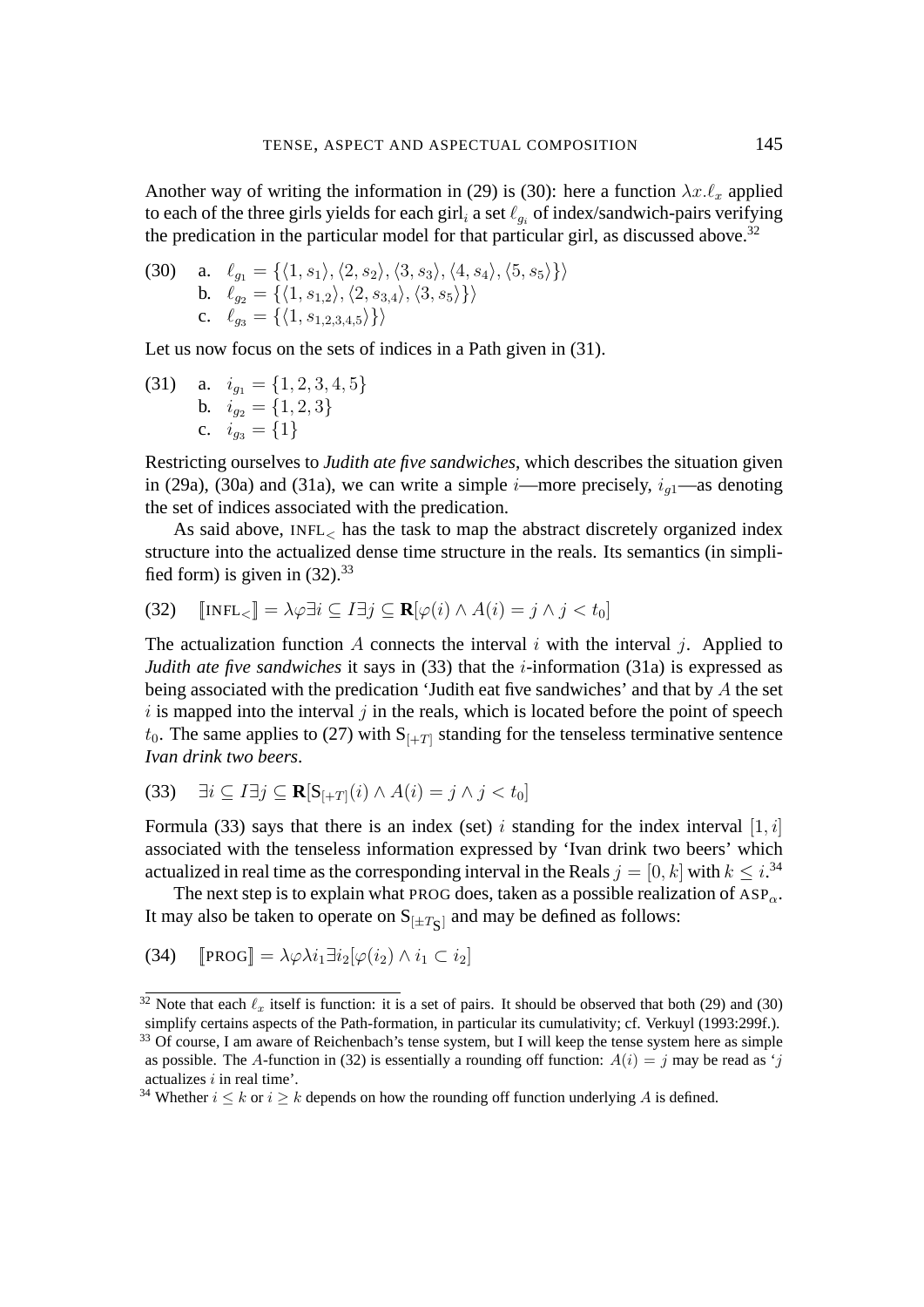Another way of writing the information in (29) is (30): here a function  $\lambda x.\ell_x$  applied to each of the three girls yields for each girl $_i$  a set  $\ell_{g_i}$  of index/sandwich-pairs verifying the predication in the particular model for that particular girl, as discussed above.<sup>32</sup>

(30) **a.** 
$$
\ell_{g_1} = \{ \langle 1, s_1 \rangle, \langle 2, s_2 \rangle, \langle 3, s_3 \rangle, \langle 4, s_4 \rangle, \langle 5, s_5 \rangle \} \rangle
$$
  
\n**b.**  $\ell_{g_2} = \{ \langle 1, s_{1,2} \rangle, \langle 2, s_{3,4} \rangle, \langle 3, s_5 \rangle \} \rangle$   
\n**c.**  $\ell_{g_3} = \{ \langle 1, s_{1,2,3,4,5} \rangle \} \rangle$ 

Let us now focus on the sets of indices in a Path given in (31).

a.  $i_{g_1} = \{1, 2, 3, 4, 5\}$ b.  $i_{g_2} = \{1, 2, 3\}$ c.  $i_{g_3} = \{1\}$ (31)

Restricting ourselves to *Judith ate five sandwiches*, which describes the situation given in (29a), (30a) and (31a), we can write a simple *i*—more precisely,  $i_{q1}$ —as denoting the set of indices associated with the predication.

As said above, INFL<sup>&</sup>lt; has the task to map the abstract discretely organized index structure into the actualized dense time structure in the reals. Its semantics (in simplified form) is given in  $(32)$ .<sup>33</sup>

(32) 
$$
\llbracket \text{INFL}_{<} \rrbracket = \lambda \varphi \exists i \subseteq I \exists j \subseteq \mathbf{R} [\varphi(i) \land A(i) = j \land j < t_0]
$$

The actualization function A connects the interval i with the interval j. Applied to *Judith ate five sandwiches* it says in (33) that the *i*-information (31a) is expressed as being associated with the predication 'Judith eat five sandwiches' and that by A the set  $i$  is mapped into the interval  $j$  in the reals, which is located before the point of speech  $t_0$ . The same applies to (27) with  $S_{[+T]}$  standing for the tenseless terminative sentence *Ivan drink two beers*.

(33) 
$$
\exists i \subseteq I \exists j \subseteq \mathbf{R}[S_{[+T]}(i) \land A(i) = j \land j < t_0]
$$

Formula (33) says that there is an index (set) i standing for the index interval  $[1, i]$ associated with the tenseless information expressed by 'Ivan drink two beers' which actualized in real time as the corresponding interval in the Reals  $j = [0, k]$  with  $k \leq i$ .<sup>34</sup>

The next step is to explain what PROG does, taken as a possible realization of  $ASP_{\alpha}$ . It may also be taken to operate on  $S_{[\pm T_\mathbf{S}]}$  and may be defined as follows:

(34)  $\operatorname{[PROG]} = \lambda \varphi \lambda i_1 \exists i_2 [\varphi(i_2) \wedge i_1 \subset i_2]$ 

<sup>&</sup>lt;sup>32</sup> Note that each  $\ell_x$  itself is function: it is a set of pairs. It should be observed that both (29) and (30) simplify certains aspects of the Path-formation, in particular its cumulativity; cf. Verkuyl (1993:299f.). <sup>33</sup> Of course, I am aware of Reichenbach's tense system, but I will keep the tense system here as simple as possible. The A-function in (32) is essentially a rounding off function:  $A(i) = j$  may be read as 'j actualizes  $i$  in real time'.

<sup>&</sup>lt;sup>34</sup> Whether  $i \le k$  or  $i \ge k$  depends on how the rounding off function underlying A is defined.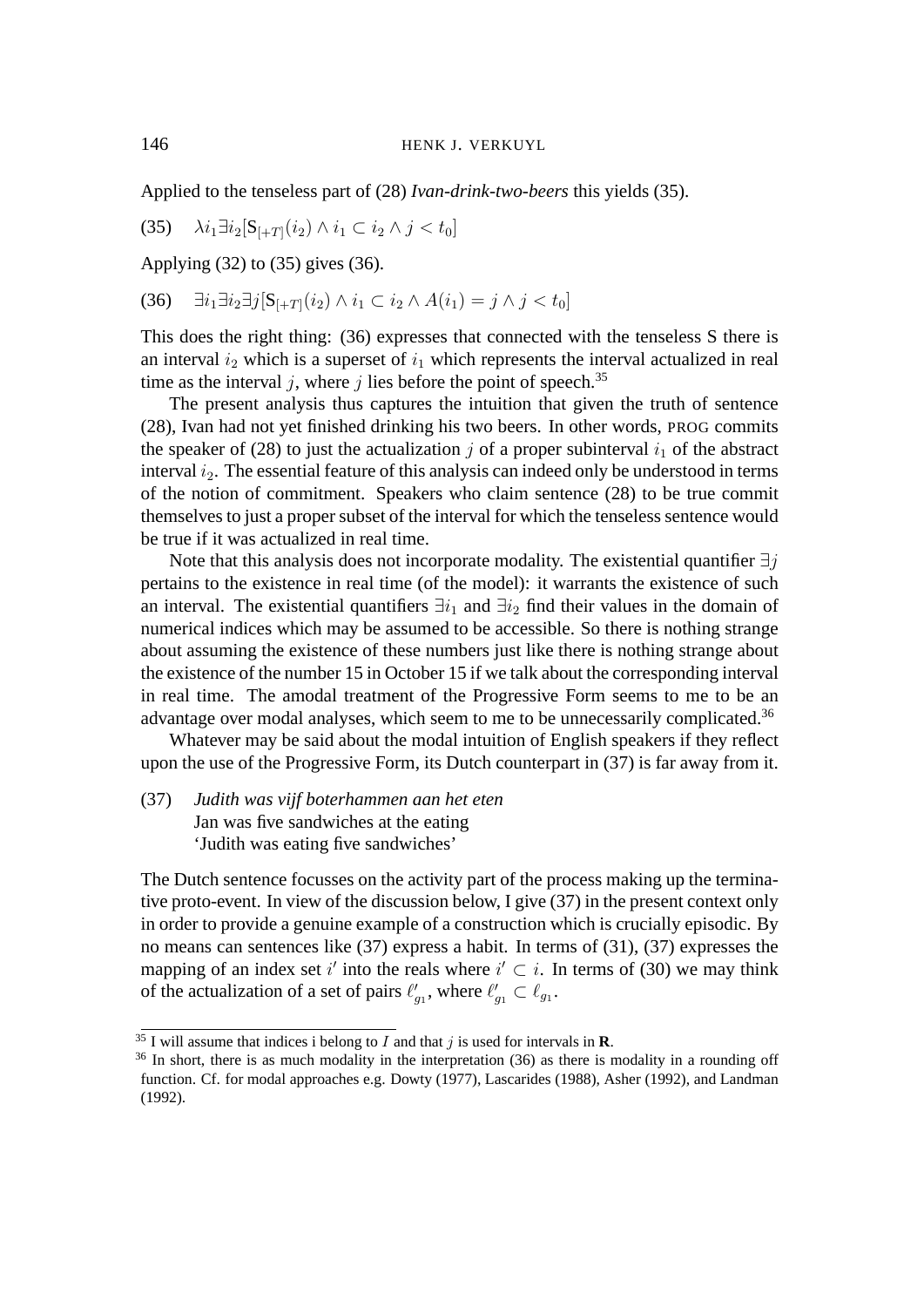Applied to the tenseless part of (28) *Ivan-drink-two-beers* this yields (35).

(35) 
$$
\lambda i_1 \exists i_2 [S_{[+T]}(i_2) \wedge i_1 \subset i_2 \wedge j < t_0]
$$

Applying (32) to (35) gives (36).

(36)  $\exists i_1 \exists i_2 \exists j$ [ $S_{[+T]}(i_2) \wedge i_1 \subset i_2 \wedge A(i_1) = j \wedge j < t_0$ ]

This does the right thing: (36) expresses that connected with the tenseless S there is an interval  $i_2$  which is a superset of  $i_1$  which represents the interval actualized in real time as the interval j, where j lies before the point of speech.<sup>35</sup>

The present analysis thus captures the intuition that given the truth of sentence (28), Ivan had not yet finished drinking his two beers. In other words, PROG commits the speaker of (28) to just the actualization j of a proper subinterval  $i_1$  of the abstract interval  $i_2$ . The essential feature of this analysis can indeed only be understood in terms of the notion of commitment. Speakers who claim sentence (28) to be true commit themselves to just a proper subset of the interval for which the tenseless sentence would be true if it was actualized in real time.

Note that this analysis does not incorporate modality. The existential quantifier  $\exists j$ pertains to the existence in real time (of the model): it warrants the existence of such an interval. The existential quantifiers  $\exists i_1$  and  $\exists i_2$  find their values in the domain of numerical indices which may be assumed to be accessible. So there is nothing strange about assuming the existence of these numbers just like there is nothing strange about the existence of the number 15 in October 15 if we talk about the corresponding interval in real time. The amodal treatment of the Progressive Form seems to me to be an advantage over modal analyses, which seem to me to be unnecessarily complicated.<sup>36</sup>

Whatever may be said about the modal intuition of English speakers if they reflect upon the use of the Progressive Form, its Dutch counterpart in (37) is far away from it.

*Judith was vijf boterhammen aan het eten* Jan was five sandwiches at the eating 'Judith was eating five sandwiches' (37)

The Dutch sentence focusses on the activity part of the process making up the terminative proto-event. In view of the discussion below, I give (37) in the present context only in order to provide a genuine example of a construction which is crucially episodic. By no means can sentences like (37) express a habit. In terms of (31), (37) expresses the mapping of an index set i' into the reals where  $i' \subset i$ . In terms of (30) we may think of the actualization of a set of pairs  $\ell'_{g_1}$ , where  $\ell'_{g_1} \subset \ell_{g_1}$ .

<sup>&</sup>lt;sup>35</sup> I will assume that indices i belong to I and that i is used for intervals in **R**.

 $36$  In short, there is as much modality in the interpretation (36) as there is modality in a rounding off function. Cf. for modal approaches e.g. Dowty (1977), Lascarides (1988), Asher (1992), and Landman (1992).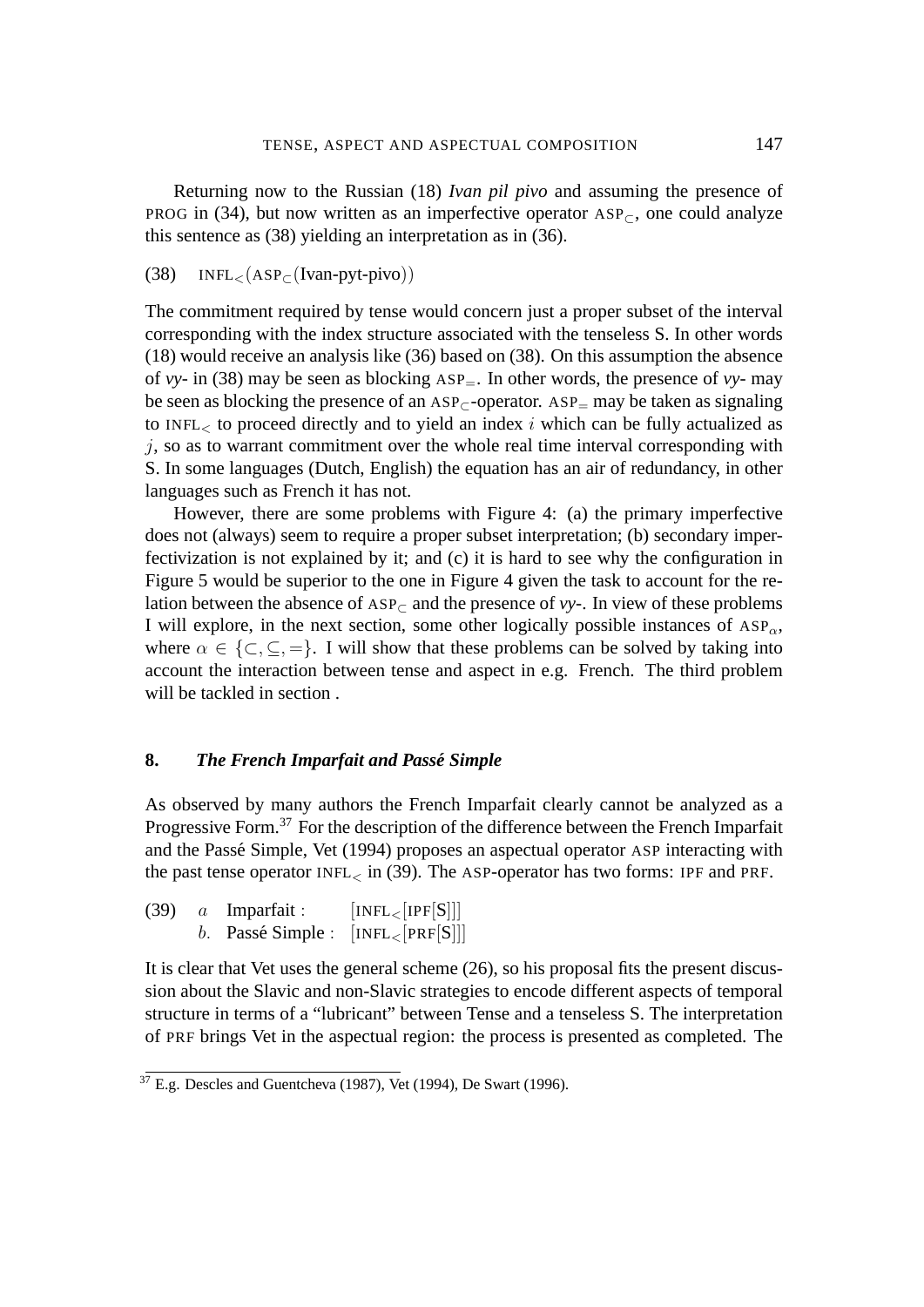Returning now to the Russian (18) *Ivan pil pivo* and assuming the presence of PROG in (34), but now written as an imperfective operator  $ASP_{\subset}$ , one could analyze this sentence as (38) yielding an interpretation as in (36).

(38) INFL<sub> $\leq$ </sub>(ASP<sub> $\subset$ </sub>(Ivan-pyt-pivo))

The commitment required by tense would concern just a proper subset of the interval corresponding with the index structure associated with the tenseless S. In other words (18) would receive an analysis like (36) based on (38). On this assumption the absence of *vy*- in (38) may be seen as blocking  $ASP_{=}$ . In other words, the presence of *vy*- may be seen as blocking the presence of an  $ASP_{\text{c}}$ -operator.  $ASP_{\text{c}}$  may be taken as signaling to  $INFL<sub>z</sub>$  to proceed directly and to yield an index i which can be fully actualized as  $j$ , so as to warrant commitment over the whole real time interval corresponding with S. In some languages (Dutch, English) the equation has an air of redundancy, in other languages such as French it has not.

However, there are some problems with Figure 4: (a) the primary imperfective does not (always) seem to require a proper subset interpretation; (b) secondary imperfectivization is not explained by it; and (c) it is hard to see why the configuration in Figure 5 would be superior to the one in Figure 4 given the task to account for the relation between the absence of  $ASP<sub>C</sub>$  and the presence of *vy*-. In view of these problems I will explore, in the next section, some other logically possible instances of  $ASP_{\alpha}$ , where  $\alpha \in \{\subset, \subset, =\}.$  I will show that these problems can be solved by taking into account the interaction between tense and aspect in e.g. French. The third problem will be tackled in section .

# **8.** *The French Imparfait and Passe Simple ´*

As observed by many authors the French Imparfait clearly cannot be analyzed as a Progressive Form.<sup>37</sup> For the description of the difference between the French Imparfait and the Passé Simple, Vet (1994) proposes an aspectual operator ASP interacting with the past tense operator  $INFL<sub>lt</sub>$  in (39). The ASP-operator has two forms: IPF and PRF.

| (39) | a | Imparfait : | $[NFL_{&} [IPF[S]]]$                      |
|------|---|-------------|-------------------------------------------|
|      |   |             | b. Passé Simple : $[NFL_{\leq} [PRF[S]]]$ |

It is clear that Vet uses the general scheme (26), so his proposal fits the present discussion about the Slavic and non-Slavic strategies to encode different aspects of temporal structure in terms of a "lubricant" between Tense and a tenseless S. The interpretation of PRF brings Vet in the aspectual region: the process is presented as completed. The

 $37$  E.g. Descles and Guentcheva (1987), Vet (1994), De Swart (1996).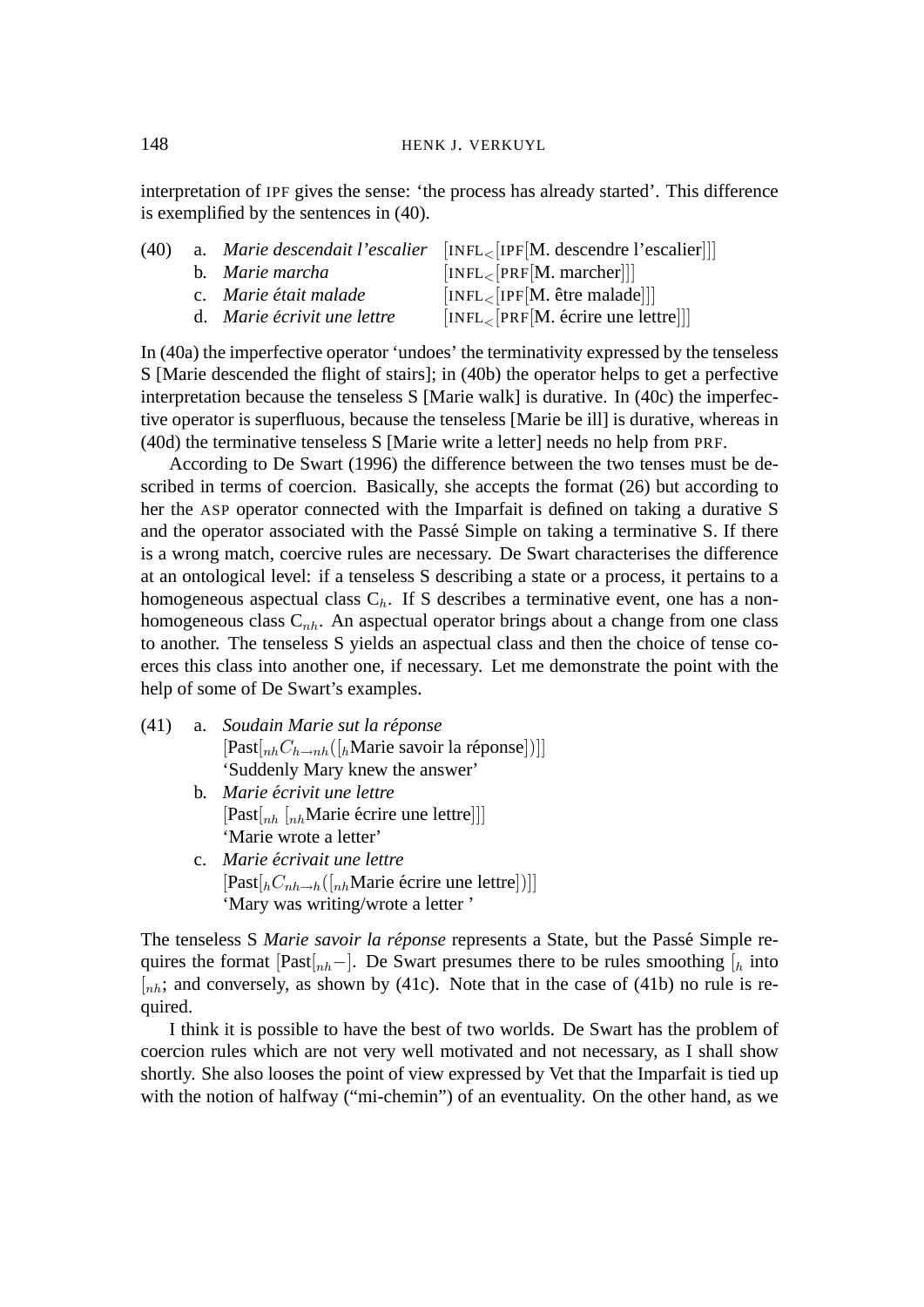interpretation of IPF gives the sense: 'the process has already started'. This difference is exemplified by the sentences in (40).

| (40) |                             | a. <i>Marie descendait l'escalier</i> $[INFL_{\leq} [IPF[M, descendre l'escalier]]]$ |
|------|-----------------------------|--------------------------------------------------------------------------------------|
|      | b. Marie marcha             | $[\text{INFL}_{&e}[\text{PRF}[\text{M. marcher}]]]$                                  |
|      | c. Marie était malade       | $[\text{INFL}_{<}[\text{IPF}[\text{M}]$ . être malade]]                              |
|      | d. Marie écrivit une lettre | $[INFL_{&} [PRF[M. \text{ écrire une letter}]]]$                                     |

In (40a) the imperfective operator 'undoes' the terminativity expressed by the tenseless S [Marie descended the flight of stairs]; in (40b) the operator helps to get a perfective interpretation because the tenseless S [Marie walk] is durative. In (40c) the imperfective operator is superfluous, because the tenseless [Marie be ill] is durative, whereas in (40d) the terminative tenseless S [Marie write a letter] needs no help from PRF.

According to De Swart (1996) the difference between the two tenses must be described in terms of coercion. Basically, she accepts the format (26) but according to her the ASP operator connected with the Imparfait is defined on taking a durative S and the operator associated with the Passé Simple on taking a terminative S. If there is a wrong match, coercive rules are necessary. De Swart characterises the difference at an ontological level: if a tenseless S describing a state or a process, it pertains to a homogeneous aspectual class  $C_h$ . If S describes a terminative event, one has a nonhomogeneous class  $C_{nh}$ . An aspectual operator brings about a change from one class to another. The tenseless S yields an aspectual class and then the choice of tense coerces this class into another one, if necessary. Let me demonstrate the point with the help of some of De Swart's examples.

- a. *Soudain Marie sut la reponse ´*  $[Fast[<sub>nh</sub>C<sub>h\rightarrow nh</sub>(<sub>h</sub>Marie savoir la réponse])]$ 'Suddenly Mary knew the answer' (41)
	- b. *Marie ecrivit une lettre ´*  $[Fast<sub>nh</sub> [<sub>nh</sub> Marie écrire une letter]]]$ 'Marie wrote a letter'
	- c. *Marie ecrivait une lettre ´*  $[Fast[_b_iC_{nh\rightarrow h}([n,hM\text{arie écrire une letter}$ 'Mary was writing/wrote a letter '

The tenseless S *Marie savoir la réponse* represents a State, but the Passé Simple requires the format  $[Fast]_{nh}$ –]. De Swart presumes there to be rules smoothing  $\vert_h$  into  $\vert_{nh}$ ; and conversely, as shown by (41c). Note that in the case of (41b) no rule is required.

I think it is possible to have the best of two worlds. De Swart has the problem of coercion rules which are not very well motivated and not necessary, as I shall show shortly. She also looses the point of view expressed by Vet that the Imparfait is tied up with the notion of halfway ("mi-chemin") of an eventuality. On the other hand, as we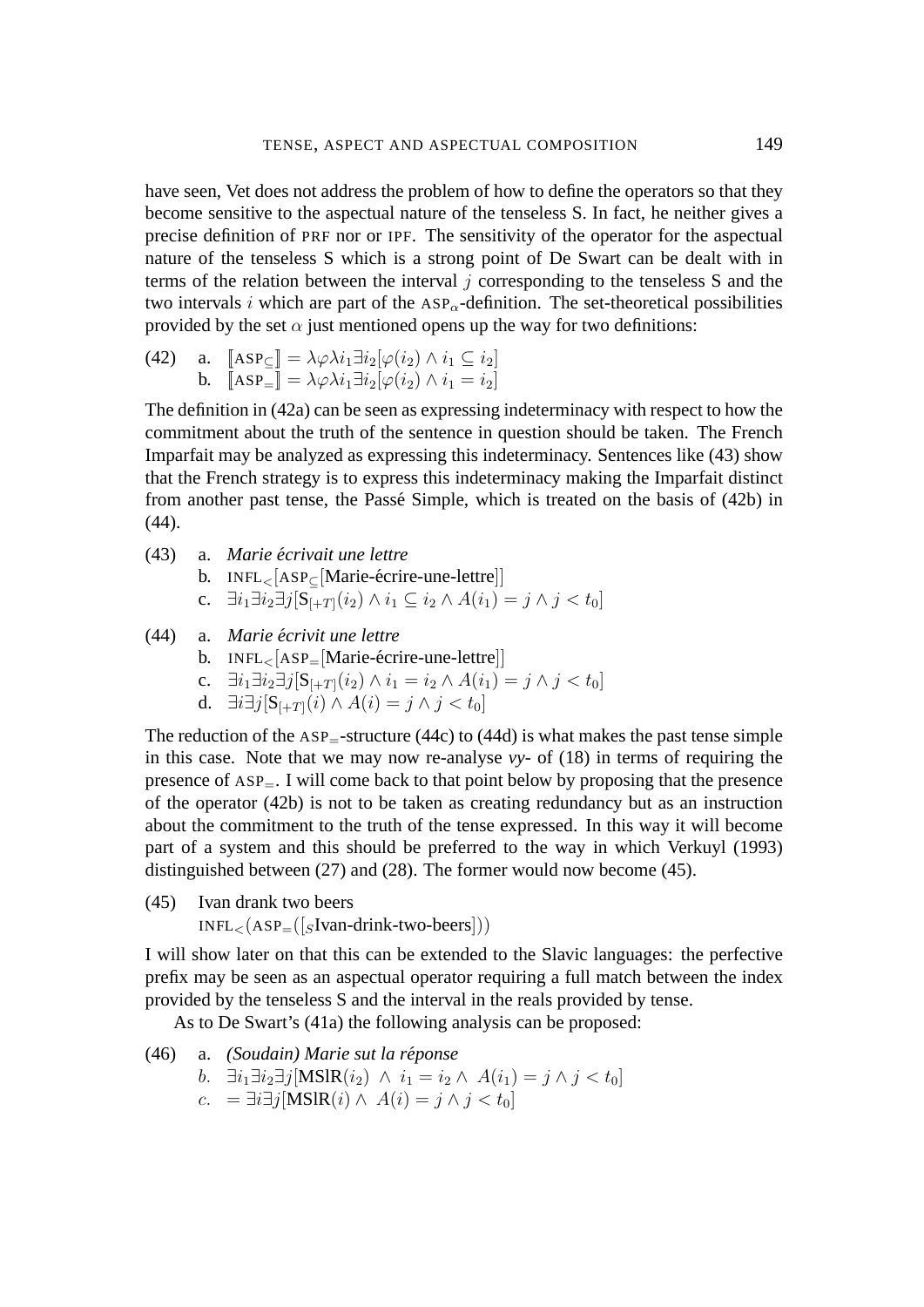have seen, Vet does not address the problem of how to define the operators so that they become sensitive to the aspectual nature of the tenseless S. In fact, he neither gives a precise definition of PRF nor or IPF. The sensitivity of the operator for the aspectual nature of the tenseless S which is a strong point of De Swart can be dealt with in terms of the relation between the interval  $j$  corresponding to the tenseless S and the two intervals i which are part of the  $ASP_{\alpha}$ -definition. The set-theoretical possibilities provided by the set  $\alpha$  just mentioned opens up the way for two definitions:

(42) a. 
$$
\begin{array}{ll}\n[\text{ASP}_{\subseteq}] = \lambda \varphi \lambda i_1 \exists i_2 [\varphi(i_2) \land i_1 \subseteq i_2] \\
\text{b. } [\text{ASP}_{\equiv}] = \lambda \varphi \lambda i_1 \exists i_2 [\varphi(i_2) \land i_1 = i_2]\n\end{array}
$$

The definition in (42a) can be seen as expressing indeterminacy with respect to how the commitment about the truth of the sentence in question should be taken. The French Imparfait may be analyzed as expressing this indeterminacy. Sentences like (43) show that the French strategy is to express this indeterminacy making the Imparfait distinct from another past tense, the Passe Simple, which is treated on the basis of (42b) in ´  $(44)$ .

- a. *Marie ecrivait une lettre ´*  $(43)$ 
	- b.  $INFL<sub>≤</sub>[ASP<sub>⊂</sub>[Marie-écrire-une-lettere]]$
	- c.  $\exists i_1 \exists i_2 \exists j$ [S<sub>[+T]</sub>( $i_2$ ) ∧  $i_1 \subseteq i_2 \land A(i_1) = j \land j < t_0$ ]
- a. *Marie ecrivit une lettre ´* (44)
	- b.  $INFL < [ASP = [Marie-écrire-une-letter]]$
	- c.  $\exists i_1 \exists i_2 \exists j$ [S<sub>[+T]</sub>( $i_2$ ) ∧  $i_1 = i_2 \land A(i_1) = j \land j < t_0$ ]
	- d.  $\exists i \exists j [S_{\lceil+T \rceil}(i) \wedge A(i) = j \wedge j < t_0]$

The reduction of the  $ASP =$ -structure (44c) to (44d) is what makes the past tense simple in this case. Note that we may now re-analyse *vy-* of (18) in terms of requiring the presence of  $ASP_{=}$ . I will come back to that point below by proposing that the presence of the operator (42b) is not to be taken as creating redundancy but as an instruction about the commitment to the truth of the tense expressed. In this way it will become part of a system and this should be preferred to the way in which Verkuyl (1993) distinguished between (27) and (28). The former would now become (45).

Ivan drank two beers  $INFL<sub><</sub>(ASP<sub>=</sub>([<sub>S</sub>Ivan-drink-two-beers]))$  $(45)$ 

I will show later on that this can be extended to the Slavic languages: the perfective prefix may be seen as an aspectual operator requiring a full match between the index provided by the tenseless S and the interval in the reals provided by tense.

As to De Swart's (41a) the following analysis can be proposed:

(46) a. (Soudain) Marie sut la réponse  
\nb. 
$$
\exists i_1 \exists i_2 \exists j
$$
[MSIR( $i_2$ )  $\wedge$   $i_1 = i_2 \wedge A(i_1) = j \wedge j < t_0$ ]  
\nc.  $= \exists i \exists j$ [MSIR( $i$ )  $\wedge$   $A(i) = j \wedge j < t_0$ ]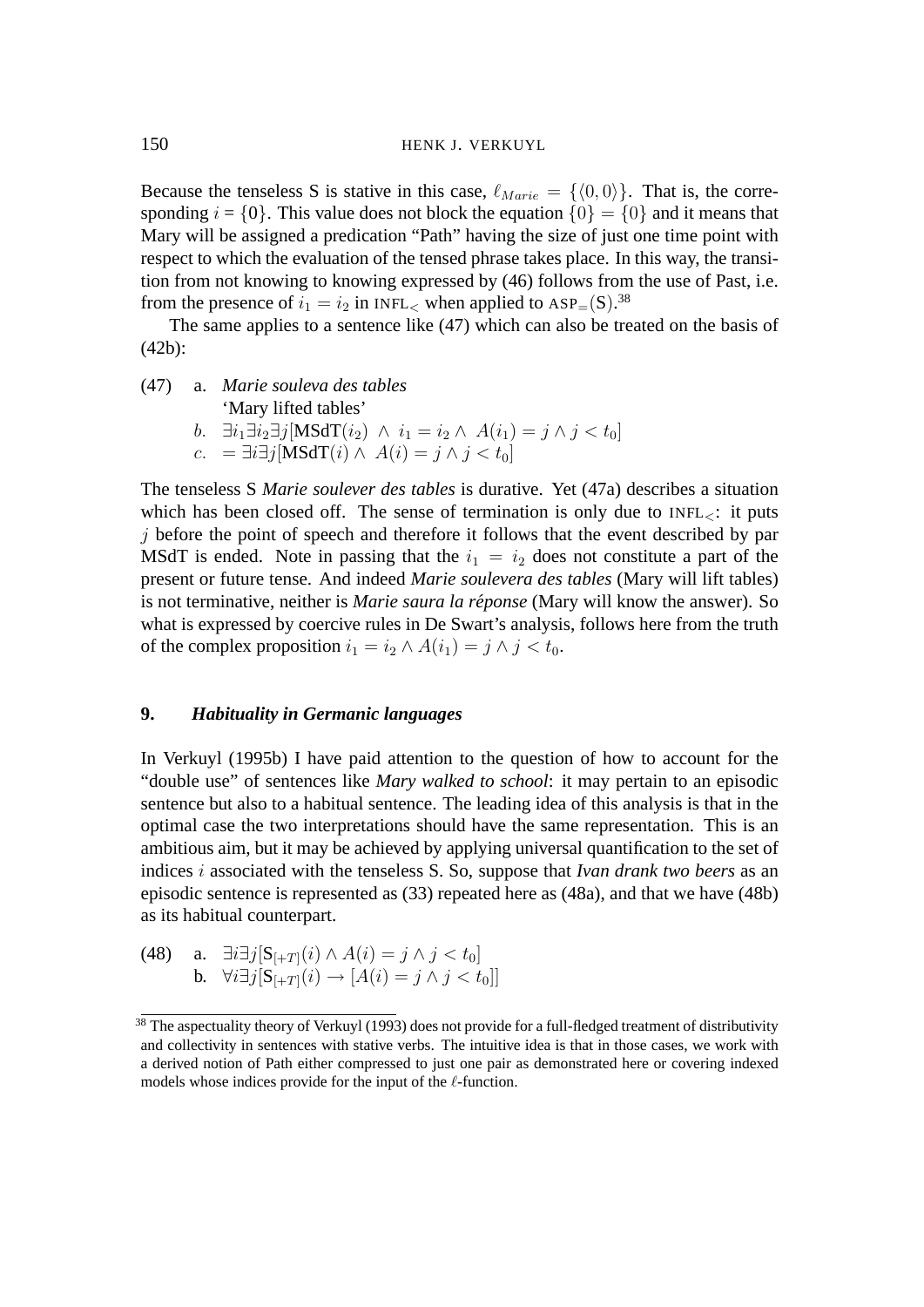Because the tenseless S is stative in this case,  $\ell_{Marie} = \{\langle 0, 0 \rangle\}$ . That is, the corresponding  $i = \{0\}$ . This value does not block the equation  $\{0\} = \{0\}$  and it means that Mary will be assigned a predication "Path" having the size of just one time point with respect to which the evaluation of the tensed phrase takes place. In this way, the transition from not knowing to knowing expressed by (46) follows from the use of Past, i.e. from the presence of  $i_1 = i_2$  in INFL<sub><</sub> when applied to  $ASP = (S)^{0.38}$ 

The same applies to a sentence like (47) which can also be treated on the basis of (42b):

a. *Marie souleva des tables* 'Mary lifted tables' b.  $\exists i_1 \exists i_2 \exists j$ [MSdT $(i_2) \wedge i_1 = i_2 \wedge A(i_1) = j \wedge j < t_0$ ] c. =  $\exists i \exists j$ [MSdT(i)  $\land A(i) = j \land j < t_0$ ] (47)

The tenseless S *Marie soulever des tables* is durative. Yet (47a) describes a situation which has been closed off. The sense of termination is only due to  $INFL<sub>></sub>$ : it puts  $i$  before the point of speech and therefore it follows that the event described by par MSdT is ended. Note in passing that the  $i_1 = i_2$  does not constitute a part of the present or future tense. And indeed *Marie soulevera des tables* (Mary will lift tables) is not terminative, neither is *Marie saura la réponse* (Mary will know the answer). So what is expressed by coercive rules in De Swart's analysis, follows here from the truth of the complex proposition  $i_1 = i_2 \wedge A(i_1) = j \wedge j < t_0$ .

### **9.** *Habituality in Germanic languages*

In Verkuyl (1995b) I have paid attention to the question of how to account for the "double use" of sentences like *Mary walked to school*: it may pertain to an episodic sentence but also to a habitual sentence. The leading idea of this analysis is that in the optimal case the two interpretations should have the same representation. This is an ambitious aim, but it may be achieved by applying universal quantification to the set of indices i associated with the tenseless S. So, suppose that *Ivan drank two beers* as an episodic sentence is represented as (33) repeated here as (48a), and that we have (48b) as its habitual counterpart.

(48) a. 
$$
\exists i \exists j [S_{[+T]}(i) \land A(i) = j \land j < t_0]
$$
  
b.  $\forall i \exists j [S_{[+T]}(i) \rightarrow [A(i) = j \land j < t_0]]$ 

<sup>&</sup>lt;sup>38</sup> The aspectuality theory of Verkuyl (1993) does not provide for a full-fledged treatment of distributivity and collectivity in sentences with stative verbs. The intuitive idea is that in those cases, we work with a derived notion of Path either compressed to just one pair as demonstrated here or covering indexed models whose indices provide for the input of the  $\ell$ -function.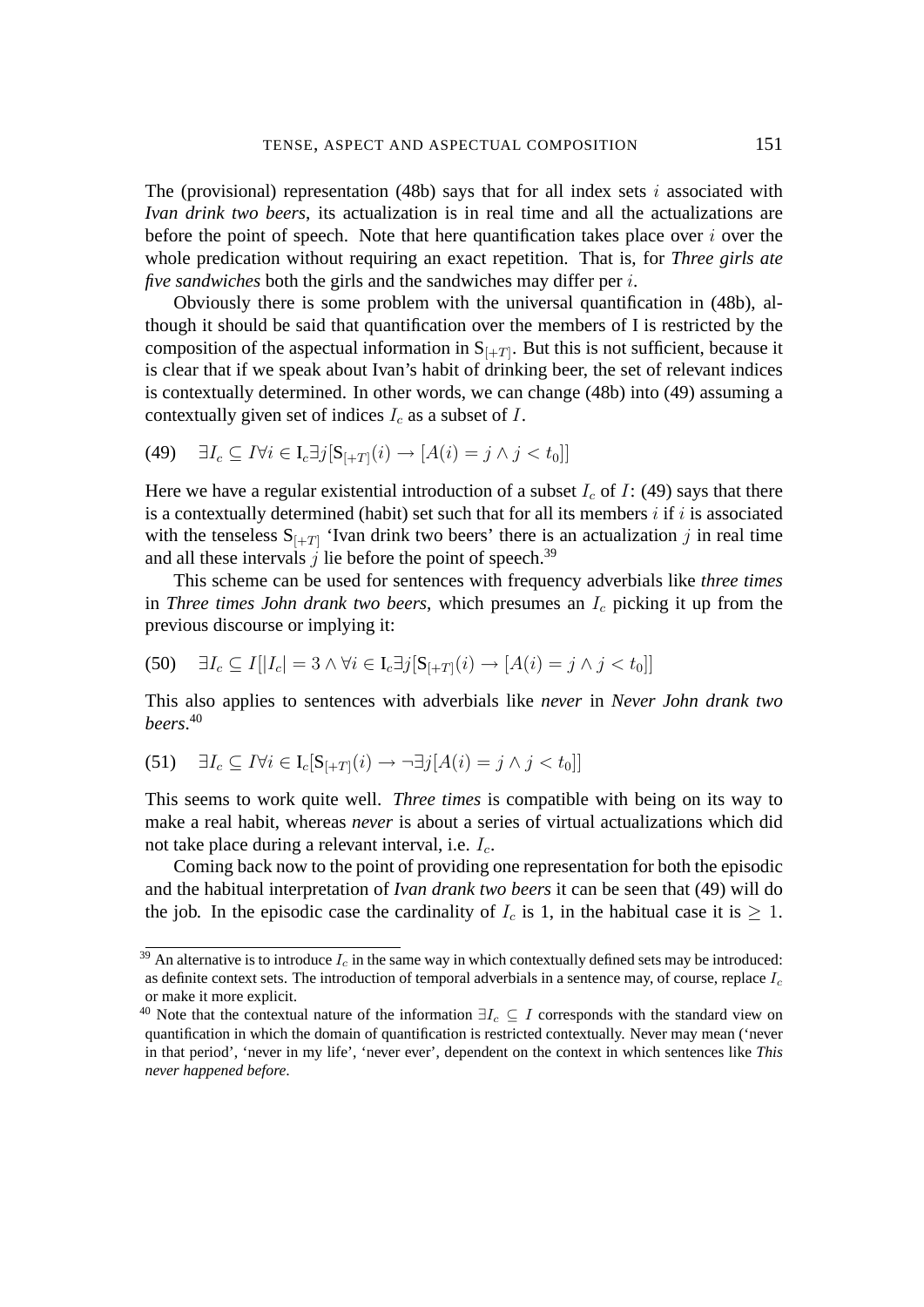The (provisional) representation (48b) says that for all index sets i associated with *Ivan drink two beers*, its actualization is in real time and all the actualizations are before the point of speech. Note that here quantification takes place over  $i$  over the whole predication without requiring an exact repetition. That is, for *Three girls ate five sandwiches* both the girls and the sandwiches may differ per i.

Obviously there is some problem with the universal quantification in (48b), although it should be said that quantification over the members of I is restricted by the composition of the aspectual information in  $S_{[+T]}$ . But this is not sufficient, because it is clear that if we speak about Ivan's habit of drinking beer, the set of relevant indices is contextually determined. In other words, we can change (48b) into (49) assuming a contextually given set of indices  $I_c$  as a subset of  $I$ .

(49) 
$$
\exists I_c \subseteq I \forall i \in I_c \exists j [S_{\vert +T}](i) \rightarrow [A(i) = j \land j < t_0]]
$$

Here we have a regular existential introduction of a subset  $I_c$  of I: (49) says that there is a contextually determined (habit) set such that for all its members  $i$  if  $i$  is associated with the tenseless  $S_{[+T]}$  'Ivan drink two beers' there is an actualization j in real time and all these intervals  $j$  lie before the point of speech.<sup>39</sup>

This scheme can be used for sentences with frequency adverbials like *three times* in *Three times John drank two beers*, which presumes an  $I_c$  picking it up from the previous discourse or implying it:

$$
(50) \quad \exists I_c \subseteq I[|I_c| = 3 \land \forall i \in I_c \exists j [S_{[+T]}(i) \rightarrow [A(i) = j \land j < t_0]]
$$

This also applies to sentences with adverbials like *never* in *Never John drank two beers*. 40

(51) 
$$
\exists I_c \subseteq I \forall i \in I_c[S_{[+T]}(i) \rightarrow \neg \exists j [A(i) = j \land j < t_0]]
$$

This seems to work quite well. *Three times* is compatible with being on its way to make a real habit, whereas *never* is about a series of virtual actualizations which did not take place during a relevant interval, i.e.  $I_c$ .

Coming back now to the point of providing one representation for both the episodic and the habitual interpretation of *Ivan drank two beers* it can be seen that (49) will do the job. In the episodic case the cardinality of  $I_c$  is 1, in the habitual case it is  $\geq 1$ .

 $39$  An alternative is to introduce  $I_c$  in the same way in which contextually defined sets may be introduced: as definite context sets. The introduction of temporal adverbials in a sentence may, of course, replace  $I_c$ or make it more explicit.

<sup>&</sup>lt;sup>40</sup> Note that the contextual nature of the information  $\exists I_c \subseteq I$  corresponds with the standard view on quantification in which the domain of quantification is restricted contextually. Never may mean ('never in that period', 'never in my life', 'never ever', dependent on the context in which sentences like *This never happened before*.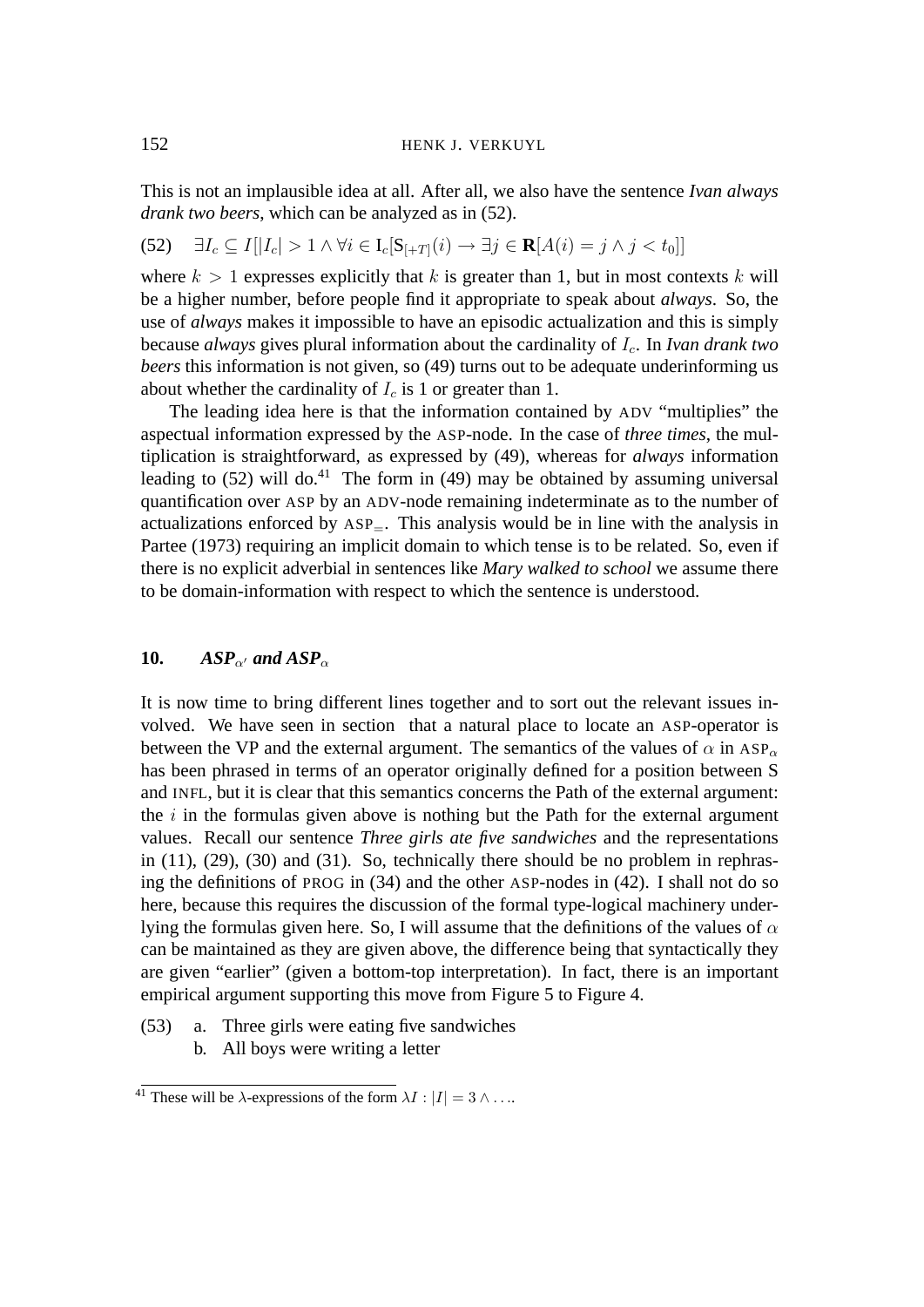This is not an implausible idea at all. After all, we also have the sentence *Ivan always drank two beers*, which can be analyzed as in (52).

(52) 
$$
\exists I_c \subseteq I[|I_c| > 1 \land \forall i \in I_c[\mathbf{S}_{[+T]}(i) \to \exists j \in \mathbf{R}[A(i) = j \land j < t_0]]
$$

where  $k > 1$  expresses explicitly that k is greater than 1, but in most contexts k will be a higher number, before people find it appropriate to speak about *always*. So, the use of *always* makes it impossible to have an episodic actualization and this is simply because *always* gives plural information about the cardinality of  $I_c$ . In *Ivan drank two beers* this information is not given, so (49) turns out to be adequate underinforming us about whether the cardinality of  $I_c$  is 1 or greater than 1.

The leading idea here is that the information contained by ADV "multiplies" the aspectual information expressed by the ASP-node. In the case of *three times*, the multiplication is straightforward, as expressed by (49), whereas for *always* information leading to  $(52)$  will do.<sup>41</sup> The form in  $(49)$  may be obtained by assuming universal quantification over ASP by an ADV-node remaining indeterminate as to the number of actualizations enforced by  $ASP_$ . This analysis would be in line with the analysis in Partee (1973) requiring an implicit domain to which tense is to be related. So, even if there is no explicit adverbial in sentences like *Mary walked to school* we assume there to be domain-information with respect to which the sentence is understood.

### **10.**  $\mathbf{ASP}_{\alpha'}$  and  $\mathbf{ASP}_{\alpha}$

It is now time to bring different lines together and to sort out the relevant issues involved. We have seen in section that a natural place to locate an ASP-operator is between the VP and the external argument. The semantics of the values of  $\alpha$  in ASP<sub> $\alpha$ </sub> has been phrased in terms of an operator originally defined for a position between S and INFL, but it is clear that this semantics concerns the Path of the external argument: the  $i$  in the formulas given above is nothing but the Path for the external argument values. Recall our sentence *Three girls ate five sandwiches* and the representations in (11), (29), (30) and (31). So, technically there should be no problem in rephrasing the definitions of PROG in (34) and the other ASP-nodes in (42). I shall not do so here, because this requires the discussion of the formal type-logical machinery underlying the formulas given here. So, I will assume that the definitions of the values of  $\alpha$ can be maintained as they are given above, the difference being that syntactically they are given "earlier" (given a bottom-top interpretation). In fact, there is an important empirical argument supporting this move from Figure 5 to Figure 4.

- a. Three girls were eating five sandwiches (53)
	- b. All boys were writing a letter

<sup>&</sup>lt;sup>41</sup> These will be  $\lambda$ -expressions of the form  $\lambda I : |I| = 3 \wedge \ldots$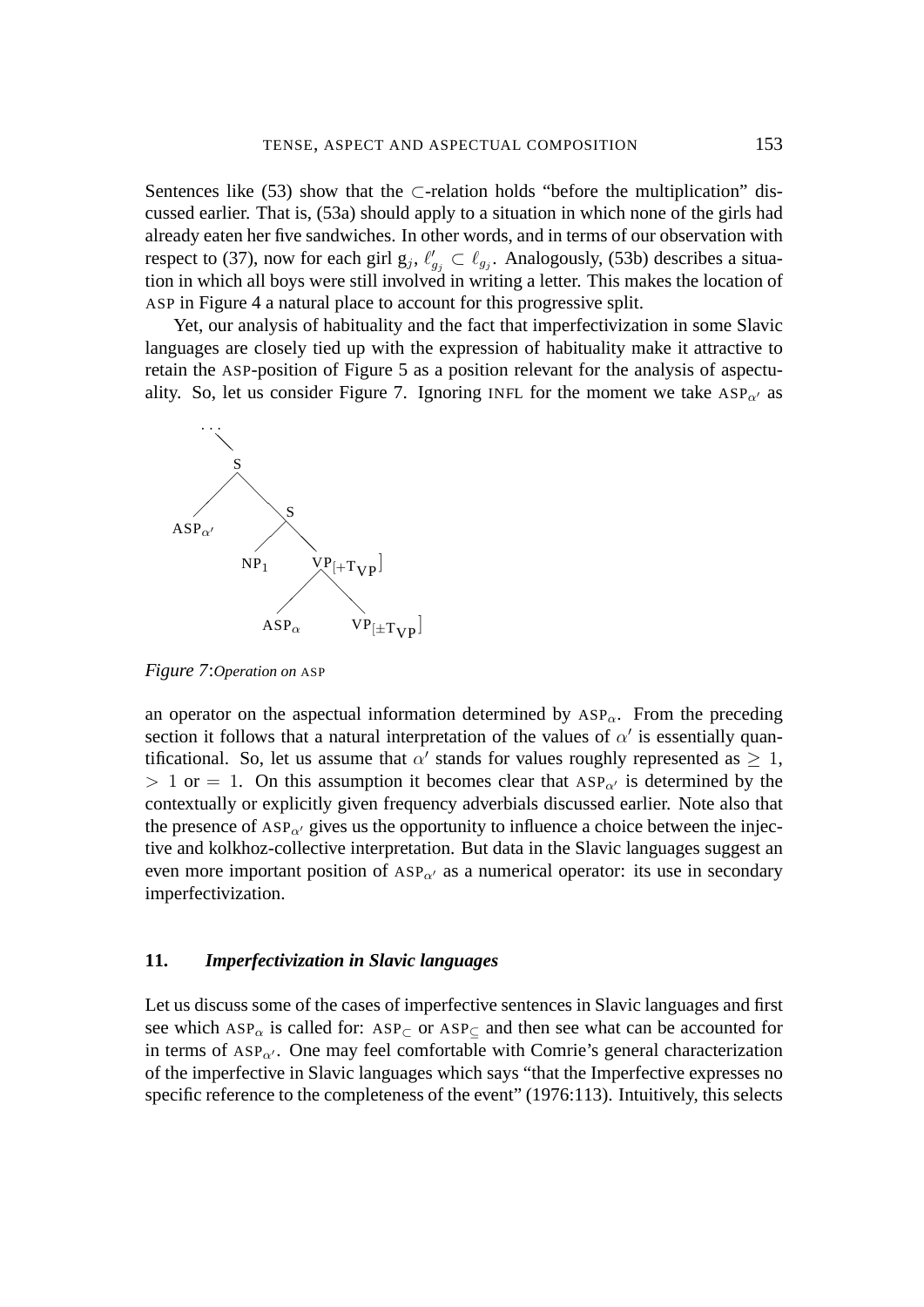Sentences like (53) show that the  $\subset$ -relation holds "before the multiplication" discussed earlier. That is, (53a) should apply to a situation in which none of the girls had already eaten her five sandwiches. In other words, and in terms of our observation with respect to (37), now for each girl  $g_j$ ,  $\ell'_{g_j} \subset \ell_{g_j}$ . Analogously, (53b) describes a situation in which all boys were still involved in writing a letter. This makes the location of ASP in Figure 4 a natural place to account for this progressive split.

Yet, our analysis of habituality and the fact that imperfectivization in some Slavic languages are closely tied up with the expression of habituality make it attractive to retain the ASP-position of Figure 5 as a position relevant for the analysis of aspectuality. So, let us consider Figure 7. Ignoring INFL for the moment we take  $ASP_{\alpha'}$  as



*Figure 7*:*Operation on* ASP

an operator on the aspectual information determined by  $ASP_{\alpha}$ . From the preceding section it follows that a natural interpretation of the values of  $\alpha'$  is essentially quantificational. So, let us assume that  $\alpha'$  stands for values roughly represented as  $\geq 1$ ,  $> 1$  or = 1. On this assumption it becomes clear that  $ASP_{\alpha'}$  is determined by the contextually or explicitly given frequency adverbials discussed earlier. Note also that the presence of  $ASP_{\alpha'}$  gives us the opportunity to influence a choice between the injective and kolkhoz-collective interpretation. But data in the Slavic languages suggest an even more important position of  $ASP_{\alpha'}$  as a numerical operator: its use in secondary imperfectivization.

# **11.** *Imperfectivization in Slavic languages*

Let us discuss some of the cases of imperfective sentences in Slavic languages and first see which  $ASP_{\alpha}$  is called for:  $ASP_{\alpha}$  or  $ASP_{\alpha}$  and then see what can be accounted for in terms of  $ASP_{\alpha'}$ . One may feel comfortable with Comrie's general characterization of the imperfective in Slavic languages which says "that the Imperfective expresses no specific reference to the completeness of the event" (1976:113). Intuitively, this selects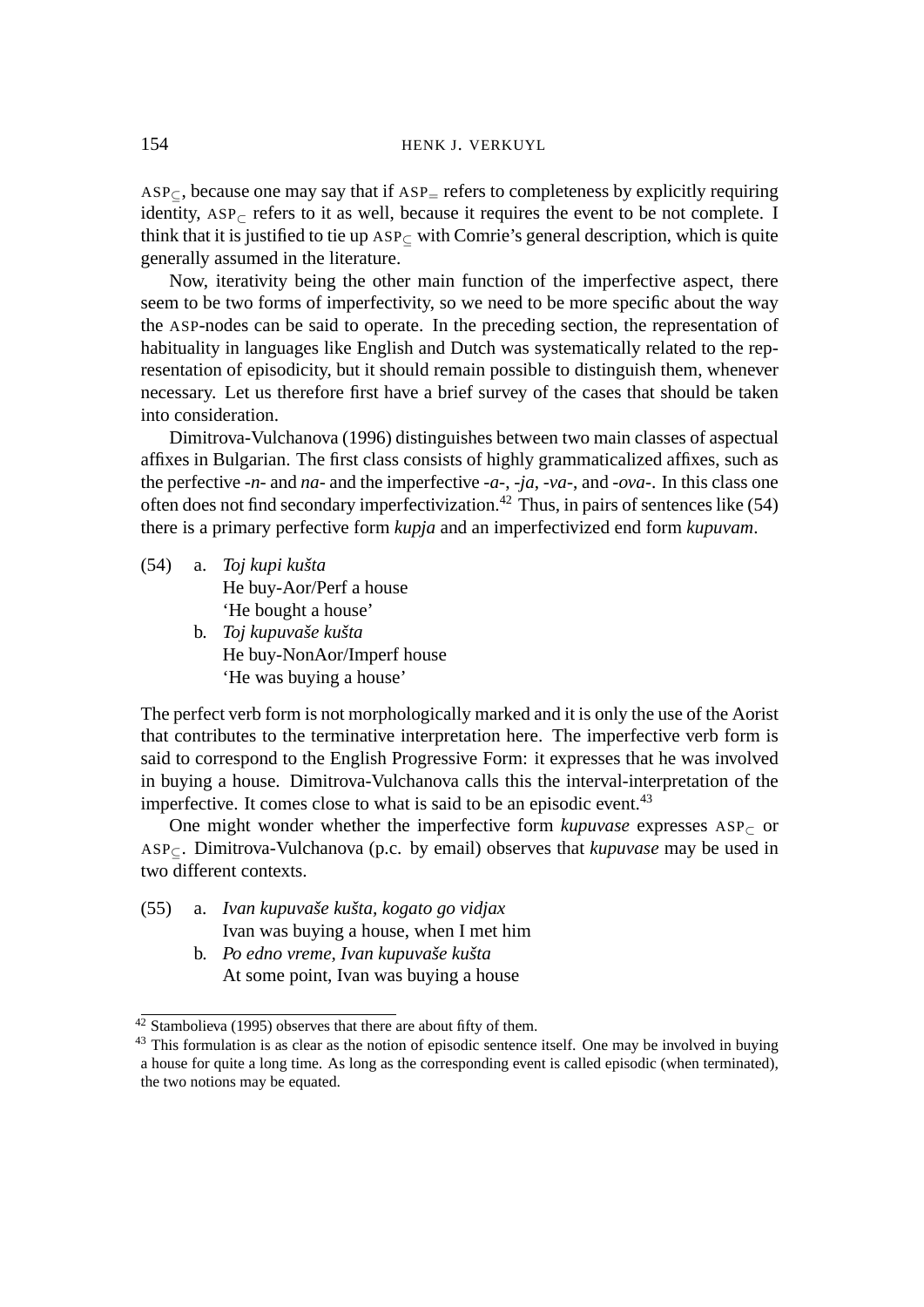$ASP_{\subseteq}$ , because one may say that if  $ASP_{\equiv}$  refers to completeness by explicitly requiring identity,  $ASP_\subset$  refers to it as well, because it requires the event to be not complete. I think that it is justified to tie up  $ASP\subset$  with Comrie's general description, which is quite generally assumed in the literature.

Now, iterativity being the other main function of the imperfective aspect, there seem to be two forms of imperfectivity, so we need to be more specific about the way the ASP-nodes can be said to operate. In the preceding section, the representation of habituality in languages like English and Dutch was systematically related to the representation of episodicity, but it should remain possible to distinguish them, whenever necessary. Let us therefore first have a brief survey of the cases that should be taken into consideration.

Dimitrova-Vulchanova (1996) distinguishes between two main classes of aspectual affixes in Bulgarian. The first class consists of highly grammaticalized affixes, such as the perfective -*n*- and *na*- and the imperfective -*a*-, -*ja*, -*va*-, and -*ova*-. In this class one often does not find secondary imperfectivization.<sup>42</sup> Thus, in pairs of sentences like (54) there is a primary perfective form *kupja* and an imperfectivized end form *kupuvam*.

- a. *Toj kupi kusta ˇ* He buy-Aor/Perf a house 'He bought a house' (54)
	- b. Toj kupuvaše kušta He buy-NonAor/Imperf house 'He was buying a house'

The perfect verb form is not morphologically marked and it is only the use of the Aorist that contributes to the terminative interpretation here. The imperfective verb form is said to correspond to the English Progressive Form: it expresses that he was involved in buying a house. Dimitrova-Vulchanova calls this the interval-interpretation of the imperfective. It comes close to what is said to be an episodic event.<sup>43</sup>

One might wonder whether the imperfective form *kupuvase* expresses ASP<sub>⊂</sub> or ASP⊆. Dimitrova-Vulchanova (p.c. by email) observes that *kupuvase* may be used in two different contexts.

- a. *Ivan kupuvaše kušta, kogato go vidjax* Ivan was buying a house, when I met him (55)
	- b. Po edno vreme, Ivan kupuvaše kušta At some point, Ivan was buying a house

<sup>42</sup> Stambolieva (1995) observes that there are about fifty of them.

<sup>&</sup>lt;sup>43</sup> This formulation is as clear as the notion of episodic sentence itself. One may be involved in buying a house for quite a long time. As long as the corresponding event is called episodic (when terminated), the two notions may be equated.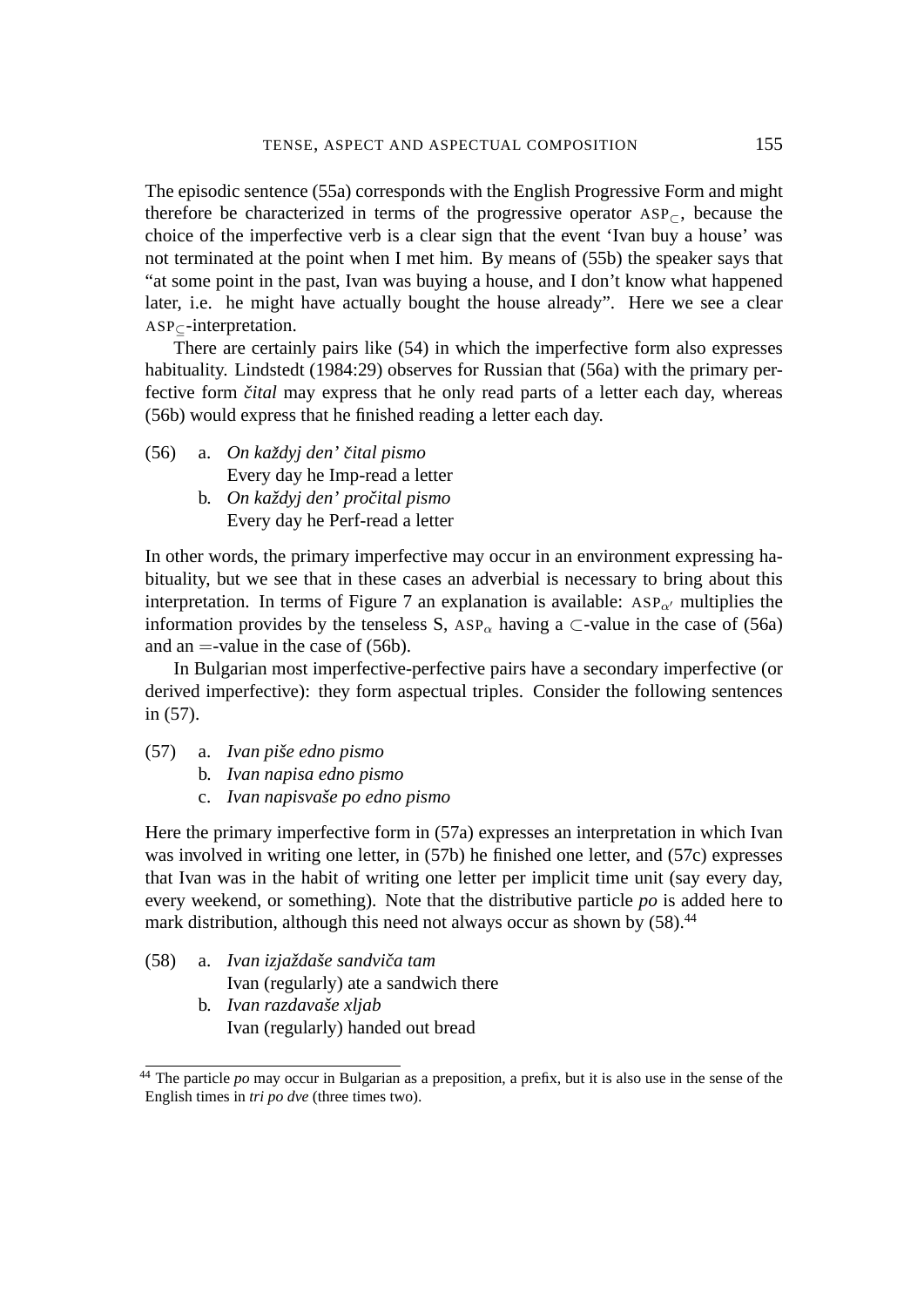The episodic sentence (55a) corresponds with the English Progressive Form and might therefore be characterized in terms of the progressive operator  $ASP_{\subset}$ , because the choice of the imperfective verb is a clear sign that the event 'Ivan buy a house' was not terminated at the point when I met him. By means of (55b) the speaker says that "at some point in the past, Ivan was buying a house, and I don't know what happened later, i.e. he might have actually bought the house already". Here we see a clear  $ASP_{\subset}$ -interpretation.

There are certainly pairs like (54) in which the imperfective form also expresses habituality. Lindstedt (1984:29) observes for Russian that (56a) with the primary perfective form *čital* may express that he only read parts of a letter each day, whereas (56b) would express that he finished reading a letter each day.

- a. *On kazdyj den' ˇ cital pismo ˇ* Every day he Imp-read a letter (56)
	- b. *On kazdyj den' pro ˇ cital pismo ˇ* Every day he Perf-read a letter

In other words, the primary imperfective may occur in an environment expressing habituality, but we see that in these cases an adverbial is necessary to bring about this interpretation. In terms of Figure 7 an explanation is available:  $ASP_{\alpha}$  multiplies the information provides by the tenseless S,  $ASP_{\alpha}$  having a ⊂-value in the case of (56a) and an  $=$ -value in the case of (56b).

In Bulgarian most imperfective-perfective pairs have a secondary imperfective (or derived imperfective): they form aspectual triples. Consider the following sentences in (57).

- (57) a. *Ivan piše edno pismo* 
	- b. *Ivan napisa edno pismo*
	- c. *Ivan napisvase po edno pismo ˇ*

Here the primary imperfective form in (57a) expresses an interpretation in which Ivan was involved in writing one letter, in (57b) he finished one letter, and (57c) expresses that Ivan was in the habit of writing one letter per implicit time unit (say every day, every weekend, or something). Note that the distributive particle *po* is added here to mark distribution, although this need not always occur as shown by  $(58)$ .<sup>44</sup>

- a. *Ivan izjazda ˇ se sandvi ˇ ca tam ˇ* Ivan (regularly) ate a sandwich there b. *Ivan razdavase xljab ˇ* (58)
	- Ivan (regularly) handed out bread

<sup>44</sup> The particle *po* may occur in Bulgarian as a preposition, a prefix, but it is also use in the sense of the English times in *tri po dve* (three times two).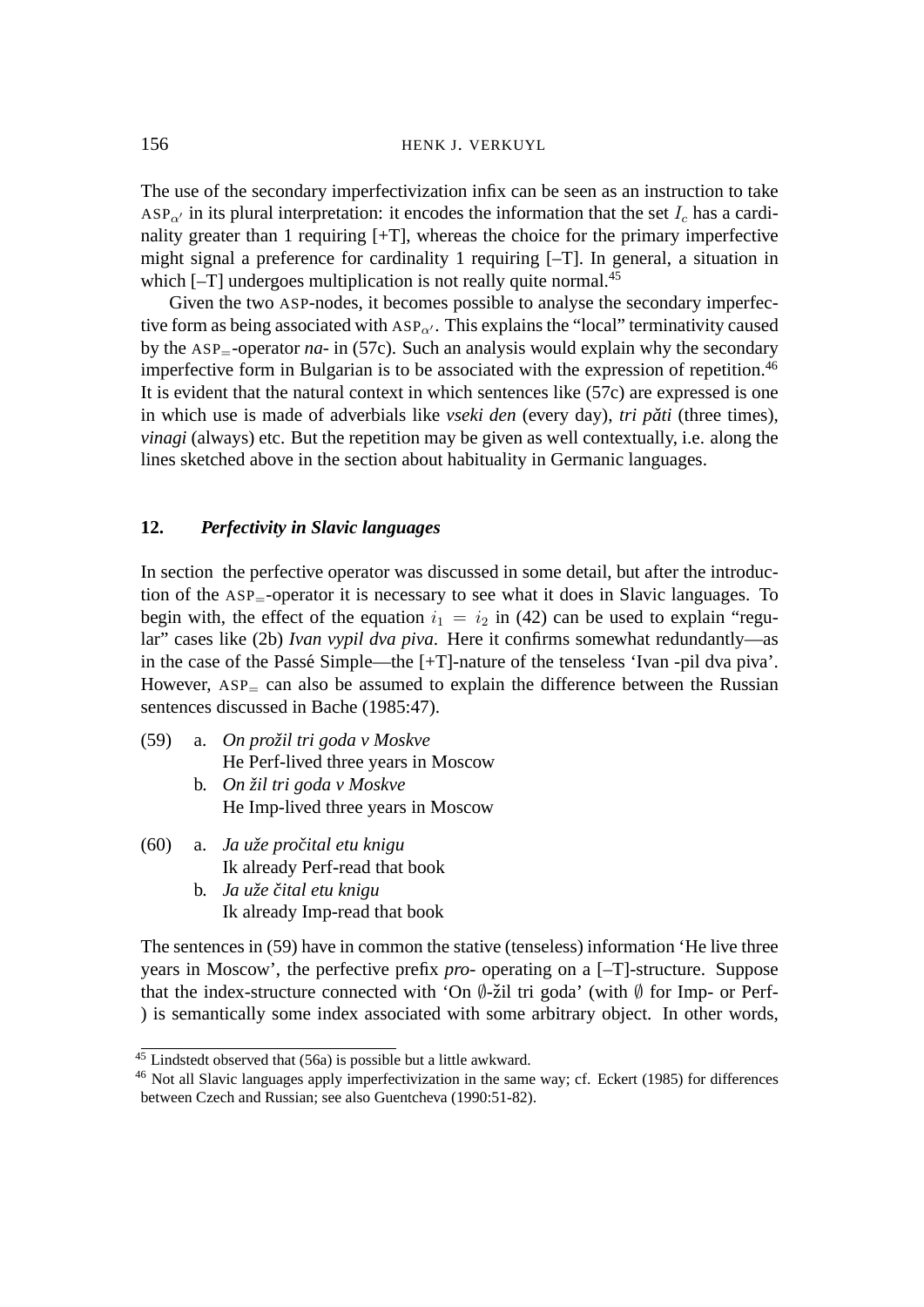The use of the secondary imperfectivization infix can be seen as an instruction to take ASP<sub> $\alpha$ '</sub> in its plural interpretation: it encodes the information that the set  $I_c$  has a cardinality greater than 1 requiring [+T], whereas the choice for the primary imperfective might signal a preference for cardinality 1 requiring [–T]. In general, a situation in which  $[-T]$  undergoes multiplication is not really quite normal.<sup>45</sup>

Given the two ASP-nodes, it becomes possible to analyse the secondary imperfective form as being associated with  $ASP_{\alpha'}$ . This explains the "local" terminativity caused by the ASP=-operator *na-* in (57c). Such an analysis would explain why the secondary imperfective form in Bulgarian is to be associated with the expression of repetition.<sup>46</sup> It is evident that the natural context in which sentences like (57c) are expressed is one in which use is made of adverbials like *vseki den* (every day), *tri pǎti* (three times), *vinagi* (always) etc. But the repetition may be given as well contextually, i.e. along the lines sketched above in the section about habituality in Germanic languages.

#### **12.** *Perfectivity in Slavic languages*

In section the perfective operator was discussed in some detail, but after the introduction of the  $ASP_$ -operator it is necessary to see what it does in Slavic languages. To begin with, the effect of the equation  $i_1 = i_2$  in (42) can be used to explain "regular" cases like (2b) *Ivan vypil dva piva*. Here it confirms somewhat redundantly—as in the case of the Passé Simple—the  $[+T]$ -nature of the tenseless 'Ivan -pil dva piva'. However,  $ASP_$  can also be assumed to explain the difference between the Russian sentences discussed in Bache (1985:47).

- a. *On prozil tri goda v Moskve ˇ* He Perf-lived three years in Moscow b. *On zil tri goda v Moskve ˇ* (59)
	- He Imp-lived three years in Moscow
- a. *Ja uže pročital etu knigu* Ik already Perf-read that book b. *Ja uže čital etu knigu*  $(60)$ 
	- Ik already Imp-read that book

The sentences in (59) have in common the stative (tenseless) information 'He live three years in Moscow', the perfective prefix *pro-* operating on a [–T]-structure. Suppose that the index-structure connected with 'On  $\emptyset$ -žil tri goda' (with  $\emptyset$  for Imp- or Perf-) is semantically some index associated with some arbitrary object. In other words,

<sup>45</sup> Lindstedt observed that (56a) is possible but a little awkward.

<sup>46</sup> Not all Slavic languages apply imperfectivization in the same way; cf. Eckert (1985) for differences between Czech and Russian; see also Guentcheva (1990:51-82).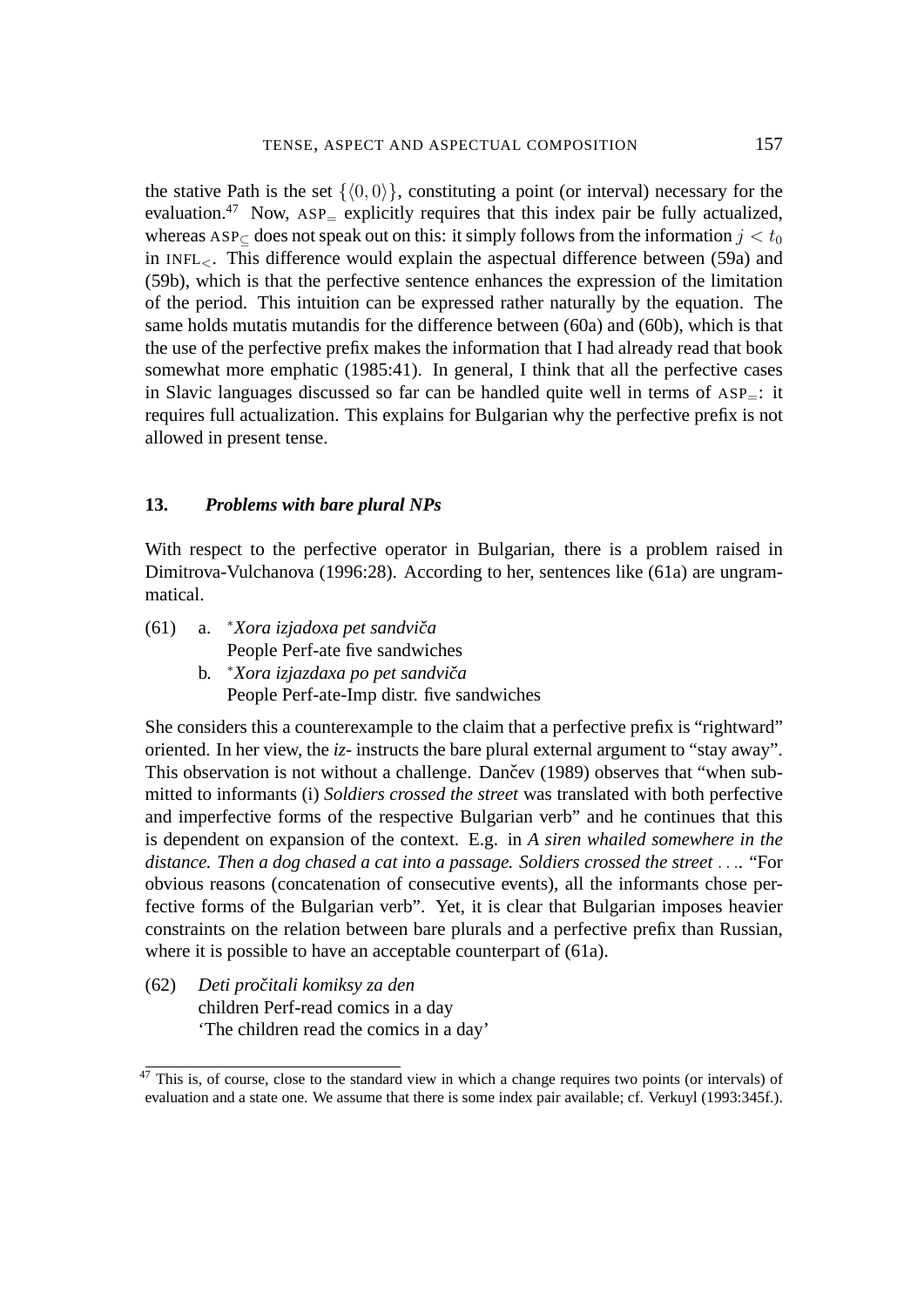the stative Path is the set  $\{(0, 0)\}\)$ , constituting a point (or interval) necessary for the evaluation.<sup>47</sup> Now,  $ASP$  explicitly requires that this index pair be fully actualized, whereas ASP $\epsilon$  does not speak out on this: it simply follows from the information  $i < t_0$ in  $INFL<sub>></sub>$ . This difference would explain the aspectual difference between (59a) and (59b), which is that the perfective sentence enhances the expression of the limitation of the period. This intuition can be expressed rather naturally by the equation. The same holds mutatis mutandis for the difference between (60a) and (60b), which is that the use of the perfective prefix makes the information that I had already read that book somewhat more emphatic (1985:41). In general, I think that all the perfective cases in Slavic languages discussed so far can be handled quite well in terms of  $ASP$ =: it requires full actualization. This explains for Bulgarian why the perfective prefix is not allowed in present tense.

### **13.** *Problems with bare plural NPs*

With respect to the perfective operator in Bulgarian, there is a problem raised in Dimitrova-Vulchanova (1996:28). According to her, sentences like (61a) are ungrammatical.

a. <sup>∗</sup>*Xora izjadoxa pet sandvicaˇ* People Perf-ate five sandwiches b. <sup>∗</sup>*Xora izjazdaxa po pet sandvicaˇ* People Perf-ate-Imp distr. five sandwiches (61)

She considers this a counterexample to the claim that a perfective prefix is "rightward" oriented. In her view, the *iz-* instructs the bare plural external argument to "stay away". This observation is not without a challenge. Dančev (1989) observes that "when submitted to informants (i) *Soldiers crossed the street* was translated with both perfective and imperfective forms of the respective Bulgarian verb" and he continues that this is dependent on expansion of the context. E.g. in *A siren whailed somewhere in the distance. Then a dog chased a cat into a passage. Soldiers crossed the street* . . .*.* "For obvious reasons (concatenation of consecutive events), all the informants chose perfective forms of the Bulgarian verb". Yet, it is clear that Bulgarian imposes heavier constraints on the relation between bare plurals and a perfective prefix than Russian, where it is possible to have an acceptable counterpart of (61a).

*Deti procitali komiksy za den ˇ* children Perf-read comics in a day 'The children read the comics in a day'  $(62)$ 

 $47$  This is, of course, close to the standard view in which a change requires two points (or intervals) of evaluation and a state one. We assume that there is some index pair available; cf. Verkuyl (1993:345f.).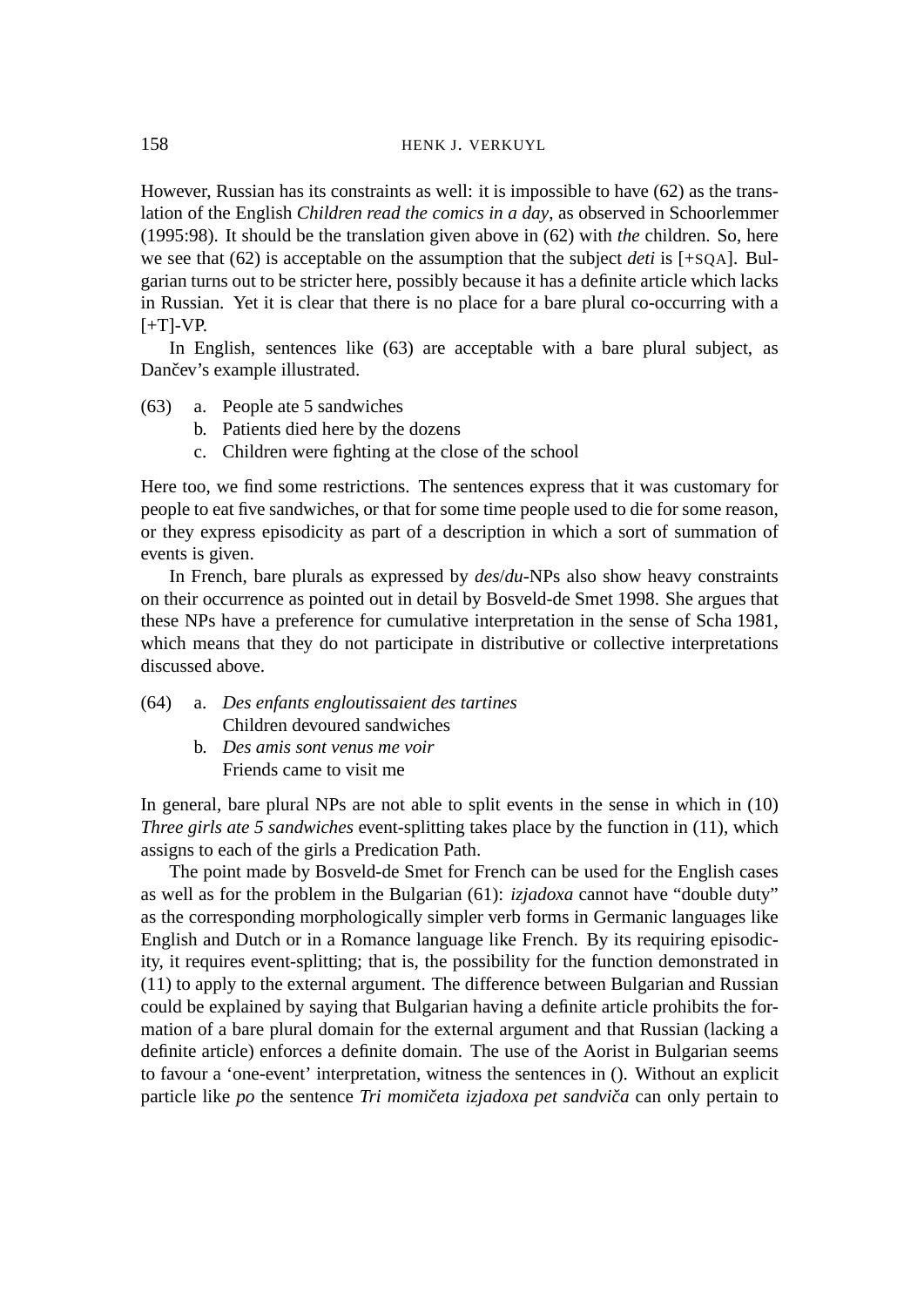However, Russian has its constraints as well: it is impossible to have (62) as the translation of the English *Children read the comics in a day*, as observed in Schoorlemmer (1995:98). It should be the translation given above in (62) with *the* children. So, here we see that (62) is acceptable on the assumption that the subject *deti* is [+SQA]. Bulgarian turns out to be stricter here, possibly because it has a definite article which lacks in Russian. Yet it is clear that there is no place for a bare plural co-occurring with a  $[+T]-VP$ .

In English, sentences like (63) are acceptable with a bare plural subject, as Dančev's example illustrated.

- a. People ate 5 sandwiches (63)
	- b. Patients died here by the dozens
	- c. Children were fighting at the close of the school

Here too, we find some restrictions. The sentences express that it was customary for people to eat five sandwiches, or that for some time people used to die for some reason, or they express episodicity as part of a description in which a sort of summation of events is given.

In French, bare plurals as expressed by *des*/*du*-NPs also show heavy constraints on their occurrence as pointed out in detail by Bosveld-de Smet 1998. She argues that these NPs have a preference for cumulative interpretation in the sense of Scha 1981, which means that they do not participate in distributive or collective interpretations discussed above.

- a. *Des enfants engloutissaient des tartines* Children devoured sandwiches (64)
	- b. *Des amis sont venus me voir* Friends came to visit me

In general, bare plural NPs are not able to split events in the sense in which in (10) *Three girls ate 5 sandwiches* event-splitting takes place by the function in (11), which assigns to each of the girls a Predication Path.

The point made by Bosveld-de Smet for French can be used for the English cases as well as for the problem in the Bulgarian (61): *izjadoxa* cannot have "double duty" as the corresponding morphologically simpler verb forms in Germanic languages like English and Dutch or in a Romance language like French. By its requiring episodicity, it requires event-splitting; that is, the possibility for the function demonstrated in (11) to apply to the external argument. The difference between Bulgarian and Russian could be explained by saying that Bulgarian having a definite article prohibits the formation of a bare plural domain for the external argument and that Russian (lacking a definite article) enforces a definite domain. The use of the Aorist in Bulgarian seems to favour a 'one-event' interpretation, witness the sentences in (). Without an explicit particle like *po* the sentence *Tri momičeta izjadoxa pet sandviča* can only pertain to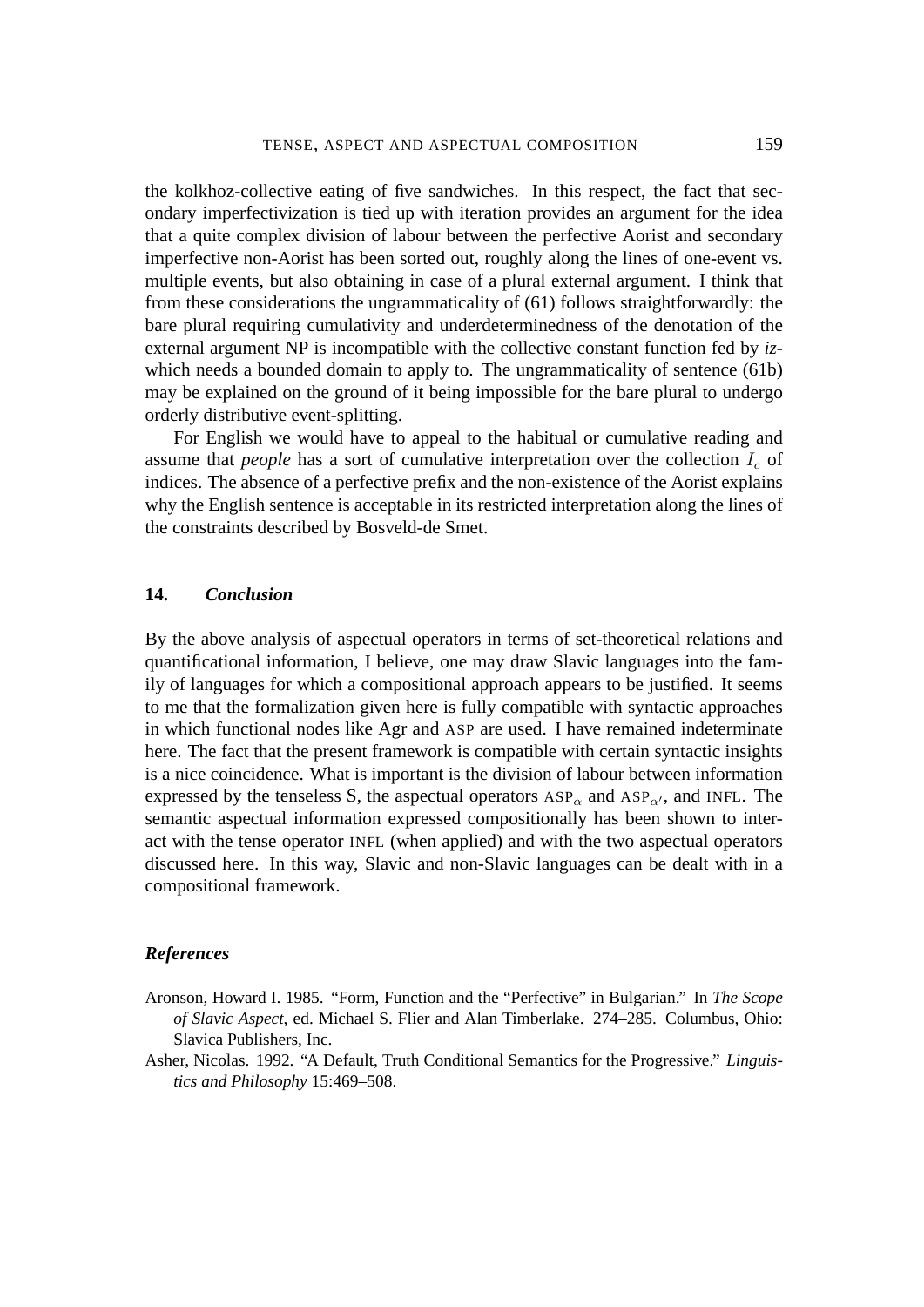the kolkhoz-collective eating of five sandwiches. In this respect, the fact that secondary imperfectivization is tied up with iteration provides an argument for the idea that a quite complex division of labour between the perfective Aorist and secondary imperfective non-Aorist has been sorted out, roughly along the lines of one-event vs. multiple events, but also obtaining in case of a plural external argument. I think that from these considerations the ungrammaticality of (61) follows straightforwardly: the bare plural requiring cumulativity and underdeterminedness of the denotation of the external argument NP is incompatible with the collective constant function fed by *iz*which needs a bounded domain to apply to. The ungrammaticality of sentence (61b) may be explained on the ground of it being impossible for the bare plural to undergo orderly distributive event-splitting.

For English we would have to appeal to the habitual or cumulative reading and assume that *people* has a sort of cumulative interpretation over the collection  $I_c$  of indices. The absence of a perfective prefix and the non-existence of the Aorist explains why the English sentence is acceptable in its restricted interpretation along the lines of the constraints described by Bosveld-de Smet.

# **14.** *Conclusion*

By the above analysis of aspectual operators in terms of set-theoretical relations and quantificational information, I believe, one may draw Slavic languages into the family of languages for which a compositional approach appears to be justified. It seems to me that the formalization given here is fully compatible with syntactic approaches in which functional nodes like Agr and ASP are used. I have remained indeterminate here. The fact that the present framework is compatible with certain syntactic insights is a nice coincidence. What is important is the division of labour between information expressed by the tenseless S, the aspectual operators  $ASP_{\alpha}$  and  $ASP_{\alpha'}$ , and INFL. The semantic aspectual information expressed compositionally has been shown to interact with the tense operator INFL (when applied) and with the two aspectual operators discussed here. In this way, Slavic and non-Slavic languages can be dealt with in a compositional framework.

#### *References*

- Aronson, Howard I. 1985. "Form, Function and the "Perfective" in Bulgarian." In *The Scope of Slavic Aspect*, ed. Michael S. Flier and Alan Timberlake. 274–285. Columbus, Ohio: Slavica Publishers, Inc.
- Asher, Nicolas. 1992. "A Default, Truth Conditional Semantics for the Progressive." *Linguistics and Philosophy* 15:469–508.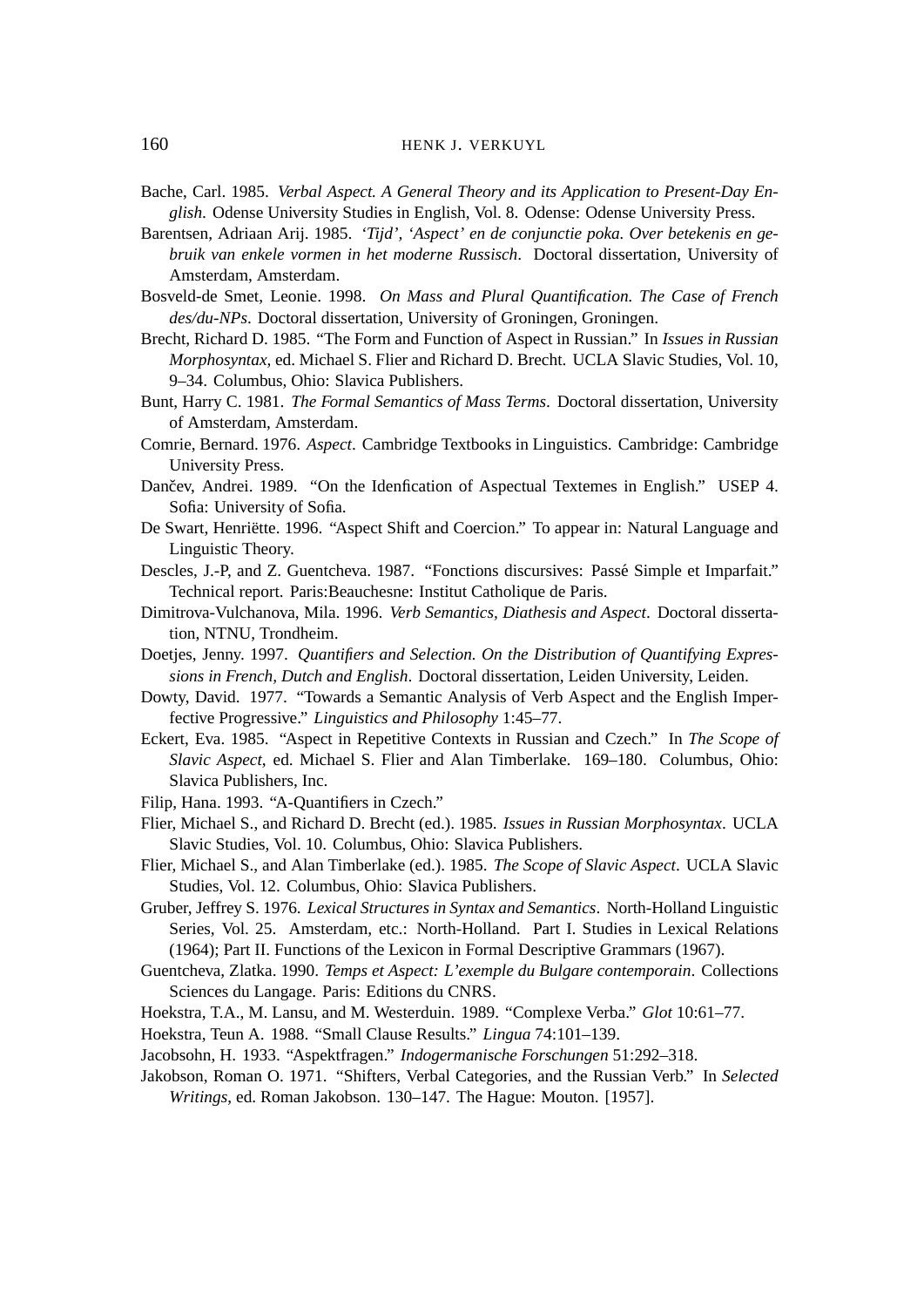- Bache, Carl. 1985. *Verbal Aspect. A General Theory and its Application to Present-Day English*. Odense University Studies in English, Vol. 8. Odense: Odense University Press.
- Barentsen, Adriaan Arij. 1985. *'Tijd', 'Aspect' en de conjunctie poka. Over betekenis en gebruik van enkele vormen in het moderne Russisch*. Doctoral dissertation, University of Amsterdam, Amsterdam.
- Bosveld-de Smet, Leonie. 1998. *On Mass and Plural Quantification. The Case of French des/du-NPs*. Doctoral dissertation, University of Groningen, Groningen.
- Brecht, Richard D. 1985. "The Form and Function of Aspect in Russian." In *Issues in Russian Morphosyntax*, ed. Michael S. Flier and Richard D. Brecht. UCLA Slavic Studies, Vol. 10, 9–34. Columbus, Ohio: Slavica Publishers.
- Bunt, Harry C. 1981. *The Formal Semantics of Mass Terms*. Doctoral dissertation, University of Amsterdam, Amsterdam.
- Comrie, Bernard. 1976. *Aspect*. Cambridge Textbooks in Linguistics. Cambridge: Cambridge University Press.
- Dančev, Andrei. 1989. "On the Idenfication of Aspectual Textemes in English." USEP 4. Sofia: University of Sofia.
- De Swart, Henriëtte. 1996. "Aspect Shift and Coercion." To appear in: Natural Language and Linguistic Theory.
- Descles, J.-P, and Z. Guentcheva. 1987. "Fonctions discursives: Passe Simple et Imparfait." ´ Technical report. Paris:Beauchesne: Institut Catholique de Paris.
- Dimitrova-Vulchanova, Mila. 1996. *Verb Semantics, Diathesis and Aspect*. Doctoral dissertation, NTNU, Trondheim.
- Doetjes, Jenny. 1997. *Quantifiers and Selection. On the Distribution of Quantifying Expressions in French, Dutch and English*. Doctoral dissertation, Leiden University, Leiden.
- Dowty, David. 1977. "Towards a Semantic Analysis of Verb Aspect and the English Imperfective Progressive." *Linguistics and Philosophy* 1:45–77.
- Eckert, Eva. 1985. "Aspect in Repetitive Contexts in Russian and Czech." In *The Scope of Slavic Aspect*, ed. Michael S. Flier and Alan Timberlake. 169–180. Columbus, Ohio: Slavica Publishers, Inc.
- Filip, Hana. 1993. "A-Quantifiers in Czech."
- Flier, Michael S., and Richard D. Brecht (ed.). 1985. *Issues in Russian Morphosyntax*. UCLA Slavic Studies, Vol. 10. Columbus, Ohio: Slavica Publishers.
- Flier, Michael S., and Alan Timberlake (ed.). 1985. *The Scope of Slavic Aspect*. UCLA Slavic Studies, Vol. 12. Columbus, Ohio: Slavica Publishers.
- Gruber, Jeffrey S. 1976. *Lexical Structures in Syntax and Semantics*. North-Holland Linguistic Series, Vol. 25. Amsterdam, etc.: North-Holland. Part I. Studies in Lexical Relations (1964); Part II. Functions of the Lexicon in Formal Descriptive Grammars (1967).
- Guentcheva, Zlatka. 1990. *Temps et Aspect: L'exemple du Bulgare contemporain*. Collections Sciences du Langage. Paris: Editions du CNRS.
- Hoekstra, T.A., M. Lansu, and M. Westerduin. 1989. "Complexe Verba." *Glot* 10:61–77.
- Hoekstra, Teun A. 1988. "Small Clause Results." *Lingua* 74:101–139.
- Jacobsohn, H. 1933. "Aspektfragen." *Indogermanische Forschungen* 51:292–318.
- Jakobson, Roman O. 1971. "Shifters, Verbal Categories, and the Russian Verb." In *Selected Writings*, ed. Roman Jakobson. 130–147. The Hague: Mouton. [1957].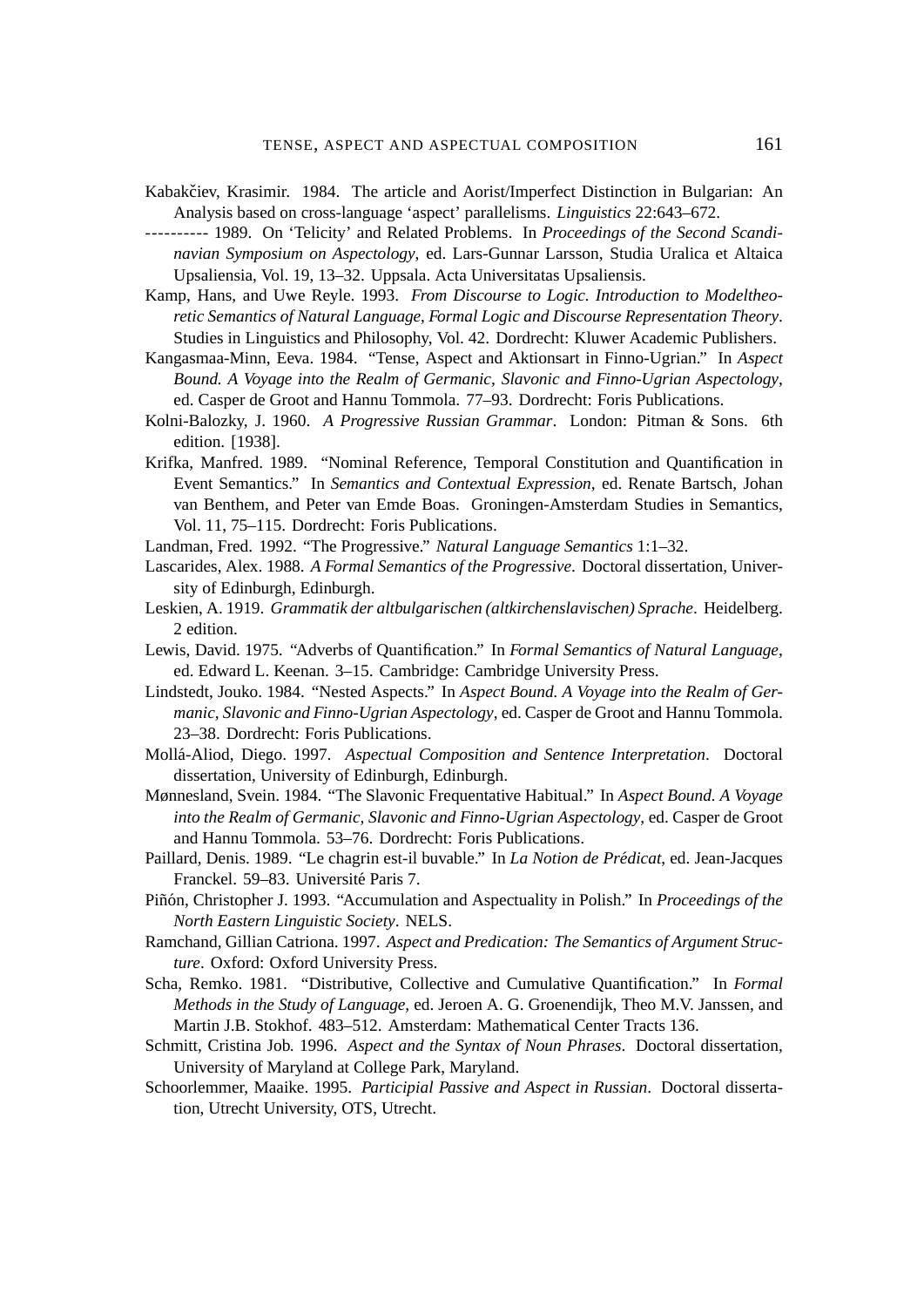- Kabakčiev, Krasimir. 1984. The article and Aorist/Imperfect Distinction in Bulgarian: An Analysis based on cross-language 'aspect' parallelisms. *Linguistics* 22:643–672.
- ---------- 1989. On 'Telicity' and Related Problems. In *Proceedings of the Second Scandinavian Symposium on Aspectology*, ed. Lars-Gunnar Larsson, Studia Uralica et Altaica Upsaliensia, Vol. 19, 13–32. Uppsala. Acta Universitatas Upsaliensis.
- Kamp, Hans, and Uwe Reyle. 1993. *From Discourse to Logic. Introduction to Modeltheoretic Semantics of Natural Language, Formal Logic and Discourse Representation Theory*. Studies in Linguistics and Philosophy, Vol. 42. Dordrecht: Kluwer Academic Publishers.
- Kangasmaa-Minn, Eeva. 1984. "Tense, Aspect and Aktionsart in Finno-Ugrian." In *Aspect Bound. A Voyage into the Realm of Germanic, Slavonic and Finno-Ugrian Aspectology*, ed. Casper de Groot and Hannu Tommola. 77–93. Dordrecht: Foris Publications.
- Kolni-Balozky, J. 1960. *A Progressive Russian Grammar*. London: Pitman & Sons. 6th edition. [1938].
- Krifka, Manfred. 1989. "Nominal Reference, Temporal Constitution and Quantification in Event Semantics." In *Semantics and Contextual Expression*, ed. Renate Bartsch, Johan van Benthem, and Peter van Emde Boas. Groningen-Amsterdam Studies in Semantics, Vol. 11, 75–115. Dordrecht: Foris Publications.
- Landman, Fred. 1992. "The Progressive." *Natural Language Semantics* 1:1–32.
- Lascarides, Alex. 1988. *A Formal Semantics of the Progressive*. Doctoral dissertation, University of Edinburgh, Edinburgh.
- Leskien, A. 1919. *Grammatik der altbulgarischen (altkirchenslavischen) Sprache*. Heidelberg. 2 edition.
- Lewis, David. 1975. "Adverbs of Quantification." In *Formal Semantics of Natural Language*, ed. Edward L. Keenan. 3–15. Cambridge: Cambridge University Press.
- Lindstedt, Jouko. 1984. "Nested Aspects." In *Aspect Bound. A Voyage into the Realm of Germanic, Slavonic and Finno-Ugrian Aspectology*, ed. Casper de Groot and Hannu Tommola. 23–38. Dordrecht: Foris Publications.
- Molla-Aliod, Diego. 1997. ´ *Aspectual Composition and Sentence Interpretation*. Doctoral dissertation, University of Edinburgh, Edinburgh.
- Mønnesland, Svein. 1984. "The Slavonic Frequentative Habitual." In *Aspect Bound. A Voyage into the Realm of Germanic, Slavonic and Finno-Ugrian Aspectology*, ed. Casper de Groot and Hannu Tommola. 53–76. Dordrecht: Foris Publications.
- Paillard, Denis. 1989. "Le chagrin est-il buvable." In *La Notion de Predicat ´* , ed. Jean-Jacques Franckel. 59–83. Université Paris 7.
- Piñón, Christopher J. 1993. "Accumulation and Aspectuality in Polish." In *Proceedings of the North Eastern Linguistic Society*. NELS.
- Ramchand, Gillian Catriona. 1997. *Aspect and Predication: The Semantics of Argument Structure*. Oxford: Oxford University Press.
- Scha, Remko. 1981. "Distributive, Collective and Cumulative Quantification." In *Formal Methods in the Study of Language*, ed. Jeroen A. G. Groenendijk, Theo M.V. Janssen, and Martin J.B. Stokhof. 483–512. Amsterdam: Mathematical Center Tracts 136.
- Schmitt, Cristina Job. 1996. *Aspect and the Syntax of Noun Phrases*. Doctoral dissertation, University of Maryland at College Park, Maryland.
- Schoorlemmer, Maaike. 1995. *Participial Passive and Aspect in Russian*. Doctoral dissertation, Utrecht University, OTS, Utrecht.